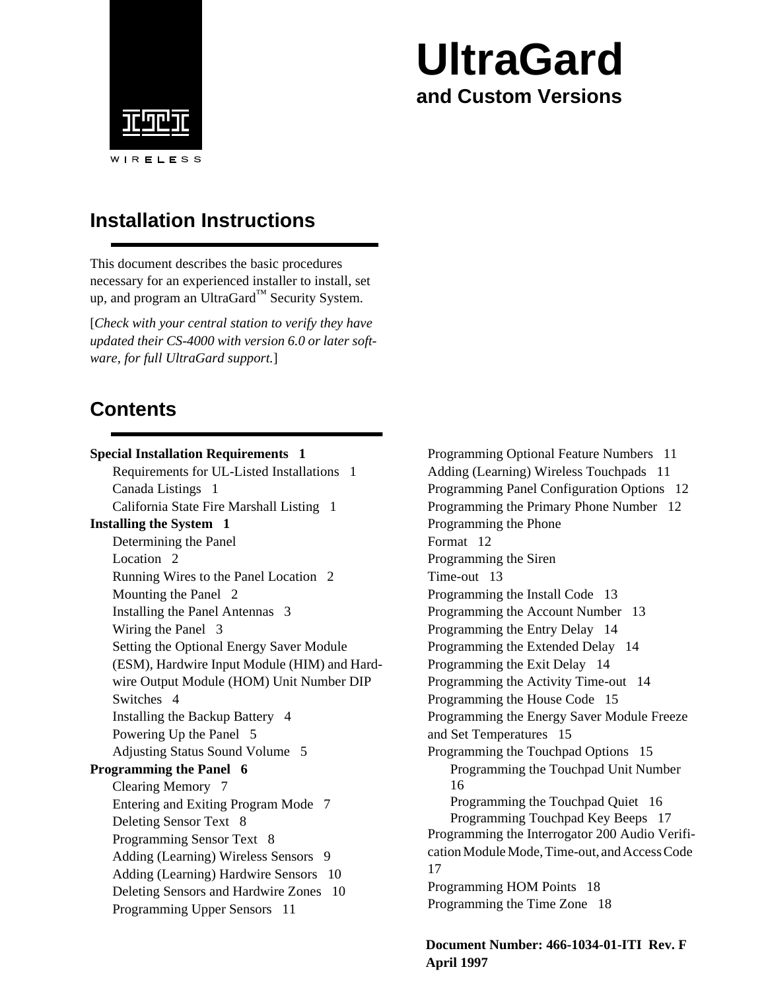

# **UltraGard and Custom Versions**

## **Installation Instructions**

This document describes the basic procedures necessary for an experienced installer to install, set up, and program an UltraGard™ Security System.

[*Check with your central station to verify they have updated their CS-4000 with version 6.0 or later software, for full UltraGard support.*]

# **Contents**

| <b>Special Installation Requirements 1</b>   |
|----------------------------------------------|
| Requirements for UL-Listed Installations 1   |
| Canada Listings 1                            |
| California State Fire Marshall Listing 1     |
| <b>Installing the System 1</b>               |
| Determining the Panel                        |
| Location <sub>2</sub>                        |
| Running Wires to the Panel Location 2        |
| Mounting the Panel 2                         |
| Installing the Panel Antennas 3              |
| Wiring the Panel 3                           |
| Setting the Optional Energy Saver Module     |
| (ESM), Hardwire Input Module (HIM) and Hard- |
| wire Output Module (HOM) Unit Number DIP     |
| Switches <sub>4</sub>                        |
| Installing the Backup Battery 4              |
| Powering Up the Panel 5                      |
| <b>Adjusting Status Sound Volume 5</b>       |
| <b>Programming the Panel 6</b>               |
| Clearing Memory 7                            |
| Entering and Exiting Program Mode 7          |
| Deleting Sensor Text 8                       |
| Programming Sensor Text 8                    |
| Adding (Learning) Wireless Sensors<br>- 9    |
| Adding (Learning) Hardwire Sensors 10        |
| Deleting Sensors and Hardwire Zones 10       |
| Programming Upper Sensors 11                 |

[Programming Optional Feature Numbers 11](#page-14-0) [Adding \(Learning\) Wireless Touchpads 11](#page-14-0) [Programming Panel Configuration Options 12](#page-15-0) [Programming the Primary Phone Number 12](#page-15-0) [Programming the Phone](#page-15-0) Format 12 [Programming the Siren](#page-16-0) Time-out 13 [Programming the Install Code 13](#page-16-0) [Programming the Account Number 13](#page-16-0) [Programming the Entry Delay 14](#page-17-0) [Programming the Extended Delay 14](#page-17-0) [Programming the Exit Delay 14](#page-17-0) [Programming the Activity Time-out 14](#page-17-0) [Programming the House Code 15](#page-18-0) [Programming the Energy Saver Module Freeze](#page-18-0)  and Set Temperatures 15 [Programming the Touchpad Options 15](#page-18-0) [Programming the Touchpad Unit Number](#page-19-0)  16 [Programming the Touchpad Quiet 16](#page-19-0) [Programming Touchpad Key Beeps 17](#page-20-0) Programming the Interrogator 200 Audio Verifi[cation Module Mode, Time-out, and Access Code](#page-20-0)  17 [Programming HOM Points 18](#page-21-0) [Programming the Time Zone 18](#page-21-0)

**Document Number: 466-1034-01-ITI Rev. F April 1997**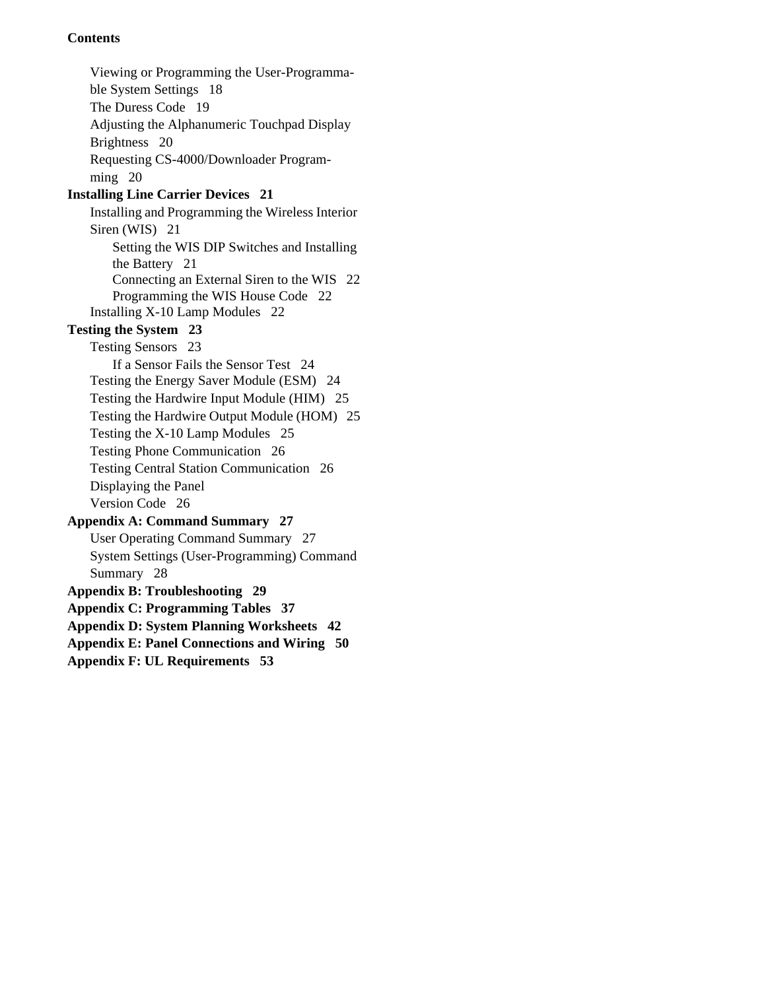### **Contents**

[Viewing or Programming the User-Programma](#page-21-0)ble System Settings 18 [The Duress Code 19](#page-22-0) [Adjusting the Alphanumeric Touchpad Display](#page-23-0)  Brightness 20 [Requesting CS-4000/Downloader Program](#page-23-0)ming 20 **[Installing Line Carrier Devices 21](#page-24-0)** [Installing and Programming the Wireless Interior](#page-24-0)  Siren (WIS) 21 [Setting the WIS DIP Switches and Installing](#page-24-0)  the Battery 21 [Connecting an External Siren to the WIS 22](#page-25-0) [Programming the WIS House Code 22](#page-25-0) [Installing X-10 Lamp Modules 22](#page-25-0) **[Testing the System 23](#page-26-0)** [Testing Sensors 23](#page-26-0) [If a Sensor Fails the Sensor Test 24](#page-27-0) [Testing the Energy Saver Module \(ESM\) 24](#page-27-0) [Testing the Hardwire Input Module \(HIM\) 25](#page-28-0) [Testing the Hardwire Output Module \(HOM\) 25](#page-28-0) [Testing the X-10 Lamp Modules 25](#page-28-0) [Testing Phone Communication 26](#page-29-0) [Testing Central Station Communication 26](#page-29-0) [Displaying the Panel](#page-29-0) Version Code 26 **[Appendix A: Command Summary 27](#page-30-0)** [User Operating Command Summary 27](#page-30-0) [System Settings \(User-Programming\) Command](#page-31-0)  Summary 28 **[Appendix B: Troubleshooting 29](#page-32-0) [Appendix C: Programming Tables 37](#page-40-0) [Appendix D: System Planning Worksheets 42](#page-45-0) [Appendix E: Panel Connections and Wiring 50](#page-53-0) [Appendix F: UL Requirements 53](#page-56-0)**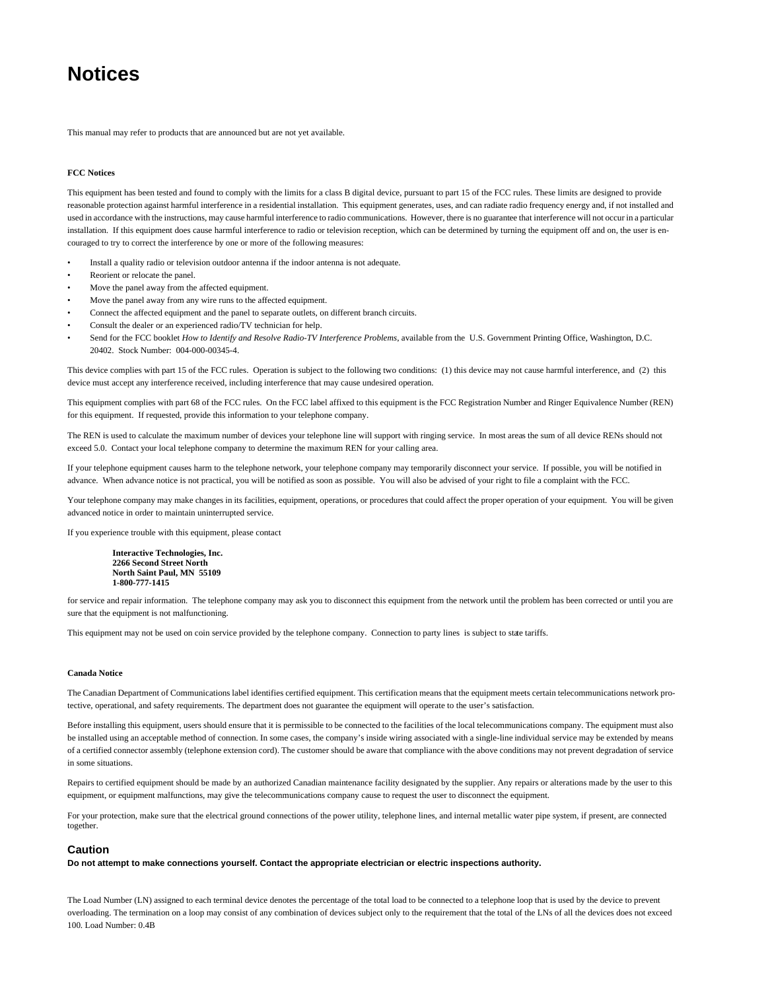## **Notices**

This manual may refer to products that are announced but are not yet available.

#### **FCC Notices**

This equipment has been tested and found to comply with the limits for a class B digital device, pursuant to part 15 of the FCC rules. These limits are designed to provide reasonable protection against harmful interference in a residential installation. This equipment generates, uses, and can radiate radio frequency energy and, if not installed and used in accordance with the instructions, may cause harmful interference to radio communications. However, there is no guarantee that interference will not occur in a particular installation. If this equipment does cause harmful interference to radio or television reception, which can be determined by turning the equipment off and on, the user is encouraged to try to correct the interference by one or more of the following measures:

- Install a quality radio or television outdoor antenna if the indoor antenna is not adequate.
- Reorient or relocate the panel.
- Move the panel away from the affected equipment.
- Move the panel away from any wire runs to the affected equipment.
- Connect the affected equipment and the panel to separate outlets, on different branch circuits.
- Consult the dealer or an experienced radio/TV technician for help.
- Send for the FCC booklet *How to Identify and Resolve Radio-TV Interference Problems*, available from the U.S. Government Printing Office, Washington, D.C. 20402. Stock Number: 004-000-00345-4.

This device complies with part 15 of the FCC rules. Operation is subject to the following two conditions: (1) this device may not cause harmful interference, and (2) this device must accept any interference received, including interference that may cause undesired operation.

This equipment complies with part 68 of the FCC rules. On the FCC label affixed to this equipment is the FCC Registration Number and Ringer Equivalence Number (REN) for this equipment. If requested, provide this information to your telephone company.

The REN is used to calculate the maximum number of devices your telephone line will support with ringing service. In most areas the sum of all device RENs should not exceed 5.0. Contact your local telephone company to determine the maximum REN for your calling area.

If your telephone equipment causes harm to the telephone network, your telephone company may temporarily disconnect your service. If possible, you will be notified in advance. When advance notice is not practical, you will be notified as soon as possible. You will also be advised of your right to file a complaint with the FCC.

Your telephone company may make changes in its facilities, equipment, operations, or procedures that could affect the proper operation of your equipment. You will be given advanced notice in order to maintain uninterrupted service.

If you experience trouble with this equipment, please contact

**Interactive Technologies, Inc. 2266 Second Street North North Saint Paul, MN 55109 1-800-777-1415**

for service and repair information. The telephone company may ask you to disconnect this equipment from the network until the problem has been corrected or until you are sure that the equipment is not malfunctioning.

This equipment may not be used on coin service provided by the telephone company. Connection to party lines is subject to state tariffs.

#### **Canada Notice**

The Canadian Department of Communications label identifies certified equipment. This certification means that the equipment meets certain telecommunications network protective, operational, and safety requirements. The department does not guarantee the equipment will operate to the user's satisfaction.

Before installing this equipment, users should ensure that it is permissible to be connected to the facilities of the local telecommunications company. The equipment must also be installed using an acceptable method of connection. In some cases, the company's inside wiring associated with a single-line individual service may be extended by means of a certified connector assembly (telephone extension cord). The customer should be aware that compliance with the above conditions may not prevent degradation of service in some situations.

Repairs to certified equipment should be made by an authorized Canadian maintenance facility designated by the supplier. Any repairs or alterations made by the user to this equipment, or equipment malfunctions, may give the telecommunications company cause to request the user to disconnect the equipment.

For your protection, make sure that the electrical ground connections of the power utility, telephone lines, and internal metallic water pipe system, if present, are connected together.

#### **Caution**

**Do not attempt to make connections yourself. Contact the appropriate electrician or electric inspections authority.**

The Load Number (LN) assigned to each terminal device denotes the percentage of the total load to be connected to a telephone loop that is used by the device to prevent overloading. The termination on a loop may consist of any combination of devices subject only to the requirement that the total of the LNs of all the devices does not exceed 100. Load Number: 0.4B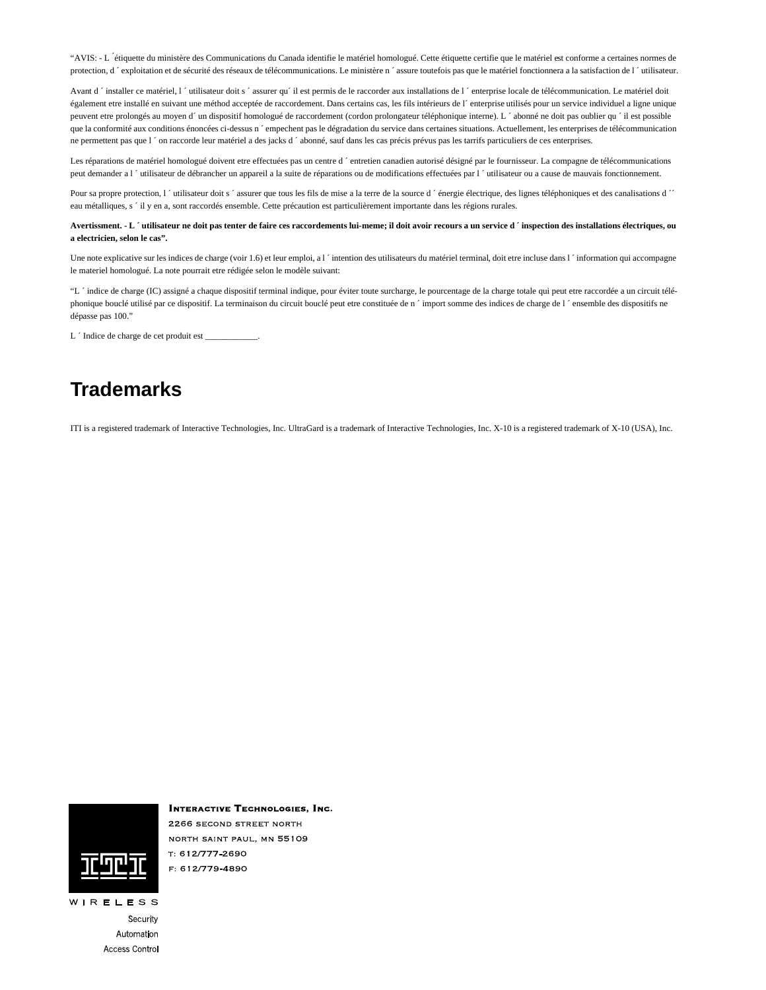"AVIS: - L ´étiquette du ministère des Communications du Canada identifie le matériel homologué. Cette étiquette certifie que le matériel est conforme a certaines normes de protection, d'exploitation et de sécurité des réseaux de télécommunications. Le ministère n'assure toutefois pas que le matériel fonctionnera a la satisfaction de l'utilisateur.

Avant d'installer ce matériel, l'utilisateur doit s'assurer qu'il est permis de le raccorder aux installations de l'enterprise locale de télécommunication. Le matériel doit également etre installé en suivant une méthod acceptée de raccordement. Dans certains cas, les fils intérieurs de l´ enterprise utilisés pour un service individuel a ligne unique peuvent etre prolongés au moyen d´ un dispositif homologué de raccordement (cordon prolongateur téléphonique interne). L ´ abonné ne doit pas oublier qu ´ il est possible que la conformité aux conditions énoncées ci-dessus n ´empechent pas le dégradation du service dans certaines situations. Actuellement, les enterprises de télécommunication ne permettent pas que l ' on raccorde leur matériel a des jacks d ' abonné, sauf dans les cas précis prévus pas les tarrifs particuliers de ces enterprises.

Les réparations de matériel homologué doivent etre effectuées pas un centre d'entretien canadien autorisé désigné par le fournisseur. La compagne de télécommunications peut demander a l ´ utilisateur de débrancher un appareil a la suite de réparations ou de modifications effectuées par l ´ utilisateur ou a cause de mauvais fonctionnement.

Pour sa propre protection, l ´utilisateur doit s ´ assurer que tous les fils de mise a la terre de la source d ´ énergie électrique, des lignes téléphoniques et des canalisations d ´ eau métalliques, s ´ il y en a, sont raccordés ensemble. Cette précaution est particulièrement importante dans les régions rurales.

**Avertissment. - L ´ utilisateur ne doit pas tenter de faire ces raccordements lui-meme; il doit avoir recours a un service d ´ inspection des installations électriques, ou a electricien, selon le cas".**

Une note explicative sur les indices de charge (voir 1.6) et leur emploi, a l ´intention des utilisateurs du matériel terminal, doit etre incluse dans l ´information qui accompagne le materiel homologué. La note pourrait etre rédigée selon le modèle suivant:

"L'indice de charge (IC) assigné a chaque dispositif terminal indique, pour éviter toute surcharge, le pourcentage de la charge totale qui peut etre raccordée a un circuit téléphonique bouclé utilisé par ce dispositif. La terminaison du circuit bouclé peut etre constituée de n ´ import somme des indices de charge de l ´ ensemble des dispositifs ne dépasse pas 100."

L  $\dot{\ }$  Indice de charge de cet produit est \_

## **Trademarks**

ITI is a registered trademark of Interactive Technologies, Inc. UltraGard is a trademark of Interactive Technologies, Inc. X-10 is a registered trademark of X-10 (USA), Inc.



**INTERACTIVE TECHNOLOGIES, INC.** 2266 SECOND STREET NORTH NORTH SAINT PAUL, MN 55109 T: 612/777-2690 F: 612/779-4890

Security Automation Access Control

WIRELESS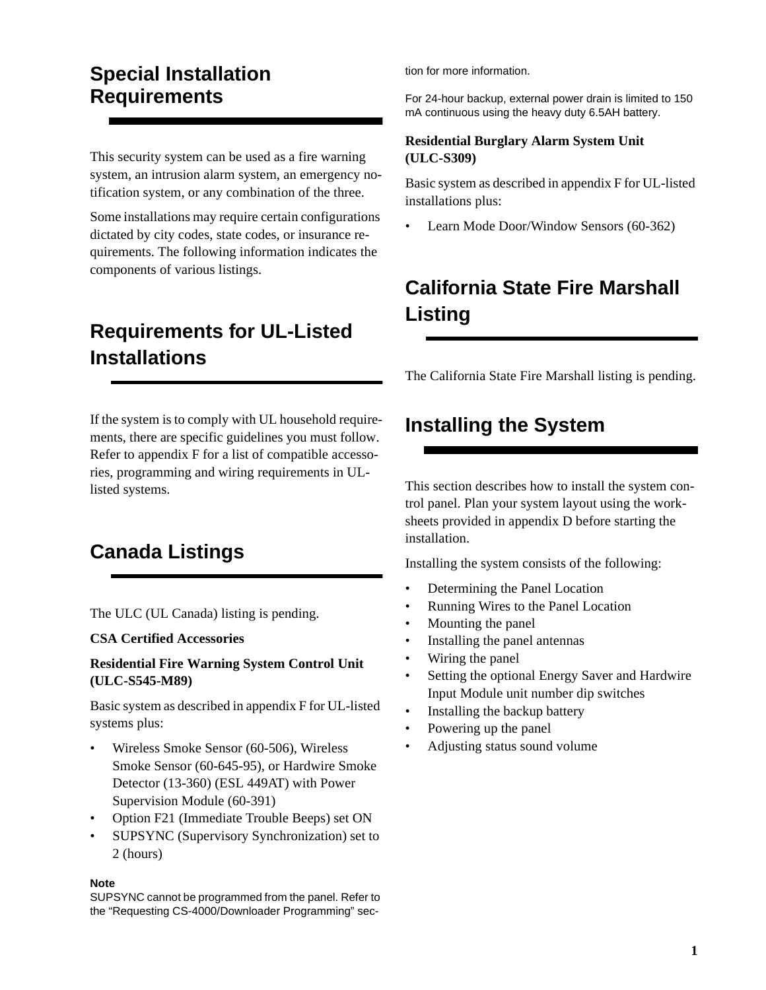## <span id="page-4-0"></span>**Special Installation Requirements**

This security system can be used as a fire warning system, an intrusion alarm system, an emergency notification system, or any combination of the three.

Some installations may require certain configurations dictated by city codes, state codes, or insurance requirements. The following information indicates the components of various listings.

# **Requirements for UL-Listed Installations**

If the system is to comply with UL household requirements, there are specific guidelines you must follow. Refer to appendix F for a list of compatible accessories, programming and wiring requirements in ULlisted systems.

# **Canada Listings**

The ULC (UL Canada) listing is pending.

#### **CSA Certified Accessories**

### **Residential Fire Warning System Control Unit (ULC-S545-M89)**

Basic system as described in appendix F for UL-listed systems plus:

- Wireless Smoke Sensor (60-506), Wireless Smoke Sensor (60-645-95), or Hardwire Smoke Detector (13-360) (ESL 449AT) with Power Supervision Module (60-391)
- Option F21 (Immediate Trouble Beeps) set ON
- SUPSYNC (Supervisory Synchronization) set to 2 (hours)

#### **Note**

SUPSYNC cannot be programmed from the panel. Refer to the "Requesting CS-4000/Downloader Programming" section for more information.

For 24-hour backup, external power drain is limited to 150 mA continuous using the heavy duty 6.5AH battery.

### **Residential Burglary Alarm System Unit (ULC-S309)**

Basic system as described in appendix F for UL-listed installations plus:

• Learn Mode Door/Window Sensors (60-362)

# **California State Fire Marshall Listing**

The California State Fire Marshall listing is pending.

## **Installing the System**

This section describes how to install the system control panel. Plan your system layout using the worksheets provided in appendix D before starting the installation.

Installing the system consists of the following:

- Determining the Panel Location
- Running Wires to the Panel Location
- Mounting the panel
- Installing the panel antennas
- Wiring the panel
- Setting the optional Energy Saver and Hardwire Input Module unit number dip switches
- Installing the backup battery
- Powering up the panel
- Adjusting status sound volume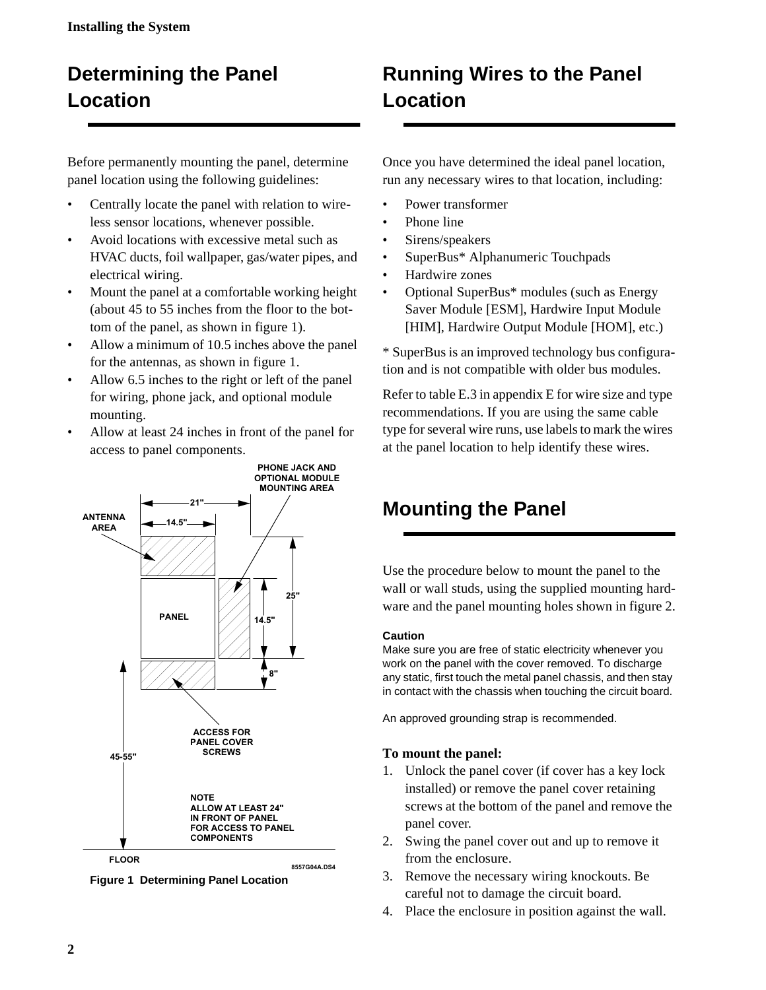# <span id="page-5-0"></span>**Determining the Panel Location**

Before permanently mounting the panel, determine panel location using the following guidelines:

- Centrally locate the panel with relation to wireless sensor locations, whenever possible.
- Avoid locations with excessive metal such as HVAC ducts, foil wallpaper, gas/water pipes, and electrical wiring.
- Mount the panel at a comfortable working height (about 45 to 55 inches from the floor to the bottom of the panel, as shown in figure 1).
- Allow a minimum of 10.5 inches above the panel for the antennas, as shown in figure 1.
- Allow 6.5 inches to the right or left of the panel for wiring, phone jack, and optional module mounting.
- Allow at least 24 inches in front of the panel for access to panel components.



**Figure 1 Determining Panel Location**

# **Running Wires to the Panel Location**

Once you have determined the ideal panel location, run any necessary wires to that location, including:

- Power transformer
- Phone line
- Sirens/speakers
- SuperBus\* Alphanumeric Touchpads
- Hardwire zones
- Optional SuperBus<sup>\*</sup> modules (such as Energy Saver Module [ESM], Hardwire Input Module [HIM], Hardwire Output Module [HOM], etc.)

\* SuperBus is an improved technology bus configuration and is not compatible with older bus modules.

Refer to table E.3 in appendix E for wire size and type recommendations. If you are using the same cable type for several wire runs, use labels to mark the wires at the panel location to help identify these wires.

# **Mounting the Panel**

Use the procedure below to mount the panel to the wall or wall studs, using the supplied mounting hardware and the panel mounting holes shown in figure 2.

### **Caution**

Make sure you are free of static electricity whenever you work on the panel with the cover removed. To discharge any static, first touch the metal panel chassis, and then stay in contact with the chassis when touching the circuit board.

An approved grounding strap is recommended.

### **To mount the panel:**

- 1. Unlock the panel cover (if cover has a key lock installed) or remove the panel cover retaining screws at the bottom of the panel and remove the panel cover.
- 2. Swing the panel cover out and up to remove it from the enclosure.
- 3. Remove the necessary wiring knockouts. Be careful not to damage the circuit board.
- 4. Place the enclosure in position against the wall.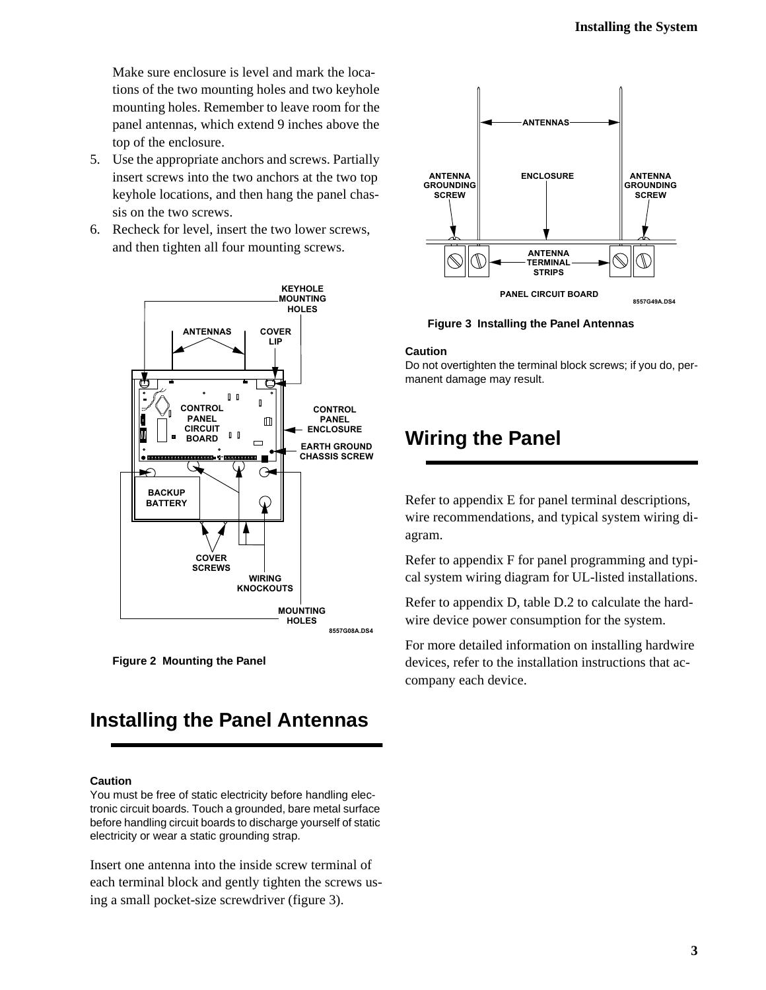<span id="page-6-0"></span>Make sure enclosure is level and mark the locations of the two mounting holes and two keyhole mounting holes. Remember to leave room for the panel antennas, which extend 9 inches above the top of the enclosure.

- 5. Use the appropriate anchors and screws. Partially insert screws into the two anchors at the two top keyhole locations, and then hang the panel chassis on the two screws.
- 6. Recheck for level, insert the two lower screws, and then tighten all four mounting screws.



**Figure 2 Mounting the Panel**

# **Installing the Panel Antennas**

#### **Caution**

You must be free of static electricity before handling electronic circuit boards. Touch a grounded, bare metal surface before handling circuit boards to discharge yourself of static electricity or wear a static grounding strap.

Insert one antenna into the inside screw terminal of each terminal block and gently tighten the screws using a small pocket-size screwdriver (figure 3).



**Figure 3 Installing the Panel Antennas**

#### **Caution**

Do not overtighten the terminal block screws; if you do, permanent damage may result.

## **Wiring the Panel**

Refer to appendix E for panel terminal descriptions, wire recommendations, and typical system wiring diagram.

Refer to appendix F for panel programming and typical system wiring diagram for UL-listed installations.

Refer to appendix D, table D.2 to calculate the hardwire device power consumption for the system.

For more detailed information on installing hardwire devices, refer to the installation instructions that accompany each device.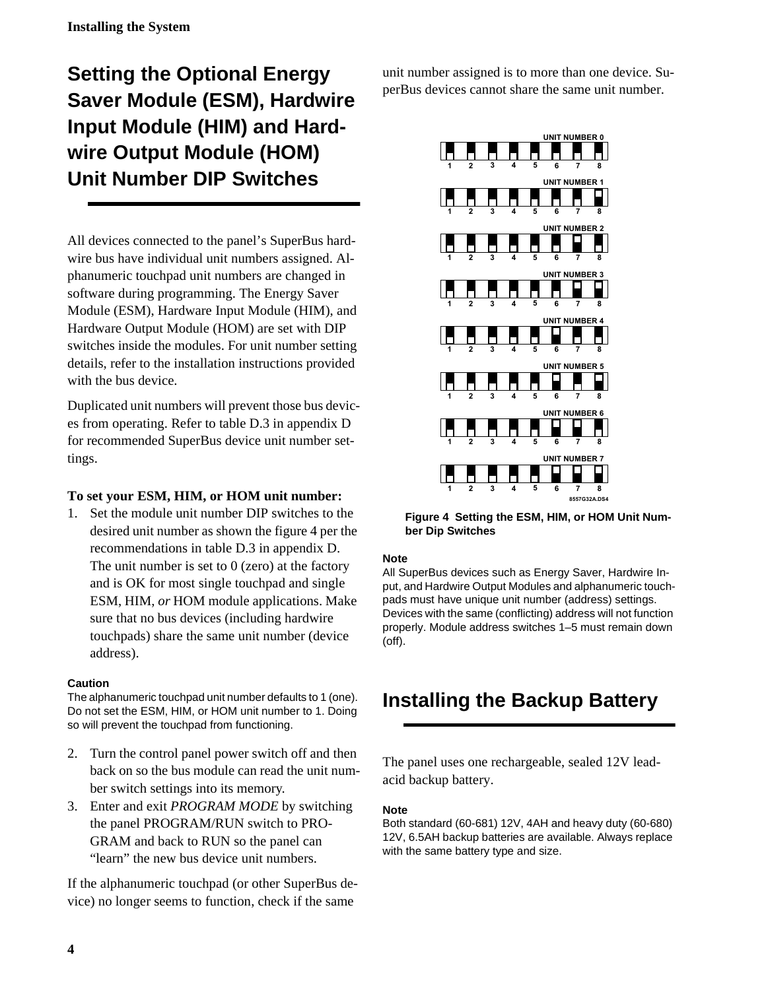# <span id="page-7-0"></span>**Setting the Optional Energy Saver Module (ESM), Hardwire Input Module (HIM) and Hardwire Output Module (HOM) Unit Number DIP Switches**

All devices connected to the panel's SuperBus hardwire bus have individual unit numbers assigned. Alphanumeric touchpad unit numbers are changed in software during programming. The Energy Saver Module (ESM), Hardware Input Module (HIM), and Hardware Output Module (HOM) are set with DIP switches inside the modules. For unit number setting details, refer to the installation instructions provided with the bus device.

Duplicated unit numbers will prevent those bus devices from operating. Refer to table D.3 in appendix D for recommended SuperBus device unit number settings.

### **To set your ESM, HIM, or HOM unit number:**

1. Set the module unit number DIP switches to the desired unit number as shown the figure 4 per the recommendations in table D.3 in appendix D. The unit number is set to  $0$  (zero) at the factory and is OK for most single touchpad and single ESM, HIM, *or* HOM module applications. Make sure that no bus devices (including hardwire touchpads) share the same unit number (device address).

#### **Caution**

The alphanumeric touchpad unit number defaults to 1 (one). Do not set the ESM, HIM, or HOM unit number to 1. Doing so will prevent the touchpad from functioning.

- 2. Turn the control panel power switch off and then back on so the bus module can read the unit number switch settings into its memory.
- 3. Enter and exit *PROGRAM MODE* by switching the panel PROGRAM/RUN switch to PRO-GRAM and back to RUN so the panel can "learn" the new bus device unit numbers.

If the alphanumeric touchpad (or other SuperBus device) no longer seems to function, check if the same

unit number assigned is to more than one device. SuperBus devices cannot share the same unit number.



**Figure 4 Setting the ESM, HIM, or HOM Unit Number Dip Switches**

#### **Note**

All SuperBus devices such as Energy Saver, Hardwire Input, and Hardwire Output Modules and alphanumeric touchpads must have unique unit number (address) settings. Devices with the same (conflicting) address will not function properly. Module address switches 1–5 must remain down (off).

## **Installing the Backup Battery**

The panel uses one rechargeable, sealed 12V leadacid backup battery.

#### **Note**

Both standard (60-681) 12V, 4AH and heavy duty (60-680) 12V, 6.5AH backup batteries are available. Always replace with the same battery type and size.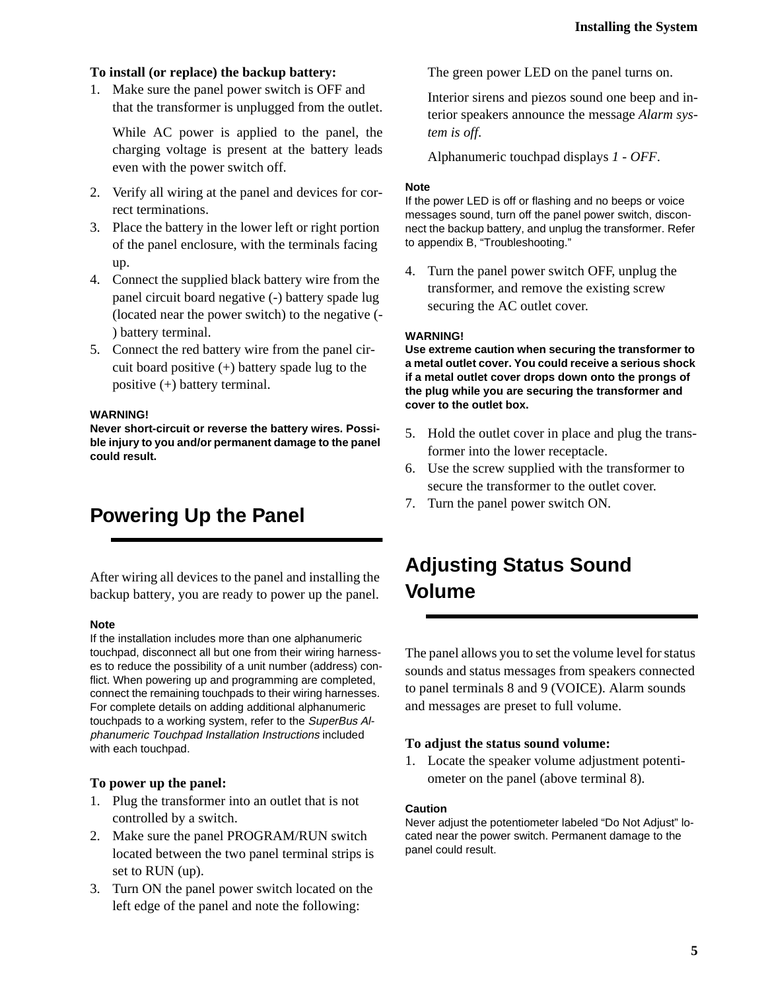#### <span id="page-8-0"></span>**To install (or replace) the backup battery:**

1. Make sure the panel power switch is OFF and that the transformer is unplugged from the outlet.

While AC power is applied to the panel, the charging voltage is present at the battery leads even with the power switch off.

- 2. Verify all wiring at the panel and devices for correct terminations.
- 3. Place the battery in the lower left or right portion of the panel enclosure, with the terminals facing up.
- 4. Connect the supplied black battery wire from the panel circuit board negative (-) battery spade lug (located near the power switch) to the negative (- ) battery terminal.
- 5. Connect the red battery wire from the panel circuit board positive (+) battery spade lug to the positive (+) battery terminal.

#### **WARNING!**

**Never short-circuit or reverse the battery wires. Possible injury to you and/or permanent damage to the panel could result.**

## **Powering Up the Panel**

After wiring all devices to the panel and installing the backup battery, you are ready to power up the panel.

#### **Note**

If the installation includes more than one alphanumeric touchpad, disconnect all but one from their wiring harnesses to reduce the possibility of a unit number (address) conflict. When powering up and programming are completed, connect the remaining touchpads to their wiring harnesses. For complete details on adding additional alphanumeric touchpads to a working system, refer to the SuperBus Alphanumeric Touchpad Installation Instructions included with each touchpad.

#### **To power up the panel:**

- 1. Plug the transformer into an outlet that is not controlled by a switch.
- 2. Make sure the panel PROGRAM/RUN switch located between the two panel terminal strips is set to RUN (up).
- 3. Turn ON the panel power switch located on the left edge of the panel and note the following:

The green power LED on the panel turns on.

Interior sirens and piezos sound one beep and interior speakers announce the message *Alarm system is off*.

Alphanumeric touchpad displays *1 - OFF*.

#### **Note**

If the power LED is off or flashing and no beeps or voice messages sound, turn off the panel power switch, disconnect the backup battery, and unplug the transformer. Refer to appendix B, "Troubleshooting."

4. Turn the panel power switch OFF, unplug the transformer, and remove the existing screw securing the AC outlet cover.

#### **WARNING!**

**Use extreme caution when securing the transformer to a metal outlet cover. You could receive a serious shock if a metal outlet cover drops down onto the prongs of the plug while you are securing the transformer and cover to the outlet box.**

- 5. Hold the outlet cover in place and plug the transformer into the lower receptacle.
- 6. Use the screw supplied with the transformer to secure the transformer to the outlet cover.
- 7. Turn the panel power switch ON.

## **Adjusting Status Sound Volume**

The panel allows you to set the volume level for status sounds and status messages from speakers connected to panel terminals 8 and 9 (VOICE). Alarm sounds and messages are preset to full volume.

#### **To adjust the status sound volume:**

1. Locate the speaker volume adjustment potentiometer on the panel (above terminal 8).

#### **Caution**

Never adjust the potentiometer labeled "Do Not Adjust" located near the power switch. Permanent damage to the panel could result.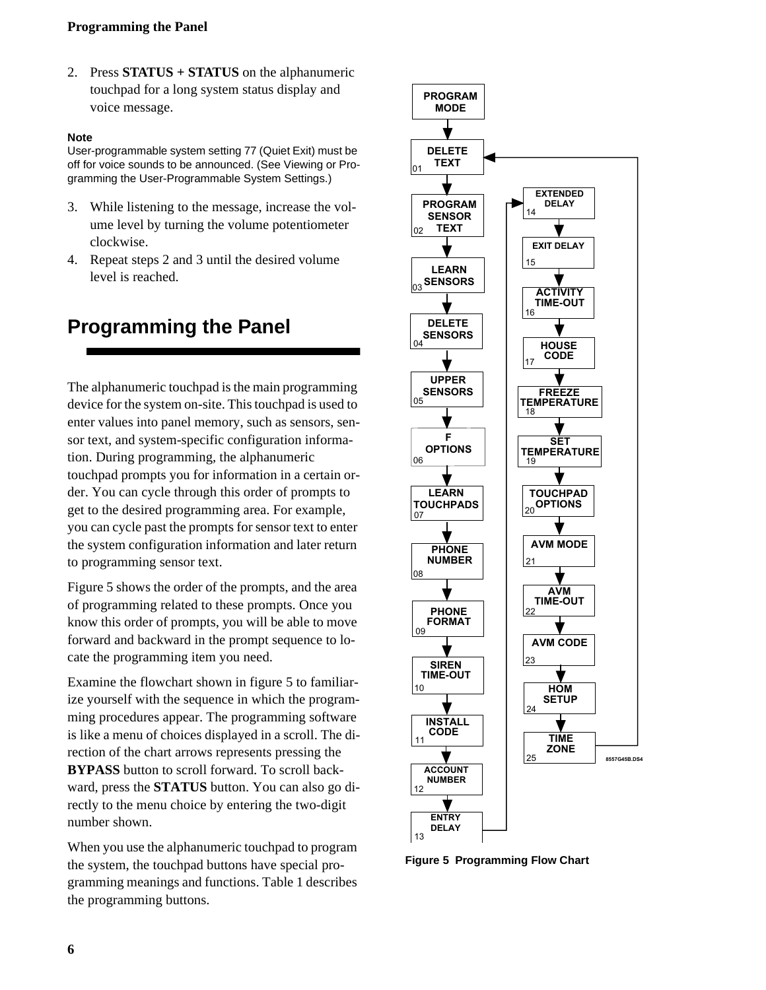### <span id="page-9-0"></span>**Programming the Panel**

2. Press **STATUS + STATUS** on the alphanumeric touchpad for a long system status display and voice message.

#### **Note**

User-programmable system setting 77 (Quiet Exit) must be off for voice sounds to be announced. (See Viewing or Programming the User-Programmable System Settings.)

- 3. While listening to the message, increase the volume level by turning the volume potentiometer clockwise.
- 4. Repeat steps 2 and 3 until the desired volume level is reached.

## **Programming the Panel**

The alphanumeric touchpad is the main programming device for the system on-site. This touchpad is used to enter values into panel memory, such as sensors, sensor text, and system-specific configuration information. During programming, the alphanumeric touchpad prompts you for information in a certain order. You can cycle through this order of prompts to get to the desired programming area. For example, you can cycle past the prompts for sensor text to enter the system configuration information and later return to programming sensor text.

Figure 5 shows the order of the prompts, and the area of programming related to these prompts. Once you know this order of prompts, you will be able to move forward and backward in the prompt sequence to locate the programming item you need.

Examine the flowchart shown in figure 5 to familiarize yourself with the sequence in which the programming procedures appear. The programming software is like a menu of choices displayed in a scroll. The direction of the chart arrows represents pressing the **BYPASS** button to scroll forward. To scroll backward, press the **STATUS** button. You can also go directly to the menu choice by entering the two-digit number shown.

When you use the alphanumeric touchpad to program the system, the touchpad buttons have special programming meanings and functions. Table 1 describes the programming buttons.



**Figure 5 Programming Flow Chart**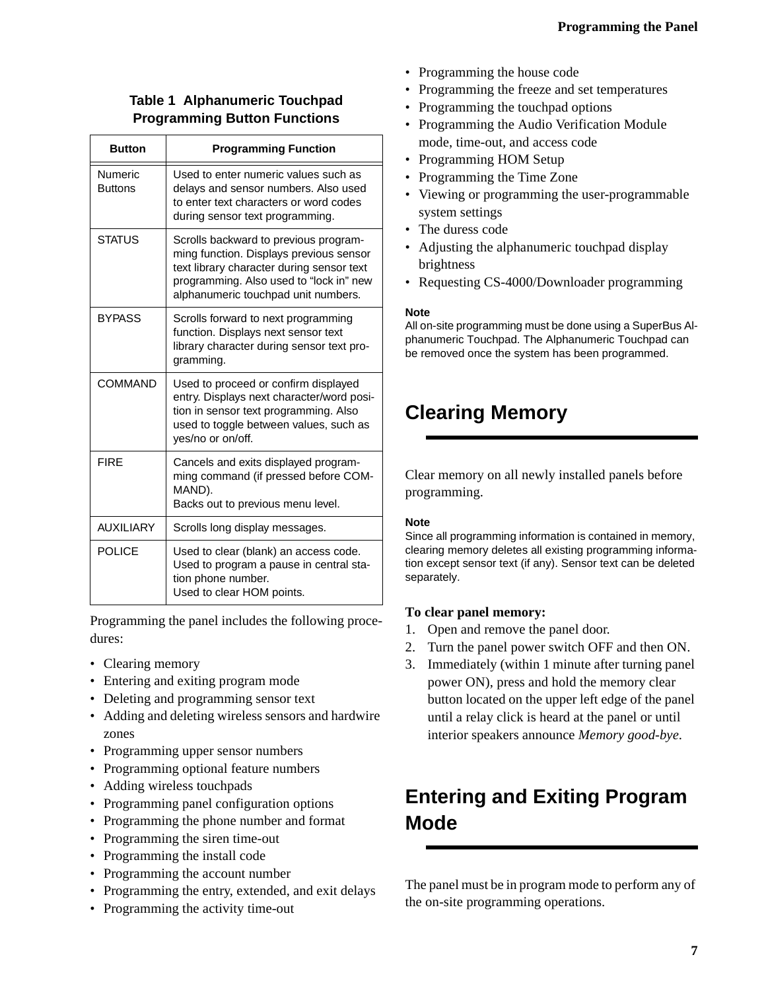### <span id="page-10-0"></span>**Table 1 Alphanumeric Touchpad Programming Button Functions**

| <b>Button</b>             | <b>Programming Function</b>                                                                                                                                                                                     |
|---------------------------|-----------------------------------------------------------------------------------------------------------------------------------------------------------------------------------------------------------------|
| Numeric<br><b>Buttons</b> | Used to enter numeric values such as<br>delays and sensor numbers. Also used<br>to enter text characters or word codes<br>during sensor text programming.                                                       |
| <b>STATUS</b>             | Scrolls backward to previous program-<br>ming function. Displays previous sensor<br>text library character during sensor text<br>programming. Also used to "lock in" new<br>alphanumeric touchpad unit numbers. |
| <b>BYPASS</b>             | Scrolls forward to next programming<br>function. Displays next sensor text<br>library character during sensor text pro-<br>gramming.                                                                            |
| COMMAND                   | Used to proceed or confirm displayed<br>entry. Displays next character/word posi-<br>tion in sensor text programming. Also<br>used to toggle between values, such as<br>yes/no or on/off.                       |
| <b>FIRE</b>               | Cancels and exits displayed program-<br>ming command (if pressed before COM-<br>MAND).<br>Backs out to previous menu level.                                                                                     |
| <b>AUXILIARY</b>          | Scrolls long display messages.                                                                                                                                                                                  |
| <b>POLICE</b>             | Used to clear (blank) an access code.<br>Used to program a pause in central sta-<br>tion phone number.<br>Used to clear HOM points.                                                                             |

Programming the panel includes the following procedures:

- Clearing memory
- Entering and exiting program mode
- Deleting and programming sensor text
- Adding and deleting wireless sensors and hardwire zones
- Programming upper sensor numbers
- Programming optional feature numbers
- Adding wireless touchpads
- Programming panel configuration options
- Programming the phone number and format
- Programming the siren time-out
- Programming the install code
- Programming the account number
- Programming the entry, extended, and exit delays
- Programming the activity time-out
- Programming the house code
- Programming the freeze and set temperatures
- Programming the touchpad options
- Programming the Audio Verification Module mode, time-out, and access code
- Programming HOM Setup
- Programming the Time Zone
- Viewing or programming the user-programmable system settings
- The duress code
- Adjusting the alphanumeric touchpad display brightness
- Requesting CS-4000/Downloader programming

#### **Note**

All on-site programming must be done using a SuperBus Alphanumeric Touchpad. The Alphanumeric Touchpad can be removed once the system has been programmed.

## **Clearing Memory**

Clear memory on all newly installed panels before programming.

### **Note**

Since all programming information is contained in memory, clearing memory deletes all existing programming information except sensor text (if any). Sensor text can be deleted separately.

### **To clear panel memory:**

- 1. Open and remove the panel door.
- 2. Turn the panel power switch OFF and then ON.
- 3. Immediately (within 1 minute after turning panel power ON), press and hold the memory clear button located on the upper left edge of the panel until a relay click is heard at the panel or until interior speakers announce *Memory good-bye*.

## **Entering and Exiting Program Mode**

The panel must be in program mode to perform any of the on-site programming operations.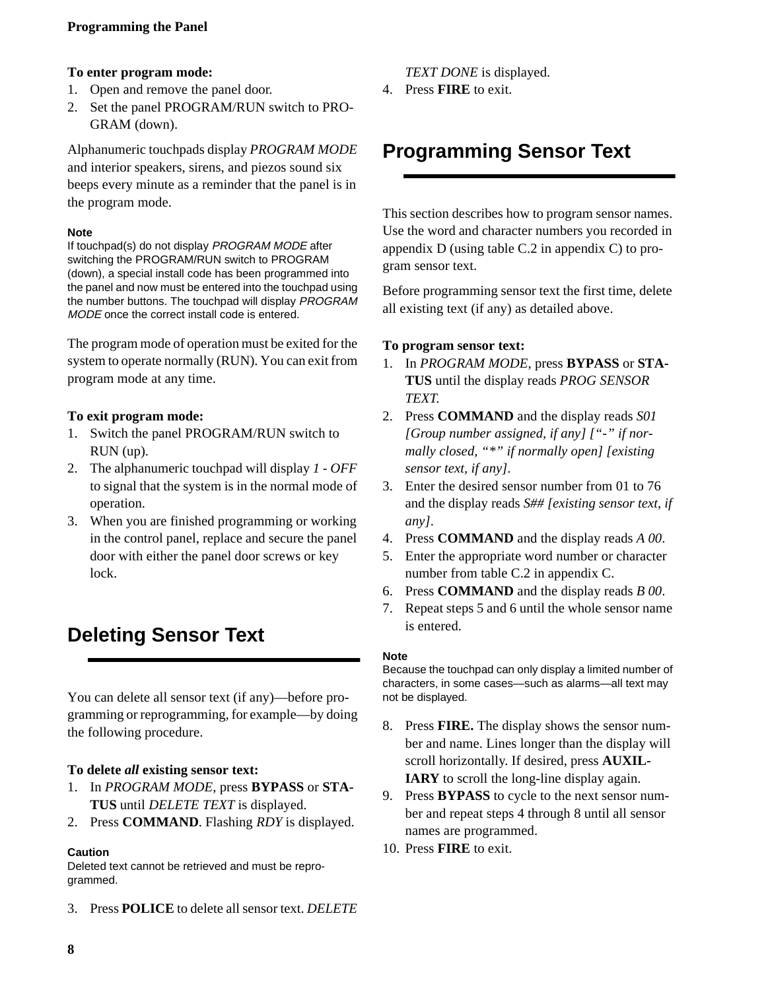### <span id="page-11-0"></span>**Programming the Panel**

#### **To enter program mode:**

- 1. Open and remove the panel door.
- 2. Set the panel PROGRAM/RUN switch to PRO-GRAM (down).

Alphanumeric touchpads display *PROGRAM MODE*  and interior speakers, sirens, and piezos sound six beeps every minute as a reminder that the panel is in the program mode.

#### **Note**

If touchpad(s) do not display PROGRAM MODE after switching the PROGRAM/RUN switch to PROGRAM (down), a special install code has been programmed into the panel and now must be entered into the touchpad using the number buttons. The touchpad will display PROGRAM MODE once the correct install code is entered.

The program mode of operation must be exited for the system to operate normally (RUN). You can exit from program mode at any time.

#### **To exit program mode:**

- 1. Switch the panel PROGRAM/RUN switch to RUN (up).
- 2. The alphanumeric touchpad will display *1 OFF* to signal that the system is in the normal mode of operation.
- 3. When you are finished programming or working in the control panel, replace and secure the panel door with either the panel door screws or key lock.

## **Deleting Sensor Text**

You can delete all sensor text (if any)—before programming or reprogramming, for example—by doing the following procedure.

#### **To delete** *all* **existing sensor text:**

- 1. In *PROGRAM MODE*, press **BYPASS** or **STA-TUS** until *DELETE TEXT* is displayed.
- 2. Press **COMMAND**. Flashing *RDY* is displayed.

#### **Caution**

Deleted text cannot be retrieved and must be reprogrammed.

3. Press **POLICE** to delete all sensor text. *DELETE* 

*TEXT DONE* is displayed.

4. Press **FIRE** to exit.

## **Programming Sensor Text**

This section describes how to program sensor names. Use the word and character numbers you recorded in appendix D (using table C.2 in appendix C) to program sensor text.

Before programming sensor text the first time, delete all existing text (if any) as detailed above.

#### **To program sensor text:**

- 1. In *PROGRAM MODE*, press **BYPASS** or **STA-TUS** until the display reads *PROG SENSOR TEXT*.
- 2. Press **COMMAND** and the display reads *S01 [Group number assigned, if any] ["-" if normally closed, "\*" if normally open] [existing sensor text, if any]*.
- 3. Enter the desired sensor number from 01 to 76 and the display reads *S## [existing sensor text, if any]*.
- 4. Press **COMMAND** and the display reads *A 00*.
- 5. Enter the appropriate word number or character number from table C.2 in appendix C.
- 6. Press **COMMAND** and the display reads *B 00*.
- 7. Repeat steps 5 and 6 until the whole sensor name is entered.

#### **Note**

Because the touchpad can only display a limited number of characters, in some cases—such as alarms—all text may not be displayed.

- 8. Press **FIRE.** The display shows the sensor number and name. Lines longer than the display will scroll horizontally. If desired, press **AUXIL-IARY** to scroll the long-line display again.
- 9. Press **BYPASS** to cycle to the next sensor number and repeat steps 4 through 8 until all sensor names are programmed.
- 10. Press **FIRE** to exit.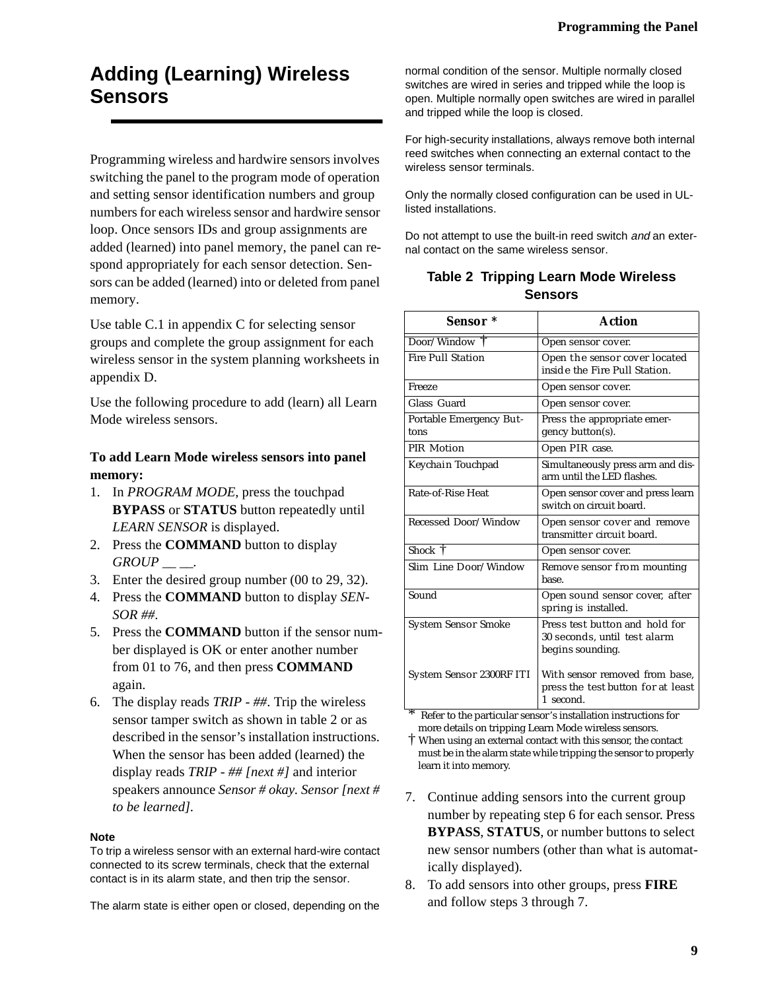## <span id="page-12-0"></span>**Adding (Learning) Wireless Sensors**

Programming wireless and hardwire sensors involves switching the panel to the program mode of operation and setting sensor identification numbers and group numbers for each wireless sensor and hardwire sensor loop. Once sensors IDs and group assignments are added (learned) into panel memory, the panel can respond appropriately for each sensor detection. Sensors can be added (learned) into or deleted from panel memory.

Use table C.1 in appendix C for selecting sensor groups and complete the group assignment for each wireless sensor in the system planning worksheets in appendix D.

Use the following procedure to add (learn) all Learn Mode wireless sensors.

### **To add Learn Mode wireless sensors into panel memory:**

- 1. In *PROGRAM MODE*, press the touchpad **BYPASS** or **STATUS** button repeatedly until *LEARN SENSOR* is displayed.
- 2. Press the **COMMAND** button to display *GROUP \_\_ \_\_.*
- 3. Enter the desired group number (00 to 29, 32).
- 4. Press the **COMMAND** button to display *SEN-SOR ##*.
- 5. Press the **COMMAND** button if the sensor number displayed is OK or enter another number from 01 to 76, and then press **COMMAND** again.
- 6. The display reads *TRIP ##*. Trip the wireless sensor tamper switch as shown in table 2 or as described in the sensor's installation instructions. When the sensor has been added (learned) the display reads *TRIP - ## [next #]* and interior speakers announce *Sensor # okay. Sensor [next # to be learned].*

#### **Note**

To trip a wireless sensor with an external hard-wire contact connected to its screw terminals, check that the external contact is in its alarm state, and then trip the sensor.

The alarm state is either open or closed, depending on the

normal condition of the sensor. Multiple normally closed switches are wired in series and tripped while the loop is open. Multiple normally open switches are wired in parallel and tripped while the loop is closed.

For high-security installations, always remove both internal reed switches when connecting an external contact to the wireless sensor terminals.

Only the normally closed configuration can be used in ULlisted installations.

Do not attempt to use the built-in reed switch and an external contact on the same wireless sensor.

### **Table 2 Tripping Learn Mode Wireless Sensors**

| Sensor *                        | Action                                                                             |
|---------------------------------|------------------------------------------------------------------------------------|
| Door/Window T                   | Open sensor cover.                                                                 |
| <b>Fire Pull Station</b>        | Open the sensor cover located<br>inside the Fire Pull Station.                     |
| Freeze                          | Open sensor cover.                                                                 |
| Glass Guard                     | Open sensor cover.                                                                 |
| Portable Emergency But-<br>tons | Press the appropriate emer-<br>gency button(s).                                    |
| PIR Motion                      | Open PIR case.                                                                     |
| Keychain Touchpad               | Simultaneously press arm and dis-<br>arm until the LED flashes.                    |
| Rate-of-Rise Heat               | Open sensor cover and press learn<br>switch on circuit board.                      |
| Recessed Door/Window            | Open sensor cover and remove<br>transmitter circuit board.                         |
| Shock $\dagger$                 | Open sensor cover.                                                                 |
| Slim Line Door/Window           | Remove sensor from mounting<br>hase.                                               |
| Sound                           | Open sound sensor cover, after<br>spring is installed.                             |
| <b>System Sensor Smoke</b>      | Press test button and hold for<br>30 seconds, until test alarm<br>begins sounding. |
| System Sensor 2300RF ITI        | With sensor removed from base,<br>press the test button for at least<br>1 second.  |

Refer to the particular sensor's installation instructions for more details on tripping Learn Mode wireless sensors.

† When using an external contact with this sensor, the contact must be in the alarm state while tripping the sensor to properly learn it into memory.

- 7. Continue adding sensors into the current group number by repeating step 6 for each sensor. Press **BYPASS**, **STATUS**, or number buttons to select new sensor numbers (other than what is automatically displayed).
- 8. To add sensors into other groups, press **FIRE** and follow steps 3 through 7.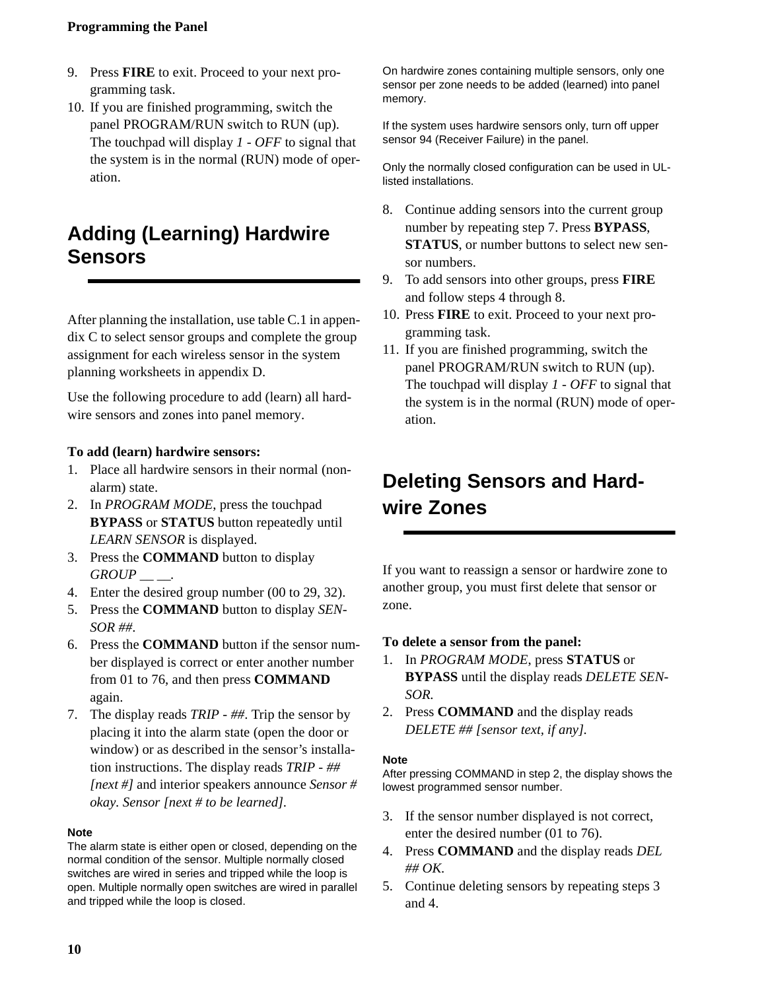### <span id="page-13-0"></span>**Programming the Panel**

- 9. Press **FIRE** to exit. Proceed to your next programming task.
- 10. If you are finished programming, switch the panel PROGRAM/RUN switch to RUN (up). The touchpad will display *1 - OFF* to signal that the system is in the normal (RUN) mode of operation.

## **Adding (Learning) Hardwire Sensors**

After planning the installation, use table C.1 in appendix C to select sensor groups and complete the group assignment for each wireless sensor in the system planning worksheets in appendix D.

Use the following procedure to add (learn) all hardwire sensors and zones into panel memory.

#### **To add (learn) hardwire sensors:**

- 1. Place all hardwire sensors in their normal (nonalarm) state.
- 2. In *PROGRAM MODE*, press the touchpad **BYPASS** or **STATUS** button repeatedly until *LEARN SENSOR* is displayed.
- 3. Press the **COMMAND** button to display *GROUP \_\_ \_\_.*
- 4. Enter the desired group number (00 to 29, 32).
- 5. Press the **COMMAND** button to display *SEN-SOR ##*.
- 6. Press the **COMMAND** button if the sensor number displayed is correct or enter another number from 01 to 76, and then press **COMMAND** again.
- 7. The display reads *TRIP ##*. Trip the sensor by placing it into the alarm state (open the door or window) or as described in the sensor's installation instructions. The display reads *TRIP - ## [next #]* and interior speakers announce *Sensor # okay. Sensor [next # to be learned].*

#### **Note**

The alarm state is either open or closed, depending on the normal condition of the sensor. Multiple normally closed switches are wired in series and tripped while the loop is open. Multiple normally open switches are wired in parallel and tripped while the loop is closed.

On hardwire zones containing multiple sensors, only one sensor per zone needs to be added (learned) into panel memory.

If the system uses hardwire sensors only, turn off upper sensor 94 (Receiver Failure) in the panel.

Only the normally closed configuration can be used in ULlisted installations.

- 8. Continue adding sensors into the current group number by repeating step 7. Press **BYPASS**, **STATUS**, or number buttons to select new sensor numbers.
- 9. To add sensors into other groups, press **FIRE** and follow steps 4 through 8.
- 10. Press **FIRE** to exit. Proceed to your next programming task.
- 11. If you are finished programming, switch the panel PROGRAM/RUN switch to RUN (up). The touchpad will display *1 - OFF* to signal that the system is in the normal (RUN) mode of operation.

## **Deleting Sensors and Hardwire Zones**

If you want to reassign a sensor or hardwire zone to another group, you must first delete that sensor or zone.

#### **To delete a sensor from the panel:**

- 1. In *PROGRAM MODE*, press **STATUS** or **BYPASS** until the display reads *DELETE SEN-SOR.*
- 2. Press **COMMAND** and the display reads *DELETE ## [sensor text, if any].*

#### **Note**

After pressing COMMAND in step 2, the display shows the lowest programmed sensor number.

- 3. If the sensor number displayed is not correct, enter the desired number (01 to 76).
- 4. Press **COMMAND** and the display reads *DEL ## OK.*
- 5. Continue deleting sensors by repeating steps 3 and 4.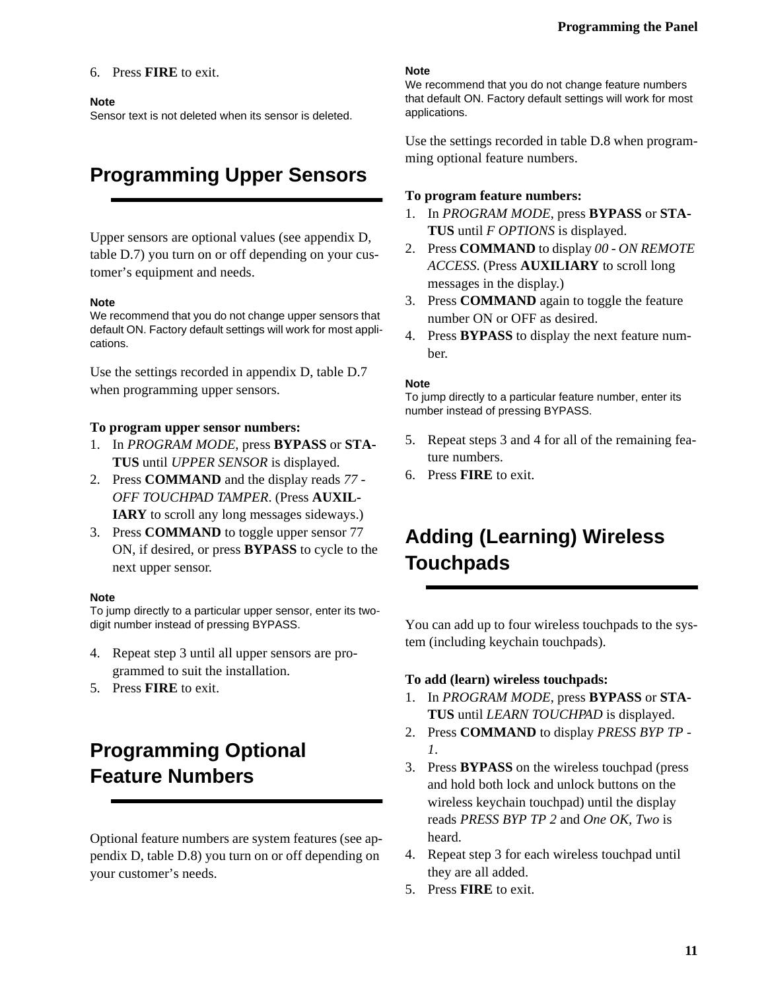#### <span id="page-14-0"></span>6. Press **FIRE** to exit.

#### **Note**

Sensor text is not deleted when its sensor is deleted.

## **Programming Upper Sensors**

Upper sensors are optional values (see appendix D, table D.7) you turn on or off depending on your customer's equipment and needs.

#### **Note**

We recommend that you do not change upper sensors that default ON. Factory default settings will work for most applications.

Use the settings recorded in appendix D, table D.7 when programming upper sensors.

#### **To program upper sensor numbers:**

- 1. In *PROGRAM MODE*, press **BYPASS** or **STA-TUS** until *UPPER SENSOR* is displayed.
- 2. Press **COMMAND** and the display reads *77 OFF TOUCHPAD TAMPER*. (Press **AUXIL-IARY** to scroll any long messages sideways.)
- 3. Press **COMMAND** to toggle upper sensor 77 ON, if desired, or press **BYPASS** to cycle to the next upper sensor.

#### **Note**

To jump directly to a particular upper sensor, enter its twodigit number instead of pressing BYPASS.

- 4. Repeat step 3 until all upper sensors are programmed to suit the installation.
- 5. Press **FIRE** to exit.

# **Programming Optional Feature Numbers**

Optional feature numbers are system features (see appendix D, table D.8) you turn on or off depending on your customer's needs.

#### **Note**

We recommend that you do not change feature numbers that default ON. Factory default settings will work for most applications.

Use the settings recorded in table D.8 when programming optional feature numbers.

#### **To program feature numbers:**

- 1. In *PROGRAM MODE*, press **BYPASS** or **STA-TUS** until *F OPTIONS* is displayed.
- 2. Press **COMMAND** to display *00 ON REMOTE ACCESS*. (Press **AUXILIARY** to scroll long messages in the display.)
- 3. Press **COMMAND** again to toggle the feature number ON or OFF as desired.
- 4. Press **BYPASS** to display the next feature number.

#### **Note**

To jump directly to a particular feature number, enter its number instead of pressing BYPASS.

- 5. Repeat steps 3 and 4 for all of the remaining feature numbers.
- 6. Press **FIRE** to exit.

## **Adding (Learning) Wireless Touchpads**

You can add up to four wireless touchpads to the system (including keychain touchpads).

#### **To add (learn) wireless touchpads:**

- 1. In *PROGRAM MODE*, press **BYPASS** or **STA-TUS** until *LEARN TOUCHPAD* is displayed.
- 2. Press **COMMAND** to display *PRESS BYP TP 1*.
- 3. Press **BYPASS** on the wireless touchpad (press and hold both lock and unlock buttons on the wireless keychain touchpad) until the display reads *PRESS BYP TP 2* and *One OK, Two* is heard.
- 4. Repeat step 3 for each wireless touchpad until they are all added.
- 5. Press **FIRE** to exit.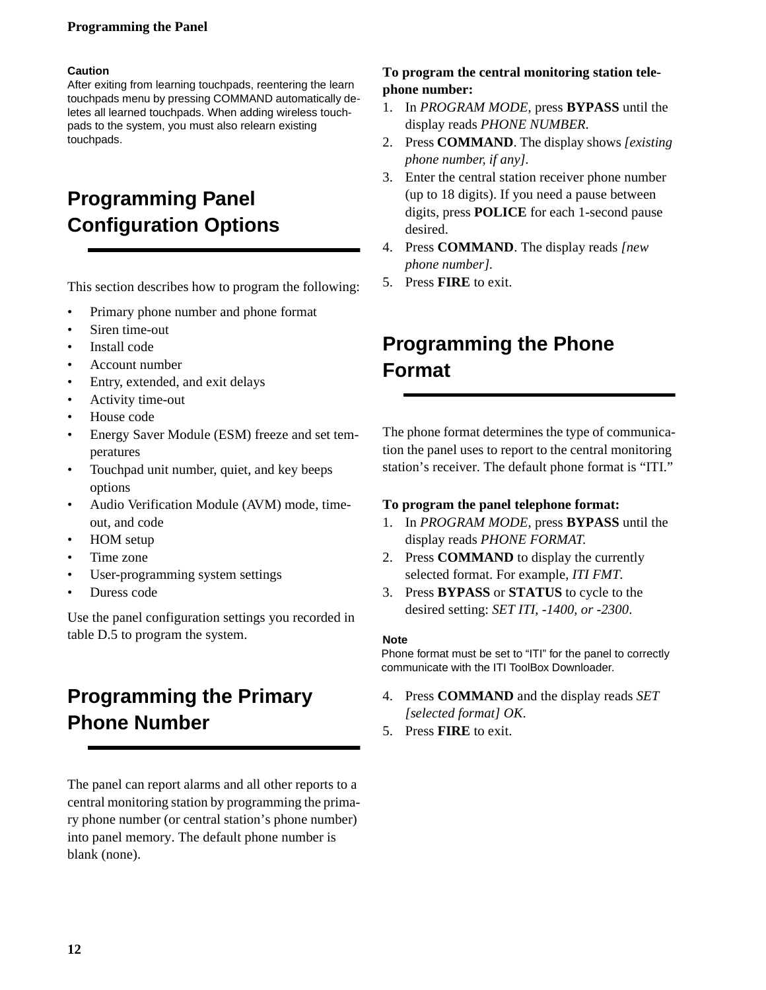### <span id="page-15-0"></span>**Programming the Panel**

#### **Caution**

After exiting from learning touchpads, reentering the learn touchpads menu by pressing COMMAND automatically deletes all learned touchpads. When adding wireless touchpads to the system, you must also relearn existing touchpads.

# **Programming Panel Configuration Options**

This section describes how to program the following:

- Primary phone number and phone format
- Siren time-out
- Install code
- Account number
- Entry, extended, and exit delays
- Activity time-out
- House code
- Energy Saver Module (ESM) freeze and set temperatures
- Touchpad unit number, quiet, and key beeps options
- Audio Verification Module (AVM) mode, timeout, and code
- HOM setup
- Time zone
- User-programming system settings
- Duress code

Use the panel configuration settings you recorded in table D.5 to program the system.

## **Programming the Primary Phone Number**

The panel can report alarms and all other reports to a central monitoring station by programming the primary phone number (or central station's phone number) into panel memory. The default phone number is blank (none).

### **To program the central monitoring station telephone number:**

- 1. In *PROGRAM MODE*, press **BYPASS** until the display reads *PHONE NUMBER.*
- 2. Press **COMMAND**. The display shows *[existing phone number, if any].*
- 3. Enter the central station receiver phone number (up to 18 digits). If you need a pause between digits, press **POLICE** for each 1-second pause desired.
- 4. Press **COMMAND**. The display reads *[new phone number].*
- 5. Press **FIRE** to exit.

## **Programming the Phone Format**

The phone format determines the type of communication the panel uses to report to the central monitoring station's receiver. The default phone format is "ITI."

### **To program the panel telephone format:**

- 1. In *PROGRAM MODE*, press **BYPASS** until the display reads *PHONE FORMAT*.
- 2. Press **COMMAND** to display the currently selected format. For example, *ITI FMT.*
- 3. Press **BYPASS** or **STATUS** to cycle to the desired setting: *SET ITI, -1400, or -2300*.

#### **Note**

Phone format must be set to "ITI" for the panel to correctly communicate with the ITI ToolBox Downloader.

- 4. Press **COMMAND** and the display reads *SET [selected format] OK*.
- 5. Press **FIRE** to exit.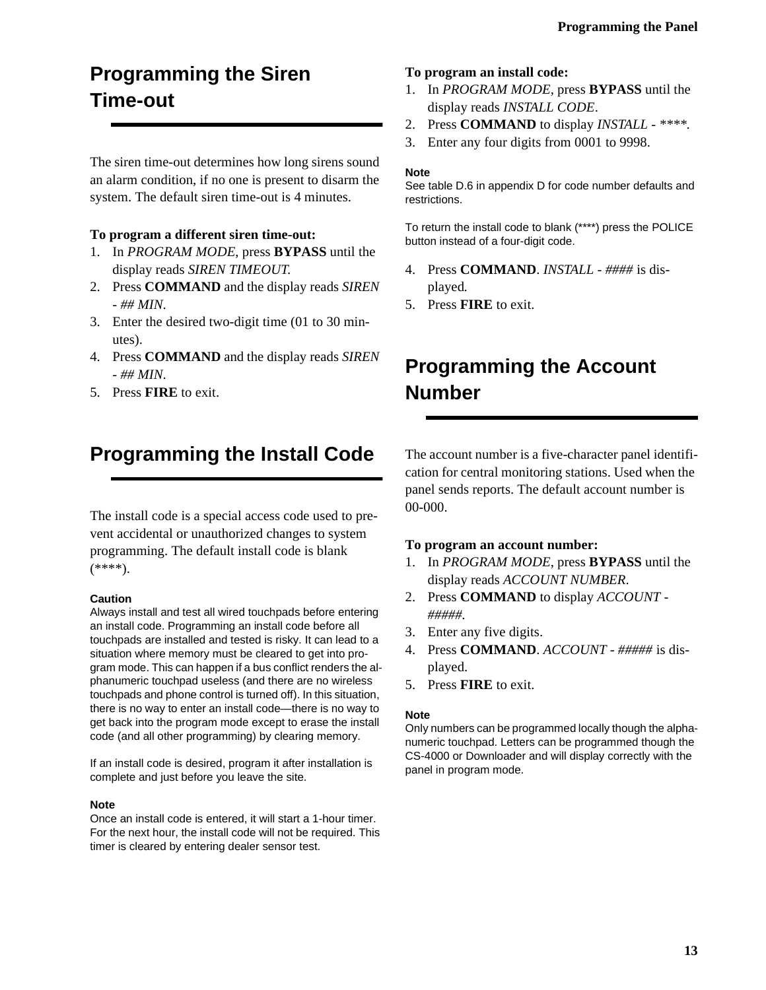# <span id="page-16-0"></span>**Programming the Siren Time-out**

The siren time-out determines how long sirens sound an alarm condition, if no one is present to disarm the system. The default siren time-out is 4 minutes.

#### **To program a different siren time-out:**

- 1. In *PROGRAM MODE*, press **BYPASS** until the display reads *SIREN TIMEOUT*.
- 2. Press **COMMAND** and the display reads *SIREN - ## MIN*.
- 3. Enter the desired two-digit time (01 to 30 minutes).
- 4. Press **COMMAND** and the display reads *SIREN - ## MIN*.
- 5. Press **FIRE** to exit.

## **Programming the Install Code**

The install code is a special access code used to prevent accidental or unauthorized changes to system programming. The default install code is blank (\*\*\*\*).

#### **Caution**

Always install and test all wired touchpads before entering an install code. Programming an install code before all touchpads are installed and tested is risky. It can lead to a situation where memory must be cleared to get into program mode. This can happen if a bus conflict renders the alphanumeric touchpad useless (and there are no wireless touchpads and phone control is turned off). In this situation, there is no way to enter an install code—there is no way to get back into the program mode except to erase the install code (and all other programming) by clearing memory.

If an install code is desired, program it after installation is complete and just before you leave the site.

#### **Note**

Once an install code is entered, it will start a 1-hour timer. For the next hour, the install code will not be required. This timer is cleared by entering dealer sensor test.

#### **To program an install code:**

- 1. In *PROGRAM MODE*, press **BYPASS** until the display reads *INSTALL CODE*.
- 2. Press **COMMAND** to display *INSTALL \*\*\*\*.*
- 3. Enter any four digits from 0001 to 9998.

#### **Note**

See table D.6 in appendix D for code number defaults and restrictions.

To return the install code to blank (\*\*\*\*) press the POLICE button instead of a four-digit code.

- 4. Press **COMMAND**. *INSTALL ####* is displayed*.*
- 5. Press **FIRE** to exit.

## **Programming the Account Number**

The account number is a five-character panel identification for central monitoring stations. Used when the panel sends reports. The default account number is 00-000.

#### **To program an account number:**

- 1. In *PROGRAM MODE*, press **BYPASS** until the display reads *ACCOUNT NUMBER*.
- 2. Press **COMMAND** to display *ACCOUNT #####.*
- 3. Enter any five digits.
- 4. Press **COMMAND**. *ACCOUNT #####* is displayed.
- 5. Press **FIRE** to exit.

#### **Note**

Only numbers can be programmed locally though the alphanumeric touchpad. Letters can be programmed though the CS-4000 or Downloader and will display correctly with the panel in program mode.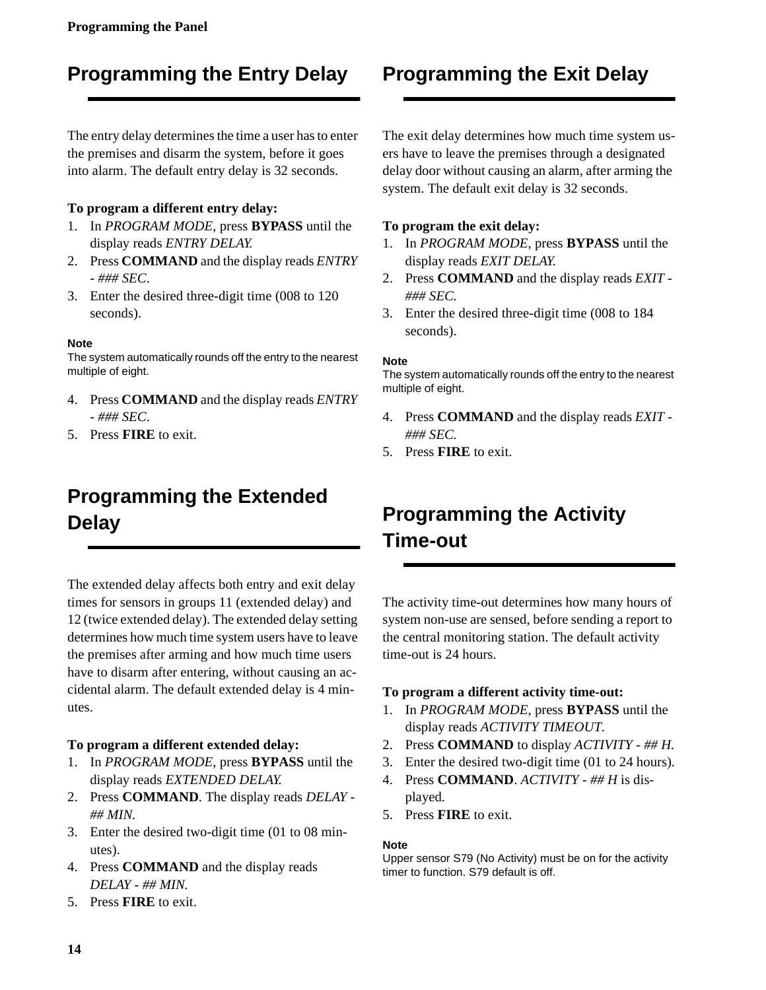# <span id="page-17-0"></span>**Programming the Entry Delay**

The entry delay determines the time a user has to enter the premises and disarm the system, before it goes into alarm. The default entry delay is 32 seconds.

### **To program a different entry delay:**

- 1. In *PROGRAM MODE*, press **BYPASS** until the display reads *ENTRY DELAY*.
- 2. Press **COMMAND** and the display reads *ENTRY - ### SEC*.
- 3. Enter the desired three-digit time (008 to 120 seconds).

### **Note**

The system automatically rounds off the entry to the nearest multiple of eight.

- 4. Press **COMMAND** and the display reads *ENTRY - ### SEC*.
- 5. Press **FIRE** to exit.

# **Programming the Extended Delay**

The extended delay affects both entry and exit delay times for sensors in groups 11 (extended delay) and 12 (twice extended delay). The extended delay setting determines how much time system users have to leave the premises after arming and how much time users have to disarm after entering, without causing an accidental alarm. The default extended delay is 4 minutes.

### **To program a different extended delay:**

- 1. In *PROGRAM MODE*, press **BYPASS** until the display reads *EXTENDED DELAY*.
- 2. Press **COMMAND**. The display reads *DELAY ## MIN.*
- 3. Enter the desired two-digit time (01 to 08 minutes).
- 4. Press **COMMAND** and the display reads *DELAY - ## MIN.*
- 5. Press **FIRE** to exit.

# **Programming the Exit Delay**

The exit delay determines how much time system users have to leave the premises through a designated delay door without causing an alarm, after arming the system. The default exit delay is 32 seconds.

### **To program the exit delay:**

- 1. In *PROGRAM MODE*, press **BYPASS** until the display reads *EXIT DELAY.*
- 2. Press **COMMAND** and the display reads *EXIT ### SEC.*
- 3. Enter the desired three-digit time (008 to 184 seconds).

### **Note**

The system automatically rounds off the entry to the nearest multiple of eight.

- 4. Press **COMMAND** and the display reads *EXIT ### SEC.*
- 5. Press **FIRE** to exit.

# **Programming the Activity Time-out**

The activity time-out determines how many hours of system non-use are sensed, before sending a report to the central monitoring station. The default activity time-out is 24 hours.

### **To program a different activity time-out:**

- 1. In *PROGRAM MODE*, press **BYPASS** until the display reads *ACTIVITY TIMEOUT.*
- 2. Press **COMMAND** to display *ACTIVITY ## H.*
- 3. Enter the desired two-digit time (01 to 24 hours).
- 4. Press **COMMAND**. *ACTIVITY ## H* is displayed*.*
- 5. Press **FIRE** to exit.

#### **Note**

Upper sensor S79 (No Activity) must be on for the activity timer to function. S79 default is off.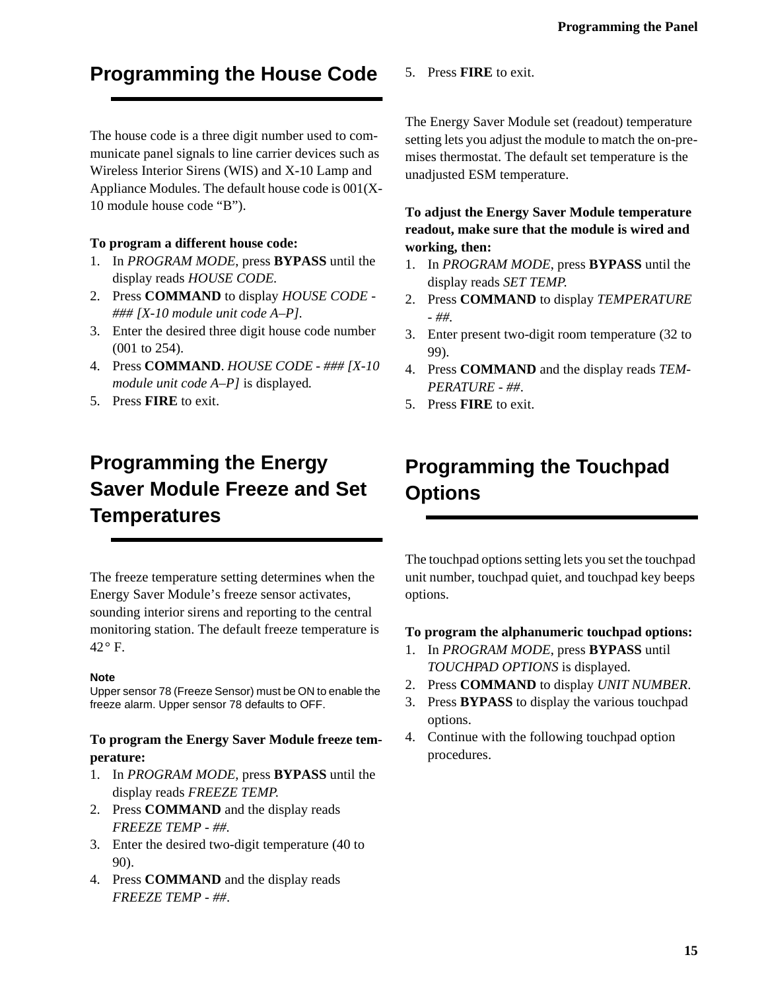# <span id="page-18-0"></span>**Programming the House Code**

The house code is a three digit number used to communicate panel signals to line carrier devices such as Wireless Interior Sirens (WIS) and X-10 Lamp and Appliance Modules. The default house code is 001(X-10 module house code "B").

### **To program a different house code:**

- 1. In *PROGRAM MODE*, press **BYPASS** until the display reads *HOUSE CODE.*
- 2. Press **COMMAND** to display *HOUSE CODE ### [X-10 module unit code A–P].*
- 3. Enter the desired three digit house code number (001 to 254).
- 4. Press **COMMAND**. *HOUSE CODE ### [X-10 module unit code A–P]* is displayed*.*
- 5. Press **FIRE** to exit.

# **Programming the Energy Saver Module Freeze and Set Temperatures**

The freeze temperature setting determines when the Energy Saver Module's freeze sensor activates, sounding interior sirens and reporting to the central monitoring station. The default freeze temperature is 42° F.

### **Note**

Upper sensor 78 (Freeze Sensor) must be ON to enable the freeze alarm. Upper sensor 78 defaults to OFF.

### **To program the Energy Saver Module freeze temperature:**

- 1. In *PROGRAM MODE*, press **BYPASS** until the display reads *FREEZE TEMP*.
- 2. Press **COMMAND** and the display reads *FREEZE TEMP - ##.*
- 3. Enter the desired two-digit temperature (40 to 90).
- 4. Press **COMMAND** and the display reads *FREEZE TEMP - ##*.

5. Press **FIRE** to exit.

The Energy Saver Module set (readout) temperature setting lets you adjust the module to match the on-premises thermostat. The default set temperature is the unadjusted ESM temperature.

**To adjust the Energy Saver Module temperature readout, make sure that the module is wired and working, then:**

- 1. In *PROGRAM MODE*, press **BYPASS** until the display reads *SET TEMP*.
- 2. Press **COMMAND** to display *TEMPERATURE - ##.*
- 3. Enter present two-digit room temperature (32 to 99).
- 4. Press **COMMAND** and the display reads *TEM-PERATURE - ##*.
- 5. Press **FIRE** to exit.

# **Programming the Touchpad Options**

The touchpad options setting lets you set the touchpad unit number, touchpad quiet, and touchpad key beeps options.

### **To program the alphanumeric touchpad options:**

- 1. In *PROGRAM MODE*, press **BYPASS** until *TOUCHPAD OPTIONS* is displayed.
- 2. Press **COMMAND** to display *UNIT NUMBER*.
- 3. Press **BYPASS** to display the various touchpad options.
- 4. Continue with the following touchpad option procedures.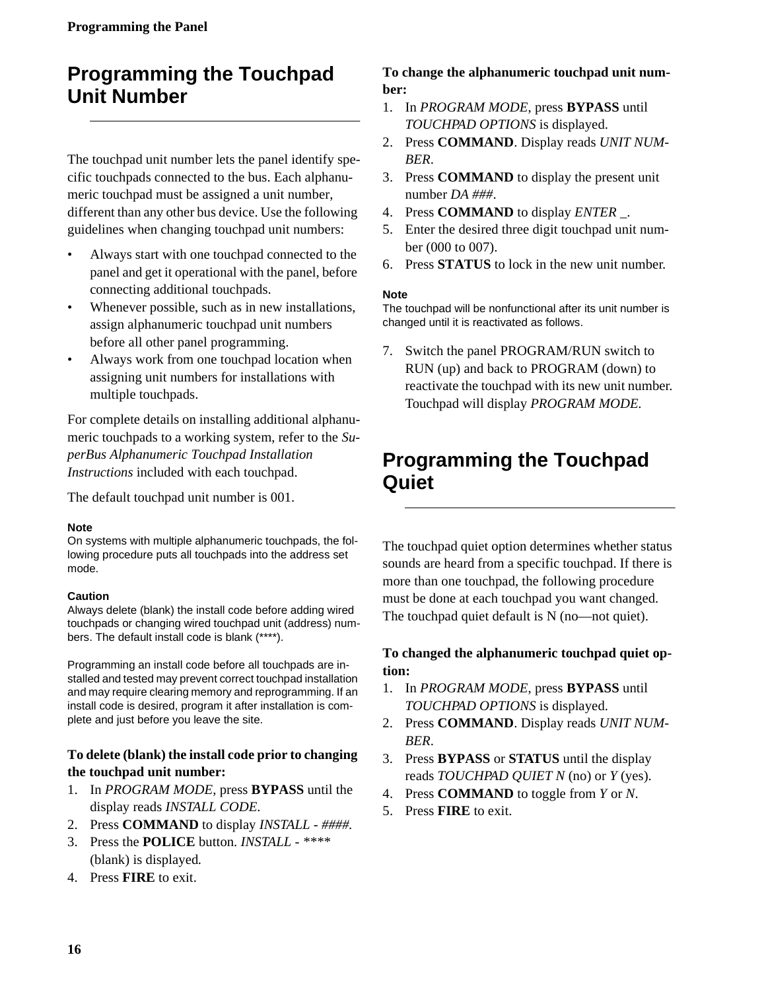## <span id="page-19-0"></span>**Programming the Touchpad Unit Number**

The touchpad unit number lets the panel identify specific touchpads connected to the bus. Each alphanumeric touchpad must be assigned a unit number, different than any other bus device. Use the following guidelines when changing touchpad unit numbers:

- Always start with one touchpad connected to the panel and get it operational with the panel, before connecting additional touchpads.
- Whenever possible, such as in new installations, assign alphanumeric touchpad unit numbers before all other panel programming.
- Always work from one touchpad location when assigning unit numbers for installations with multiple touchpads.

For complete details on installing additional alphanumeric touchpads to a working system, refer to the *SuperBus Alphanumeric Touchpad Installation Instructions* included with each touchpad.

The default touchpad unit number is 001.

#### **Note**

On systems with multiple alphanumeric touchpads, the following procedure puts all touchpads into the address set mode.

#### **Caution**

Always delete (blank) the install code before adding wired touchpads or changing wired touchpad unit (address) numbers. The default install code is blank (\*\*\*\*).

Programming an install code before all touchpads are installed and tested may prevent correct touchpad installation and may require clearing memory and reprogramming. If an install code is desired, program it after installation is complete and just before you leave the site.

### **To delete (blank) the install code prior to changing the touchpad unit number:**

- 1. In *PROGRAM MODE*, press **BYPASS** until the display reads *INSTALL CODE*.
- 2. Press **COMMAND** to display *INSTALL ####.*
- 3. Press the **POLICE** button. *INSTALL \*\*\*\** (blank) is displayed*.*
- 4. Press **FIRE** to exit.

### **To change the alphanumeric touchpad unit number:**

- 1. In *PROGRAM MODE*, press **BYPASS** until *TOUCHPAD OPTIONS* is displayed.
- 2. Press **COMMAND**. Display reads *UNIT NUM-BER*.
- 3. Press **COMMAND** to display the present unit number *DA ###*.
- 4. Press **COMMAND** to display *ENTER \_*.
- 5. Enter the desired three digit touchpad unit number (000 to 007).
- 6. Press **STATUS** to lock in the new unit number.

#### **Note**

The touchpad will be nonfunctional after its unit number is changed until it is reactivated as follows.

7. Switch the panel PROGRAM/RUN switch to RUN (up) and back to PROGRAM (down) to reactivate the touchpad with its new unit number. Touchpad will display *PROGRAM MODE.*

## **Programming the Touchpad Quiet**

The touchpad quiet option determines whether status sounds are heard from a specific touchpad. If there is more than one touchpad, the following procedure must be done at each touchpad you want changed. The touchpad quiet default is N (no—not quiet).

### **To changed the alphanumeric touchpad quiet option:**

- 1. In *PROGRAM MODE*, press **BYPASS** until *TOUCHPAD OPTIONS* is displayed.
- 2. Press **COMMAND**. Display reads *UNIT NUM-BER*.
- 3. Press **BYPASS** or **STATUS** until the display reads *TOUCHPAD QUIET N* (no) or *Y* (yes).
- 4. Press **COMMAND** to toggle from *Y* or *N*.
- 5. Press **FIRE** to exit.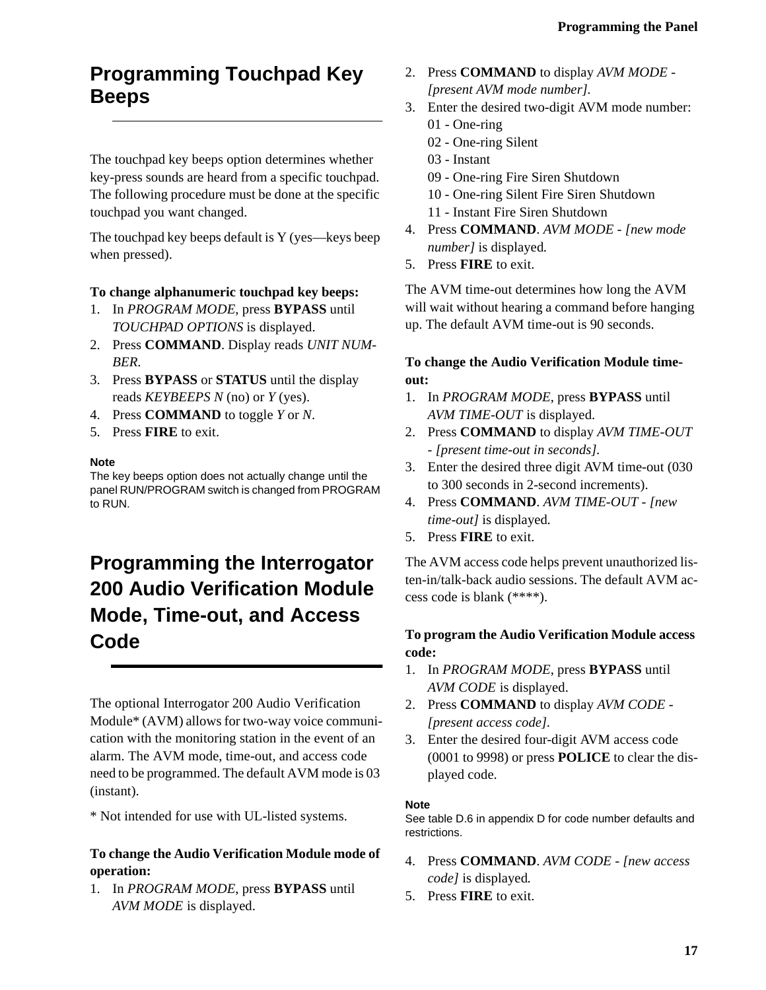## <span id="page-20-0"></span>**Programming Touchpad Key Beeps**

The touchpad key beeps option determines whether key-press sounds are heard from a specific touchpad. The following procedure must be done at the specific touchpad you want changed.

The touchpad key beeps default is Y (yes—keys beep when pressed).

#### **To change alphanumeric touchpad key beeps:**

- 1. In *PROGRAM MODE*, press **BYPASS** until *TOUCHPAD OPTIONS* is displayed.
- 2. Press **COMMAND**. Display reads *UNIT NUM-BER*.
- 3. Press **BYPASS** or **STATUS** until the display reads *KEYBEEPS N* (no) or *Y* (yes).
- 4. Press **COMMAND** to toggle *Y* or *N*.
- 5. Press **FIRE** to exit.

#### **Note**

The key beeps option does not actually change until the panel RUN/PROGRAM switch is changed from PROGRAM to RUN.

# **Programming the Interrogator 200 Audio Verification Module Mode, Time-out, and Access Code**

The optional Interrogator 200 Audio Verification Module\* (AVM) allows for two-way voice communication with the monitoring station in the event of an alarm. The AVM mode, time-out, and access code need to be programmed. The default AVM mode is 03 (instant).

\* Not intended for use with UL-listed systems.

### **To change the Audio Verification Module mode of operation:**

1. In *PROGRAM MODE*, press **BYPASS** until *AVM MODE* is displayed.

- 2. Press **COMMAND** to display *AVM MODE [present AVM mode number].*
- 3. Enter the desired two-digit AVM mode number:
	- 01 One-ring
	- 02 One-ring Silent
	- 03 Instant
	- 09 One-ring Fire Siren Shutdown
	- 10 One-ring Silent Fire Siren Shutdown
	- 11 Instant Fire Siren Shutdown
- 4. Press **COMMAND**. *AVM MODE [new mode number]* is displayed*.*
- 5. Press **FIRE** to exit.

The AVM time-out determines how long the AVM will wait without hearing a command before hanging up. The default AVM time-out is 90 seconds.

### **To change the Audio Verification Module timeout:**

- 1. In *PROGRAM MODE*, press **BYPASS** until *AVM TIME-OUT* is displayed.
- 2. Press **COMMAND** to display *AVM TIME-OUT - [present time-out in seconds].*
- 3. Enter the desired three digit AVM time-out (030 to 300 seconds in 2-second increments).
- 4. Press **COMMAND**. *AVM TIME-OUT [new time-out]* is displayed*.*
- 5. Press **FIRE** to exit.

The AVM access code helps prevent unauthorized listen-in/talk-back audio sessions. The default AVM access code is blank (\*\*\*\*).

### **To program the Audio Verification Module access code:**

- 1. In *PROGRAM MODE*, press **BYPASS** until *AVM CODE* is displayed.
- 2. Press **COMMAND** to display *AVM CODE [present access code].*
- 3. Enter the desired four-digit AVM access code (0001 to 9998) or press **POLICE** to clear the displayed code.

#### **Note**

See table D.6 in appendix D for code number defaults and restrictions.

- 4. Press **COMMAND**. *AVM CODE [new access code]* is displayed*.*
- 5. Press **FIRE** to exit.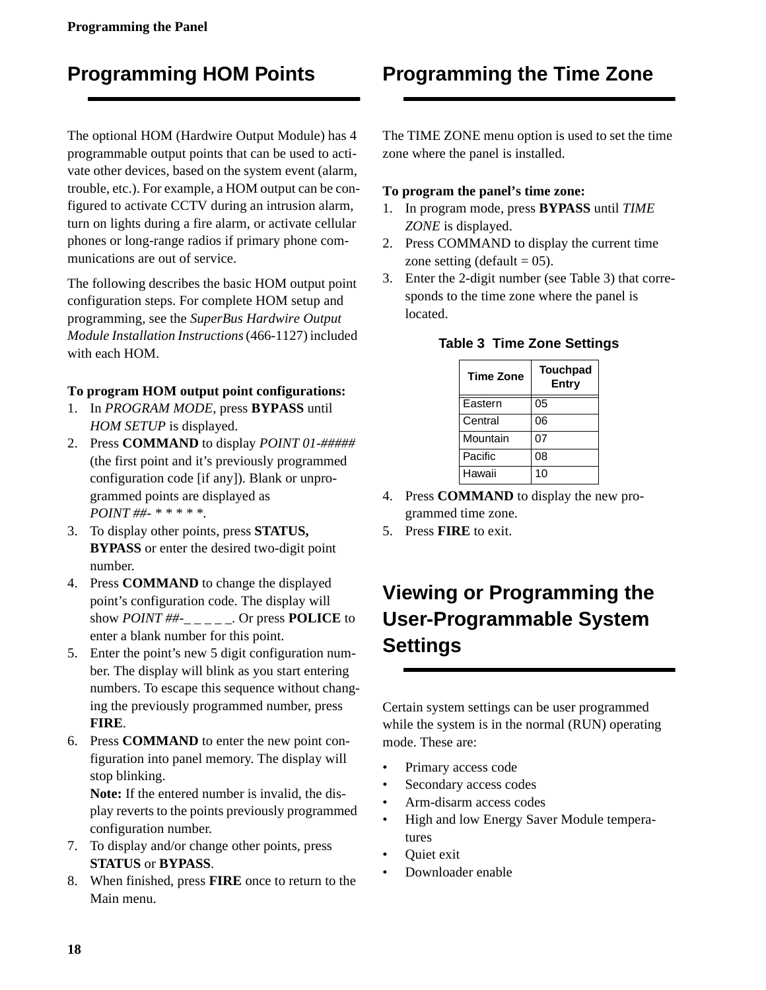## <span id="page-21-0"></span>**Programming HOM Points**

The optional HOM (Hardwire Output Module) has 4 programmable output points that can be used to activate other devices, based on the system event (alarm, trouble, etc.). For example, a HOM output can be configured to activate CCTV during an intrusion alarm, turn on lights during a fire alarm, or activate cellular phones or long-range radios if primary phone communications are out of service.

The following describes the basic HOM output point configuration steps. For complete HOM setup and programming, see the *SuperBus Hardwire Output Module Installation Instructions* (466-1127) included with each HOM.

#### **To program HOM output point configurations:**

- 1. In *PROGRAM MODE*, press **BYPASS** until *HOM SETUP* is displayed.
- 2. Press **COMMAND** to display *POINT 01-#####*  (the first point and it's previously programmed configuration code [if any]). Blank or unprogrammed points are displayed as *POINT ##- \* \* \* \* \**.
- 3. To display other points, press **STATUS, BYPASS** or enter the desired two-digit point number.
- 4. Press **COMMAND** to change the displayed point's configuration code. The display will show *POINT ##-\_ \_ \_ \_ \_*. Or press **POLICE** to enter a blank number for this point.
- 5. Enter the point's new 5 digit configuration number. The display will blink as you start entering numbers. To escape this sequence without changing the previously programmed number, press **FIRE**.
- 6. Press **COMMAND** to enter the new point configuration into panel memory. The display will stop blinking.

**Note:** If the entered number is invalid, the display reverts to the points previously programmed configuration number.

- 7. To display and/or change other points, press **STATUS** or **BYPASS**.
- 8. When finished, press **FIRE** once to return to the Main menu.

## **Programming the Time Zone**

The TIME ZONE menu option is used to set the time zone where the panel is installed.

#### **To program the panel's time zone:**

- 1. In program mode, press **BYPASS** until *TIME ZONE* is displayed.
- 2. Press COMMAND to display the current time zone setting (default  $= 05$ ).
- 3. Enter the 2-digit number (see Table 3) that corresponds to the time zone where the panel is located.

| <b>Time Zone</b> | <b>Touchpad</b><br>Entry |
|------------------|--------------------------|
| Eastern          | $\overline{0}5$          |
| Central          | 06                       |
| Mountain         | 07                       |
| Pacific          | 08                       |
| Hawaii           | 10                       |

**Table 3 Time Zone Settings**

- 4. Press **COMMAND** to display the new programmed time zone.
- 5. Press **FIRE** to exit.

# **Viewing or Programming the User-Programmable System Settings**

Certain system settings can be user programmed while the system is in the normal (RUN) operating mode. These are:

- Primary access code
- Secondary access codes
- Arm-disarm access codes
- High and low Energy Saver Module temperatures
- **Ouiet** exit
- Downloader enable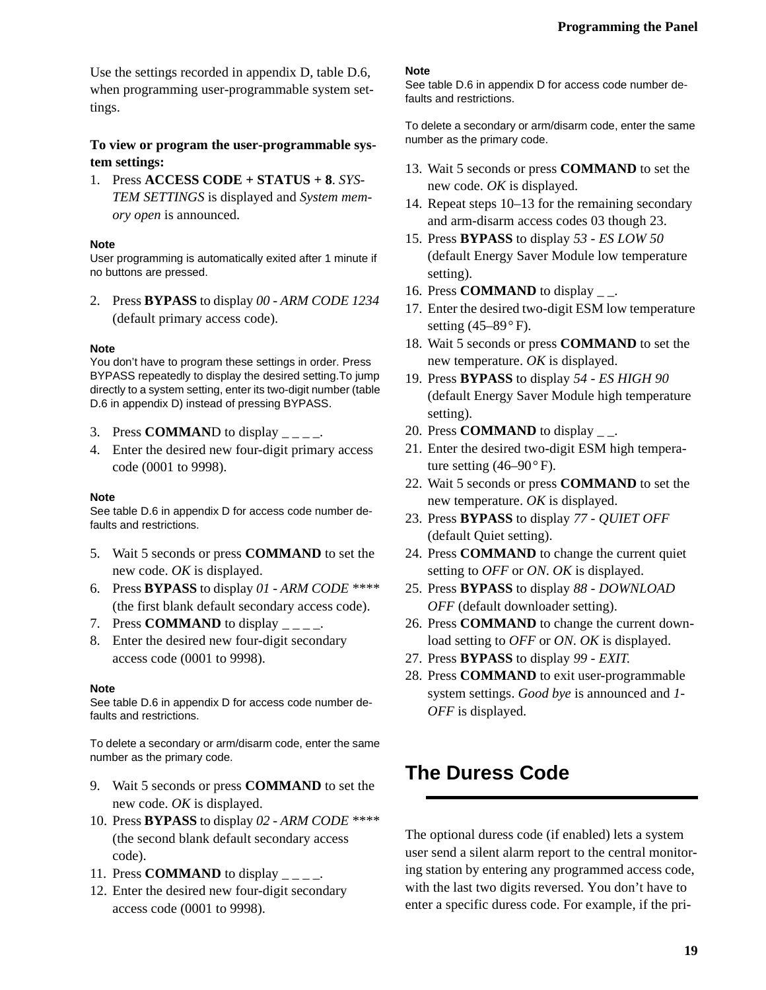<span id="page-22-0"></span>Use the settings recorded in appendix D, table D.6, when programming user-programmable system settings.

### **To view or program the user-programmable system settings:**

1. Press **ACCESS CODE + STATUS + 8**. *SYS-TEM SETTINGS* is displayed and *System memory open* is announced.

#### **Note**

User programming is automatically exited after 1 minute if no buttons are pressed.

2. Press **BYPASS** to display *00 - ARM CODE 1234* (default primary access code).

#### **Note**

You don't have to program these settings in order. Press BYPASS repeatedly to display the desired setting.To jump directly to a system setting, enter its two-digit number (table D.6 in appendix D) instead of pressing BYPASS.

- 3. Press **COMMAN**D to display *\_ \_ \_ \_*.
- 4. Enter the desired new four-digit primary access code (0001 to 9998).

#### **Note**

See table D.6 in appendix D for access code number defaults and restrictions.

- 5. Wait 5 seconds or press **COMMAND** to set the new code. *OK* is displayed.
- 6. Press **BYPASS** to display *01 ARM CODE \*\*\*\** (the first blank default secondary access code).
- 7. Press **COMMAND** to display *\_ \_ \_ \_*.
- 8. Enter the desired new four-digit secondary access code (0001 to 9998).

#### **Note**

See table D.6 in appendix D for access code number defaults and restrictions.

To delete a secondary or arm/disarm code, enter the same number as the primary code.

- 9. Wait 5 seconds or press **COMMAND** to set the new code. *OK* is displayed.
- 10. Press **BYPASS** to display *02 ARM CODE \*\*\*\** (the second blank default secondary access code).
- 11. Press **COMMAND** to display *\_ \_ \_ \_*.
- 12. Enter the desired new four-digit secondary access code (0001 to 9998).

#### **Note**

See table D.6 in appendix D for access code number defaults and restrictions.

To delete a secondary or arm/disarm code, enter the same number as the primary code.

- 13. Wait 5 seconds or press **COMMAND** to set the new code. *OK* is displayed.
- 14. Repeat steps 10–13 for the remaining secondary and arm-disarm access codes 03 though 23.
- 15. Press **BYPASS** to display *53 ES LOW 50* (default Energy Saver Module low temperature setting).
- 16. Press **COMMAND** to display *\_ \_*.
- 17. Enter the desired two-digit ESM low temperature setting  $(45-89° \text{ F})$ .
- 18. Wait 5 seconds or press **COMMAND** to set the new temperature. *OK* is displayed.
- 19. Press **BYPASS** to display *54 ES HIGH 90* (default Energy Saver Module high temperature setting).
- 20. Press **COMMAND** to display *\_ \_*.
- 21. Enter the desired two-digit ESM high temperature setting  $(46-90)$ °F).
- 22. Wait 5 seconds or press **COMMAND** to set the new temperature. *OK* is displayed.
- 23. Press **BYPASS** to display *77 QUIET OFF* (default Quiet setting).
- 24. Press **COMMAND** to change the current quiet setting to *OFF* or *ON*. *OK* is displayed.
- 25. Press **BYPASS** to display *88 DOWNLOAD OFF* (default downloader setting).
- 26. Press **COMMAND** to change the current download setting to *OFF* or *ON*. *OK* is displayed.
- 27. Press **BYPASS** to display *99 EXIT*.
- 28. Press **COMMAND** to exit user-programmable system settings. *Good bye* is announced and *1- OFF* is displayed.

## **The Duress Code**

The optional duress code (if enabled) lets a system user send a silent alarm report to the central monitoring station by entering any programmed access code, with the last two digits reversed. You don't have to enter a specific duress code. For example, if the pri-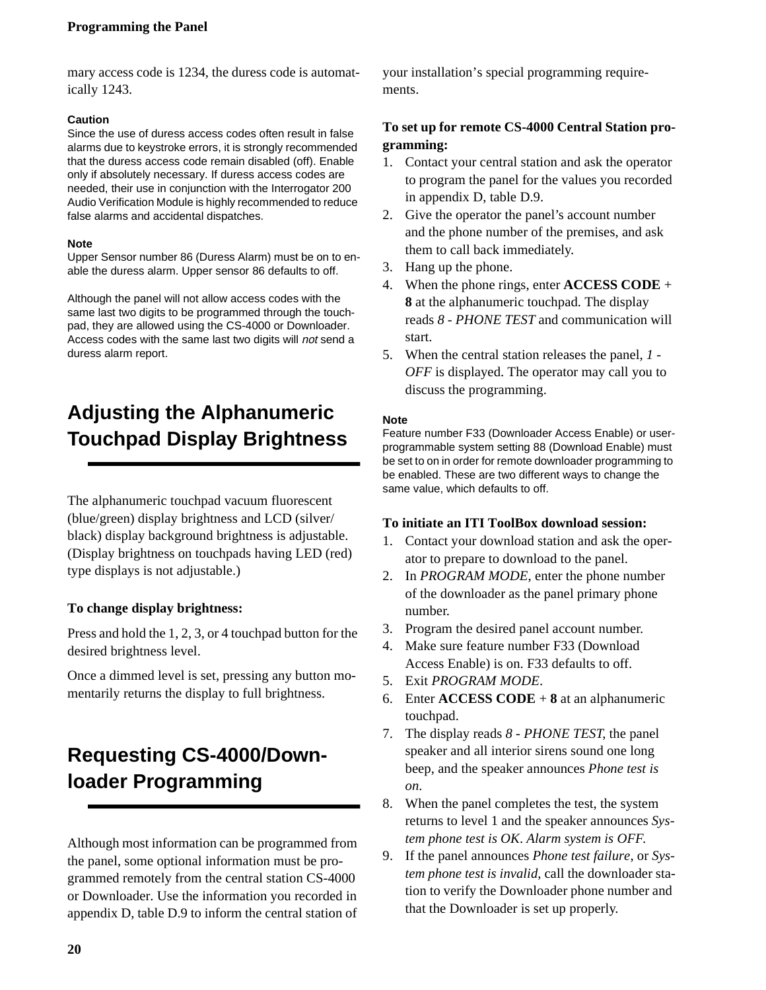#### <span id="page-23-0"></span>**Programming the Panel**

mary access code is 1234, the duress code is automatically 1243.

#### **Caution**

Since the use of duress access codes often result in false alarms due to keystroke errors, it is strongly recommended that the duress access code remain disabled (off). Enable only if absolutely necessary. If duress access codes are needed, their use in conjunction with the Interrogator 200 Audio Verification Module is highly recommended to reduce false alarms and accidental dispatches.

#### **Note**

Upper Sensor number 86 (Duress Alarm) must be on to enable the duress alarm. Upper sensor 86 defaults to off.

Although the panel will not allow access codes with the same last two digits to be programmed through the touchpad, they are allowed using the CS-4000 or Downloader. Access codes with the same last two digits will not send a duress alarm report.

# **Adjusting the Alphanumeric Touchpad Display Brightness**

The alphanumeric touchpad vacuum fluorescent (blue/green) display brightness and LCD (silver/ black) display background brightness is adjustable. (Display brightness on touchpads having LED (red) type displays is not adjustable.)

#### **To change display brightness:**

Press and hold the 1, 2, 3, or 4 touchpad button for the desired brightness level.

Once a dimmed level is set, pressing any button momentarily returns the display to full brightness.

## **Requesting CS-4000/Downloader Programming**

Although most information can be programmed from the panel, some optional information must be programmed remotely from the central station CS-4000 or Downloader. Use the information you recorded in appendix D, table D.9 to inform the central station of your installation's special programming requirements.

### **To set up for remote CS-4000 Central Station programming:**

- 1. Contact your central station and ask the operator to program the panel for the values you recorded in appendix D, table D.9.
- 2. Give the operator the panel's account number and the phone number of the premises, and ask them to call back immediately.
- 3. Hang up the phone.
- 4. When the phone rings, enter **ACCESS CODE** + **8** at the alphanumeric touchpad. The display reads *8 - PHONE TEST* and communication will start.
- 5. When the central station releases the panel, *1 OFF* is displayed. The operator may call you to discuss the programming.

#### **Note**

Feature number F33 (Downloader Access Enable) or userprogrammable system setting 88 (Download Enable) must be set to on in order for remote downloader programming to be enabled. These are two different ways to change the same value, which defaults to off.

#### **To initiate an ITI ToolBox download session:**

- 1. Contact your download station and ask the operator to prepare to download to the panel.
- 2. In *PROGRAM MODE*, enter the phone number of the downloader as the panel primary phone number.
- 3. Program the desired panel account number.
- 4. Make sure feature number F33 (Download Access Enable) is on. F33 defaults to off.
- 5. Exit *PROGRAM MODE*.
- 6. Enter **ACCESS CODE** + **8** at an alphanumeric touchpad.
- 7. The display reads *8 PHONE TEST*, the panel speaker and all interior sirens sound one long beep, and the speaker announces *Phone test is on*.
- 8. When the panel completes the test, the system returns to level 1 and the speaker announces *System phone test is OK*. *Alarm system is OFF*.
- 9. If the panel announces *Phone test failure*, or *System phone test is invalid,* call the downloader station to verify the Downloader phone number and that the Downloader is set up properly.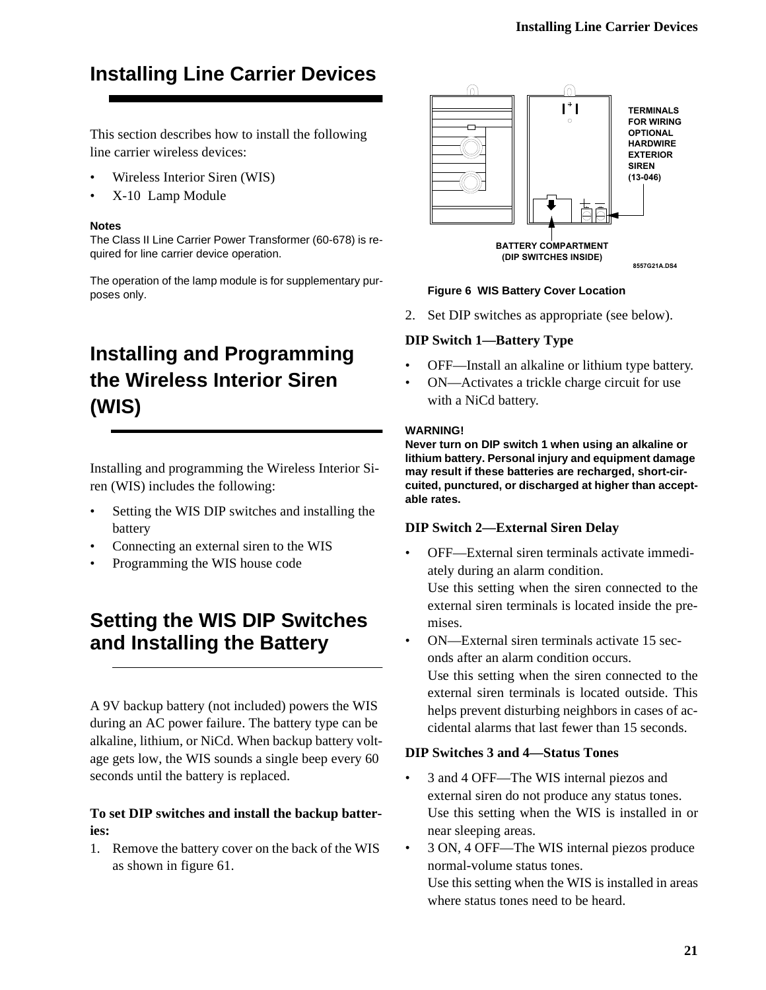# <span id="page-24-0"></span>**Installing Line Carrier Devices**

This section describes how to install the following line carrier wireless devices:

- Wireless Interior Siren (WIS)
- X-10 Lamp Module

#### **Notes**

The Class II Line Carrier Power Transformer (60-678) is required for line carrier device operation.

The operation of the lamp module is for supplementary purposes only.

# **Installing and Programming the Wireless Interior Siren (WIS)**

Installing and programming the Wireless Interior Siren (WIS) includes the following:

- Setting the WIS DIP switches and installing the battery
- Connecting an external siren to the WIS
- Programming the WIS house code

## **Setting the WIS DIP Switches and Installing the Battery**

A 9V backup battery (not included) powers the WIS during an AC power failure. The battery type can be alkaline, lithium, or NiCd. When backup battery voltage gets low, the WIS sounds a single beep every 60 seconds until the battery is replaced.

### **To set DIP switches and install the backup batteries:**

1. Remove the battery cover on the back of the WIS as shown in figure 61.



#### **Figure 6 WIS Battery Cover Location**

2. Set DIP switches as appropriate (see below).

### **DIP Switch 1—Battery Type**

- OFF—Install an alkaline or lithium type battery.
- ON—Activates a trickle charge circuit for use with a NiCd battery.

#### **WARNING!**

**Never turn on DIP switch 1 when using an alkaline or lithium battery. Personal injury and equipment damage may result if these batteries are recharged, short-circuited, punctured, or discharged at higher than acceptable rates.**

#### **DIP Switch 2—External Siren Delay**

- OFF—External siren terminals activate immediately during an alarm condition. Use this setting when the siren connected to the external siren terminals is located inside the premises. • ON—External siren terminals activate 15 sec-
- onds after an alarm condition occurs. Use this setting when the siren connected to the external siren terminals is located outside. This helps prevent disturbing neighbors in cases of accidental alarms that last fewer than 15 seconds.

### **DIP Switches 3 and 4—Status Tones**

- 3 and 4 OFF—The WIS internal piezos and external siren do not produce any status tones. Use this setting when the WIS is installed in or near sleeping areas.
- 3 ON, 4 OFF—The WIS internal piezos produce normal-volume status tones.

Use this setting when the WIS is installed in areas where status tones need to be heard.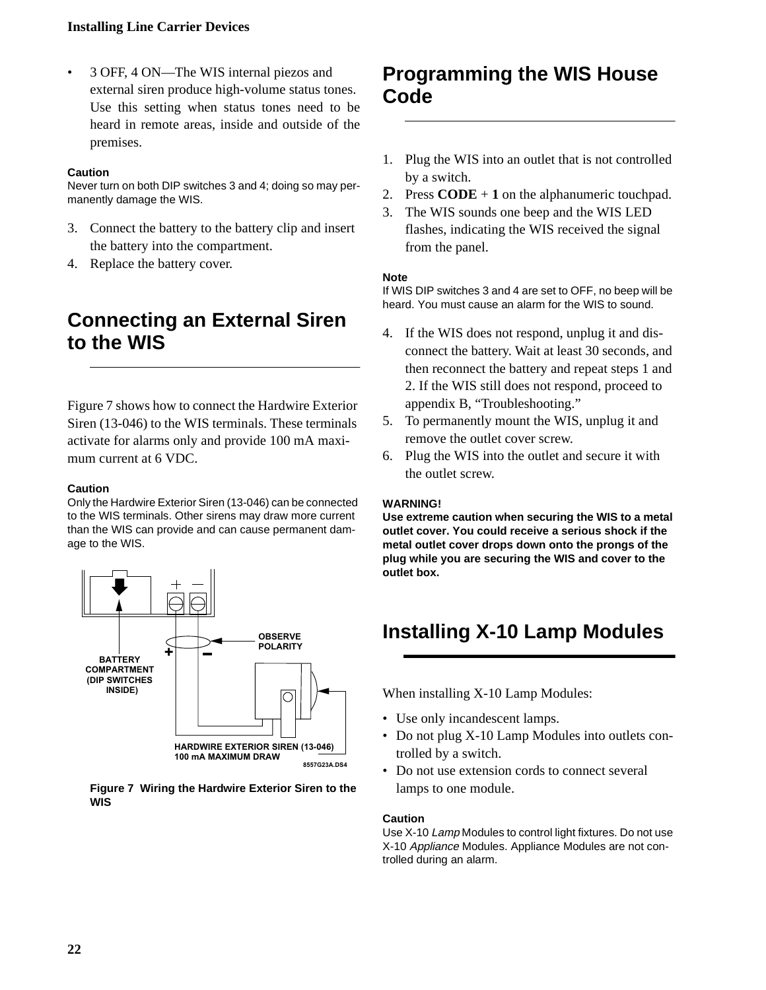#### <span id="page-25-0"></span>**Installing Line Carrier Devices**

• 3 OFF, 4 ON—The WIS internal piezos and external siren produce high-volume status tones. Use this setting when status tones need to be heard in remote areas, inside and outside of the premises.

#### **Caution**

Never turn on both DIP switches 3 and 4; doing so may permanently damage the WIS.

- 3. Connect the battery to the battery clip and insert the battery into the compartment.
- 4. Replace the battery cover.

## **Connecting an External Siren to the WIS**

Figure 7 shows how to connect the Hardwire Exterior Siren (13-046) to the WIS terminals. These terminals activate for alarms only and provide 100 mA maximum current at 6 VDC.

#### **Caution**

Only the Hardwire Exterior Siren (13-046) can be connected to the WIS terminals. Other sirens may draw more current than the WIS can provide and can cause permanent damage to the WIS.



#### **Figure 7 Wiring the Hardwire Exterior Siren to the WIS**

## **Programming the WIS House Code**

- 1. Plug the WIS into an outlet that is not controlled by a switch.
- 2. Press **CODE** + **1** on the alphanumeric touchpad.
- 3. The WIS sounds one beep and the WIS LED flashes, indicating the WIS received the signal from the panel.

#### **Note**

If WIS DIP switches 3 and 4 are set to OFF, no beep will be heard. You must cause an alarm for the WIS to sound.

- 4. If the WIS does not respond, unplug it and disconnect the battery. Wait at least 30 seconds, and then reconnect the battery and repeat steps 1 and 2. If the WIS still does not respond, proceed to appendix B, "Troubleshooting."
- 5. To permanently mount the WIS, unplug it and remove the outlet cover screw.
- 6. Plug the WIS into the outlet and secure it with the outlet screw.

#### **WARNING!**

**Use extreme caution when securing the WIS to a metal outlet cover. You could receive a serious shock if the metal outlet cover drops down onto the prongs of the plug while you are securing the WIS and cover to the outlet box.** 

# **Installing X-10 Lamp Modules**

When installing X-10 Lamp Modules:

- Use only incandescent lamps.
- Do not plug X-10 Lamp Modules into outlets controlled by a switch.
- Do not use extension cords to connect several lamps to one module.

#### **Caution**

Use X-10 Lamp Modules to control light fixtures. Do not use X-10 Appliance Modules. Appliance Modules are not controlled during an alarm.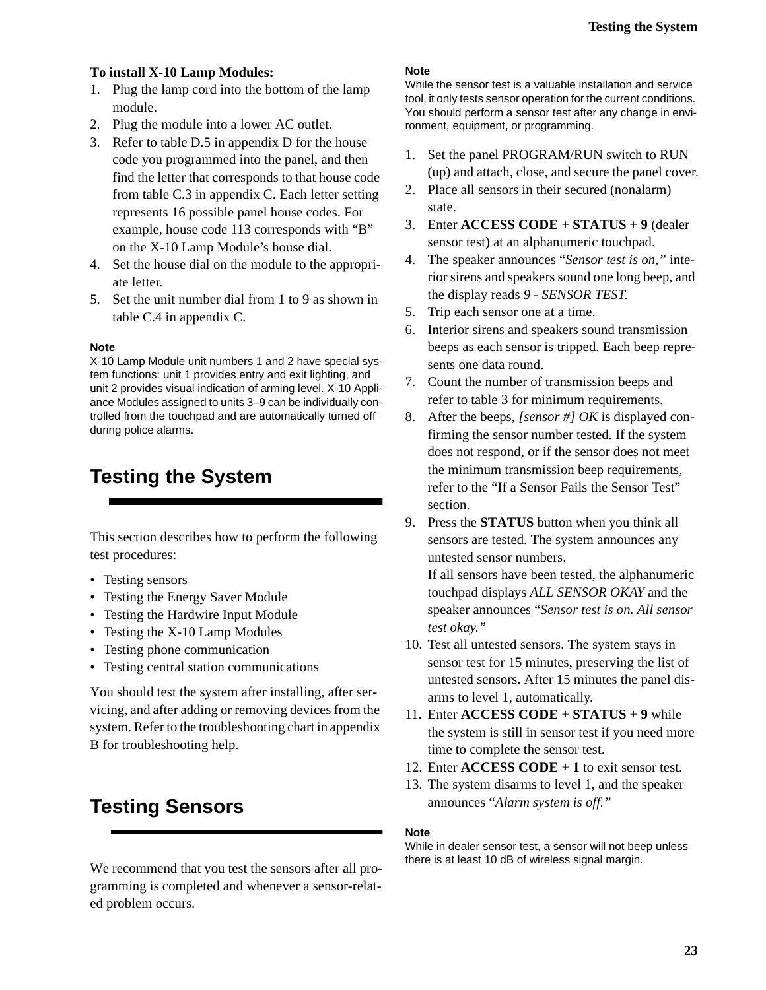### <span id="page-26-0"></span>**To install X-10 Lamp Modules:**

- 1. Plug the lamp cord into the bottom of the lamp module.
- 2. Plug the module into a lower AC outlet.
- 3. Refer to table D.5 in appendix D for the house code you programmed into the panel, and then find the letter that corresponds to that house code from table C.3 in appendix C. Each letter setting represents 16 possible panel house codes. For example, house code 113 corresponds with "B" on the X-10 Lamp Module's house dial.
- 4. Set the house dial on the module to the appropriate letter.
- 5. Set the unit number dial from 1 to 9 as shown in table C.4 in appendix C.

#### **Note**

X-10 Lamp Module unit numbers 1 and 2 have special system functions: unit 1 provides entry and exit lighting, and unit 2 provides visual indication of arming level. X-10 Appliance Modules assigned to units 3–9 can be individually controlled from the touchpad and are automatically turned off during police alarms.

## **Testing the System**

This section describes how to perform the following test procedures:

- Testing sensors
- Testing the Energy Saver Module
- Testing the Hardwire Input Module
- Testing the X-10 Lamp Modules
- Testing phone communication
- Testing central station communications

You should test the system after installing, after servicing, and after adding or removing devices from the system. Refer to the troubleshooting chart in appendix B for troubleshooting help.

## **Testing Sensors**

We recommend that you test the sensors after all programming is completed and whenever a sensor-related problem occurs.

#### **Note**

While the sensor test is a valuable installation and service tool, it only tests sensor operation for the current conditions. You should perform a sensor test after any change in environment, equipment, or programming.

- 1. Set the panel PROGRAM/RUN switch to RUN (up) and attach, close, and secure the panel cover.
- 2. Place all sensors in their secured (nonalarm) state.
- 3. Enter **ACCESS CODE** + **STATUS** + **9** (dealer sensor test) at an alphanumeric touchpad.
- 4. The speaker announces "*Sensor test is on,"* interior sirens and speakers sound one long beep, and the display reads *9 - SENSOR TEST*.
- 5. Trip each sensor one at a time.
- 6. Interior sirens and speakers sound transmission beeps as each sensor is tripped. Each beep represents one data round.
- 7. Count the number of transmission beeps and refer to table 3 for minimum requirements.
- 8. After the beeps, *[sensor #] OK* is displayed confirming the sensor number tested. If the system does not respond, or if the sensor does not meet the minimum transmission beep requirements, refer to the "If a Sensor Fails the Sensor Test" section.
- 9. Press the **STATUS** button when you think all sensors are tested. The system announces any untested sensor numbers.

If all sensors have been tested, the alphanumeric touchpad displays *ALL SENSOR OKAY* and the speaker announces "*Sensor test is on. All sensor test okay*.*"*

- 10. Test all untested sensors. The system stays in sensor test for 15 minutes, preserving the list of untested sensors. After 15 minutes the panel disarms to level 1, automatically.
- 11. Enter **ACCESS CODE** + **STATUS** + **9** while the system is still in sensor test if you need more time to complete the sensor test.
- 12. Enter **ACCESS CODE** + **1** to exit sensor test.
- 13. The system disarms to level 1, and the speaker announces "*Alarm system is off."*

#### **Note**

While in dealer sensor test, a sensor will not beep unless there is at least 10 dB of wireless signal margin.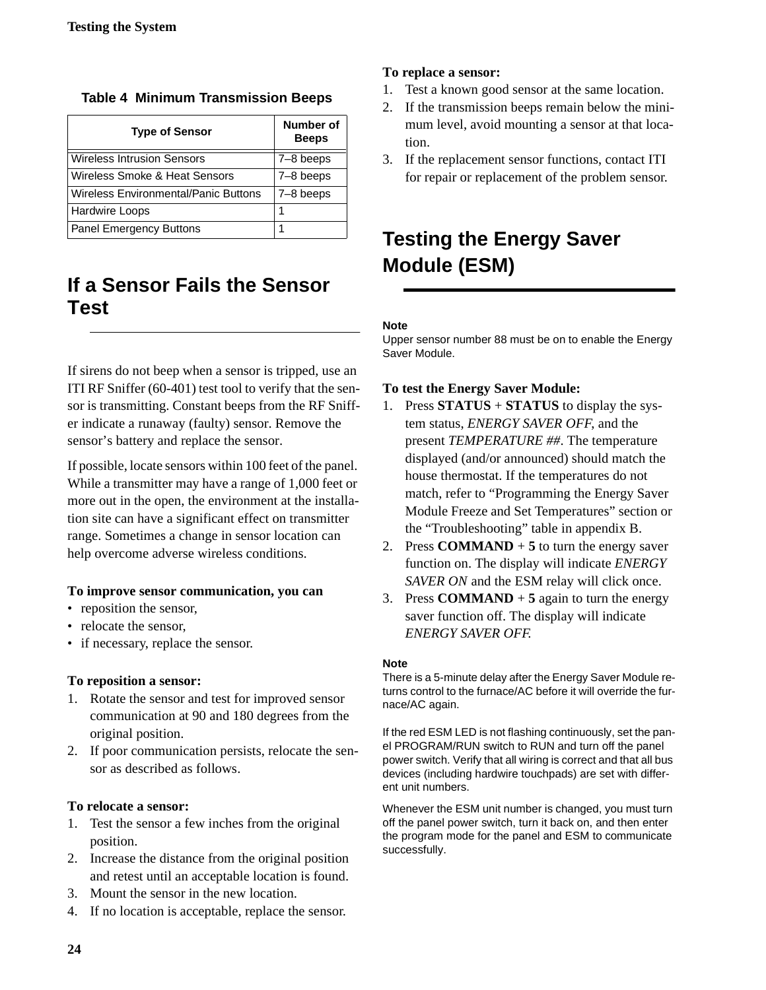| <b>Type of Sensor</b>                | Number of<br><b>Beeps</b> |
|--------------------------------------|---------------------------|
| <b>Wireless Intrusion Sensors</b>    | $7 - 8$ beeps             |
| Wireless Smoke & Heat Sensors        | 7-8 beeps                 |
| Wireless Environmental/Panic Buttons | $7-8$ beeps               |
| <b>Hardwire Loops</b>                |                           |
| <b>Panel Emergency Buttons</b>       | 1                         |

<span id="page-27-0"></span>**Table 4 Minimum Transmission Beeps**

## **If a Sensor Fails the Sensor Test**

If sirens do not beep when a sensor is tripped, use an ITI RF Sniffer (60-401) test tool to verify that the sensor is transmitting. Constant beeps from the RF Sniffer indicate a runaway (faulty) sensor. Remove the sensor's battery and replace the sensor.

If possible, locate sensors within 100 feet of the panel. While a transmitter may have a range of 1,000 feet or more out in the open, the environment at the installation site can have a significant effect on transmitter range. Sometimes a change in sensor location can help overcome adverse wireless conditions.

#### **To improve sensor communication, you can**

- reposition the sensor,
- relocate the sensor,
- if necessary, replace the sensor.

#### **To reposition a sensor:**

- 1. Rotate the sensor and test for improved sensor communication at 90 and 180 degrees from the original position.
- 2. If poor communication persists, relocate the sensor as described as follows.

#### **To relocate a sensor:**

- 1. Test the sensor a few inches from the original position.
- 2. Increase the distance from the original position and retest until an acceptable location is found.
- 3. Mount the sensor in the new location.
- 4. If no location is acceptable, replace the sensor.

#### **To replace a sensor:**

- 1. Test a known good sensor at the same location.
- 2. If the transmission beeps remain below the minimum level, avoid mounting a sensor at that location.
- 3. If the replacement sensor functions, contact ITI for repair or replacement of the problem sensor.

# **Testing the Energy Saver Module (ESM)**

### **Note**

Upper sensor number 88 must be on to enable the Energy Saver Module.

#### **To test the Energy Saver Module:**

- 1. Press **STATUS** + **STATUS** to display the system status, *ENERGY SAVER OFF*, and the present *TEMPERATURE ##*. The temperature displayed (and/or announced) should match the house thermostat. If the temperatures do not match, refer to "Programming the Energy Saver Module Freeze and Set Temperatures" section or the "Troubleshooting" table in appendix B.
- 2. Press **COMMAND** + 5 to turn the energy saver function on. The display will indicate *ENERGY SAVER ON* and the ESM relay will click once.
- 3. Press **COMMAND** + **5** again to turn the energy saver function off. The display will indicate *ENERGY SAVER OFF.*

#### **Note**

There is a 5-minute delay after the Energy Saver Module returns control to the furnace/AC before it will override the furnace/AC again.

If the red ESM LED is not flashing continuously, set the panel PROGRAM/RUN switch to RUN and turn off the panel power switch. Verify that all wiring is correct and that all bus devices (including hardwire touchpads) are set with different unit numbers.

Whenever the ESM unit number is changed, you must turn off the panel power switch, turn it back on, and then enter the program mode for the panel and ESM to communicate successfully.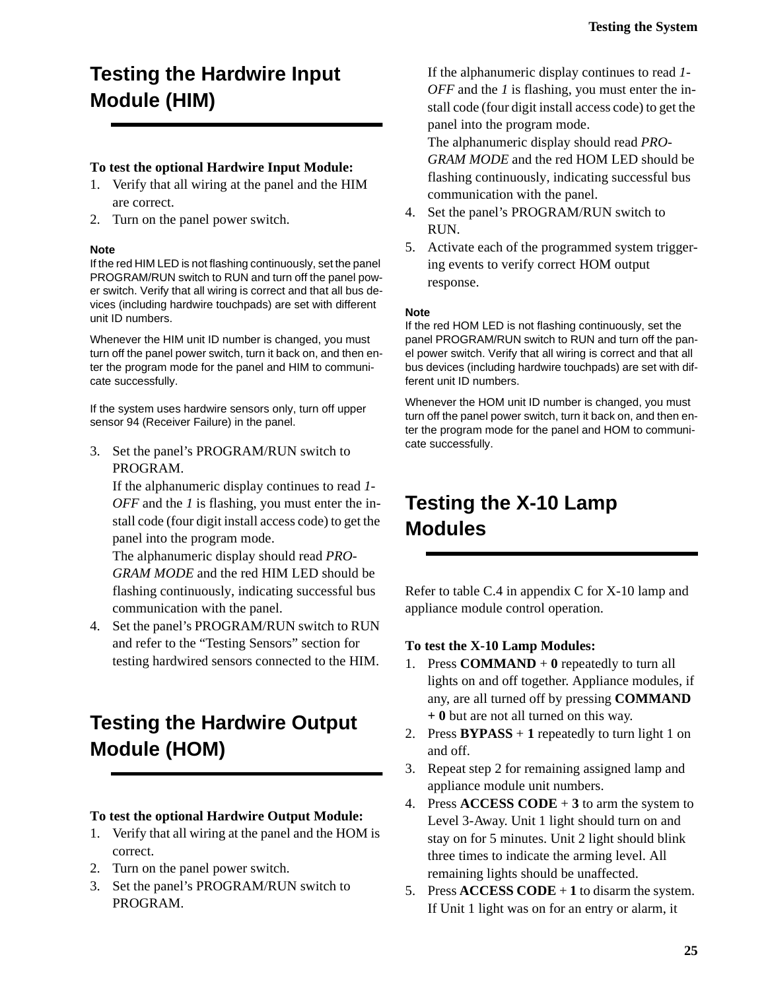# <span id="page-28-0"></span>**Testing the Hardwire Input Module (HIM)**

#### **To test the optional Hardwire Input Module:**

- 1. Verify that all wiring at the panel and the HIM are correct.
- 2. Turn on the panel power switch.

#### **Note**

If the red HIM LED is not flashing continuously, set the panel PROGRAM/RUN switch to RUN and turn off the panel power switch. Verify that all wiring is correct and that all bus devices (including hardwire touchpads) are set with different unit ID numbers.

Whenever the HIM unit ID number is changed, you must turn off the panel power switch, turn it back on, and then enter the program mode for the panel and HIM to communicate successfully.

If the system uses hardwire sensors only, turn off upper sensor 94 (Receiver Failure) in the panel.

3. Set the panel's PROGRAM/RUN switch to PROGRAM.

If the alphanumeric display continues to read *1- OFF* and the *1* is flashing, you must enter the install code (four digit install access code) to get the panel into the program mode.

The alphanumeric display should read *PRO-GRAM MODE* and the red HIM LED should be flashing continuously, indicating successful bus communication with the panel.

4. Set the panel's PROGRAM/RUN switch to RUN and refer to the "Testing Sensors" section for testing hardwired sensors connected to the HIM.

# **Testing the Hardwire Output Module (HOM)**

#### **To test the optional Hardwire Output Module:**

- 1. Verify that all wiring at the panel and the HOM is correct.
- 2. Turn on the panel power switch.
- 3. Set the panel's PROGRAM/RUN switch to PROGRAM.

If the alphanumeric display continues to read *1- OFF* and the *1* is flashing, you must enter the install code (four digit install access code) to get the panel into the program mode.

The alphanumeric display should read *PRO-GRAM MODE* and the red HOM LED should be flashing continuously, indicating successful bus communication with the panel.

- 4. Set the panel's PROGRAM/RUN switch to RUN.
- 5. Activate each of the programmed system triggering events to verify correct HOM output response.

#### **Note**

If the red HOM LED is not flashing continuously, set the panel PROGRAM/RUN switch to RUN and turn off the panel power switch. Verify that all wiring is correct and that all bus devices (including hardwire touchpads) are set with different unit ID numbers.

Whenever the HOM unit ID number is changed, you must turn off the panel power switch, turn it back on, and then enter the program mode for the panel and HOM to communicate successfully.

## **Testing the X-10 Lamp Modules**

Refer to table C.4 in appendix C for X-10 lamp and appliance module control operation.

#### **To test the X-10 Lamp Modules:**

- 1. Press **COMMAND** + 0 repeatedly to turn all lights on and off together. Appliance modules, if any, are all turned off by pressing **COMMAND + 0** but are not all turned on this way.
- 2. Press  $BYPASS + 1$  repeatedly to turn light 1 on and off.
- 3. Repeat step 2 for remaining assigned lamp and appliance module unit numbers.
- 4. Press **ACCESS CODE** + **3** to arm the system to Level 3-Away. Unit 1 light should turn on and stay on for 5 minutes. Unit 2 light should blink three times to indicate the arming level. All remaining lights should be unaffected.
- 5. Press  $\text{ACCESS } \text{CODE} + 1$  to disarm the system. If Unit 1 light was on for an entry or alarm, it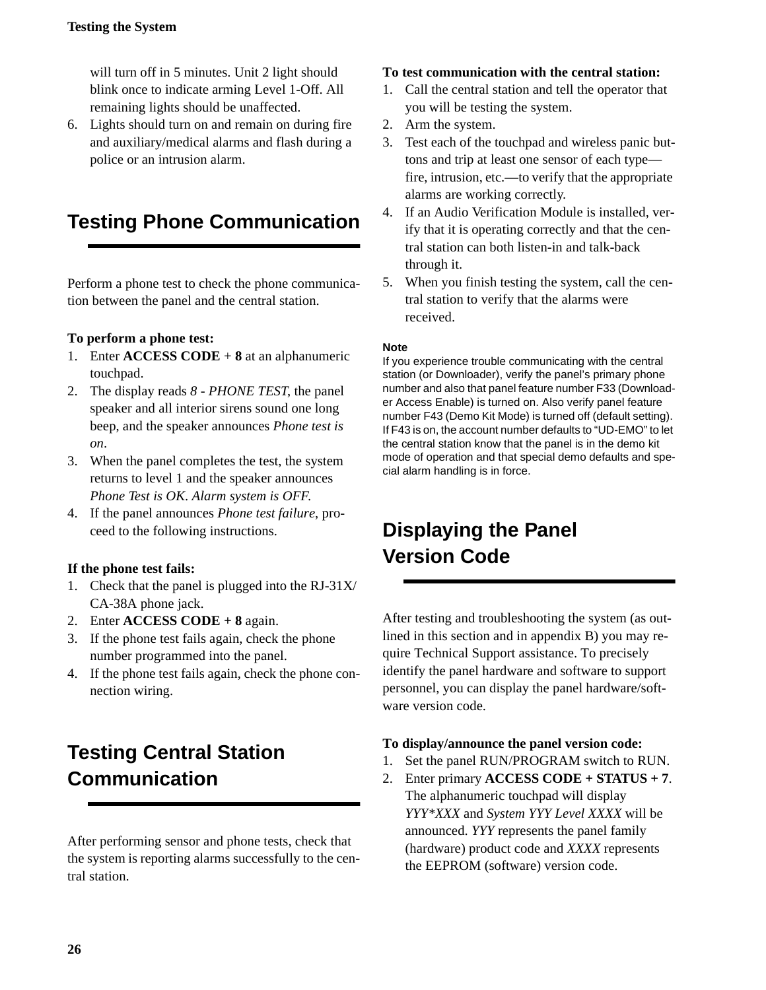### <span id="page-29-0"></span>**Testing the System**

will turn off in 5 minutes. Unit 2 light should blink once to indicate arming Level 1-Off. All remaining lights should be unaffected.

6. Lights should turn on and remain on during fire and auxiliary/medical alarms and flash during a police or an intrusion alarm.

# **Testing Phone Communication**

Perform a phone test to check the phone communication between the panel and the central station.

#### **To perform a phone test:**

- 1. Enter **ACCESS CODE** + **8** at an alphanumeric touchpad.
- 2. The display reads *8 PHONE TEST*, the panel speaker and all interior sirens sound one long beep, and the speaker announces *Phone test is on*.
- 3. When the panel completes the test, the system returns to level 1 and the speaker announces *Phone Test is OK*. *Alarm system is OFF*.
- 4. If the panel announces *Phone test failure*, proceed to the following instructions.

### **If the phone test fails:**

- 1. Check that the panel is plugged into the RJ-31X/ CA-38A phone jack.
- 2. Enter **ACCESS CODE + 8** again.
- 3. If the phone test fails again, check the phone number programmed into the panel.
- 4. If the phone test fails again, check the phone connection wiring.

# **Testing Central Station Communication**

After performing sensor and phone tests, check that the system is reporting alarms successfully to the central station.

#### **To test communication with the central station:**

- 1. Call the central station and tell the operator that you will be testing the system.
- 2. Arm the system.
- 3. Test each of the touchpad and wireless panic buttons and trip at least one sensor of each type fire, intrusion, etc.—to verify that the appropriate alarms are working correctly.
- 4. If an Audio Verification Module is installed, verify that it is operating correctly and that the central station can both listen-in and talk-back through it.
- 5. When you finish testing the system, call the central station to verify that the alarms were received.

#### **Note**

If you experience trouble communicating with the central station (or Downloader), verify the panel's primary phone number and also that panel feature number F33 (Downloader Access Enable) is turned on. Also verify panel feature number F43 (Demo Kit Mode) is turned off (default setting). If F43 is on, the account number defaults to "UD-EMO" to let the central station know that the panel is in the demo kit mode of operation and that special demo defaults and special alarm handling is in force.

# **Displaying the Panel Version Code**

After testing and troubleshooting the system (as outlined in this section and in appendix B) you may require Technical Support assistance. To precisely identify the panel hardware and software to support personnel, you can display the panel hardware/software version code.

#### **To display/announce the panel version code:**

- 1. Set the panel RUN/PROGRAM switch to RUN.
- 2. Enter primary **ACCESS CODE + STATUS + 7**. The alphanumeric touchpad will display *YYY\*XXX* and *System YYY Level XXXX* will be announced. *YYY* represents the panel family (hardware) product code and *XXXX* represents the EEPROM (software) version code.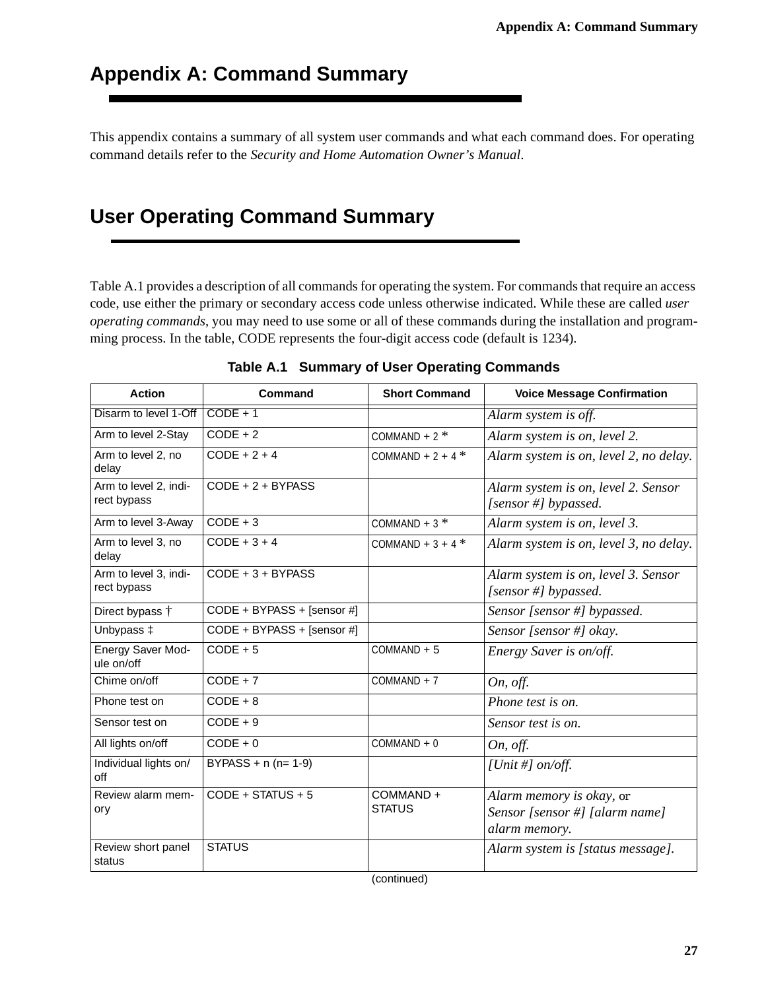## <span id="page-30-0"></span>**Appendix A: Command Summary**

This appendix contains a summary of all system user commands and what each command does. For operating command details refer to the *Security and Home Automation Owner's Manual*.

## **User Operating Command Summary**

Table A.1 provides a description of all commands for operating the system. For commands that require an access code, use either the primary or secondary access code unless otherwise indicated. While these are called *user operating commands*, you may need to use some or all of these commands during the installation and programming process. In the table, CODE represents the four-digit access code (default is 1234).

| <b>Action</b>                        | Command                    | <b>Short Command</b>      | <b>Voice Message Confirmation</b>                                           |
|--------------------------------------|----------------------------|---------------------------|-----------------------------------------------------------------------------|
| Disarm to level 1-Off                | $CODE + 1$                 |                           | Alarm system is off.                                                        |
| Arm to level 2-Stay                  | $CODE + 2$                 | COMMAND + $2$ *           | Alarm system is on, level 2.                                                |
| Arm to level 2, no<br>delay          | $CODE + 2 + 4$             | COMMAND + $2 + 4$ *       | Alarm system is on, level 2, no delay.                                      |
| Arm to level 2, indi-<br>rect bypass | $CODE + 2 + BYPASS$        |                           | Alarm system is on, level 2. Sensor<br>[sensor #] bypassed.                 |
| Arm to level 3-Away                  | $CODE + 3$                 | COMMAND + $3$ *           | Alarm system is on, level 3.                                                |
| Arm to level 3, no<br>delay          | $CODE + 3 + 4$             | COMMAND + $3 + 4$ *       | Alarm system is on, level 3, no delay.                                      |
| Arm to level 3, indi-<br>rect bypass | CODE + 3 + BYPASS          |                           | Alarm system is on, level 3. Sensor<br>[sensor #] bypassed.                 |
| Direct bypass <sup>+</sup>           | CODE + BYPASS + [sensor #] |                           | Sensor [sensor #] bypassed.                                                 |
| Unbypass $\ddagger$                  | CODE + BYPASS + [sensor #] |                           | Sensor [sensor #] okay.                                                     |
| Energy Saver Mod-<br>ule on/off      | $CODE + 5$                 | $COMMAND + 5$             | Energy Saver is on/off.                                                     |
| Chime on/off                         | $CODE + 7$                 | $COMMAND + 7$             | On, off.                                                                    |
| Phone test on                        | $CODE + 8$                 |                           | Phone test is on.                                                           |
| Sensor test on                       | $CODE + 9$                 |                           | Sensor test is on.                                                          |
| All lights on/off                    | $CODE + 0$                 | $COMMAND + 0$             | On, off.                                                                    |
| Individual lights on/<br>off         | $BYPASS + n (n= 1-9)$      |                           | [Unit #] $on/off$ .                                                         |
| Review alarm mem-<br>ory             | CODE + STATUS + 5          | COMMAND+<br><b>STATUS</b> | Alarm memory is okay, or<br>Sensor [sensor #] [alarm name]<br>alarm memory. |
| Review short panel<br>status         | <b>STATUS</b>              |                           | Alarm system is [status message].                                           |

**Table A.1 Summary of User Operating Commands**

(continued)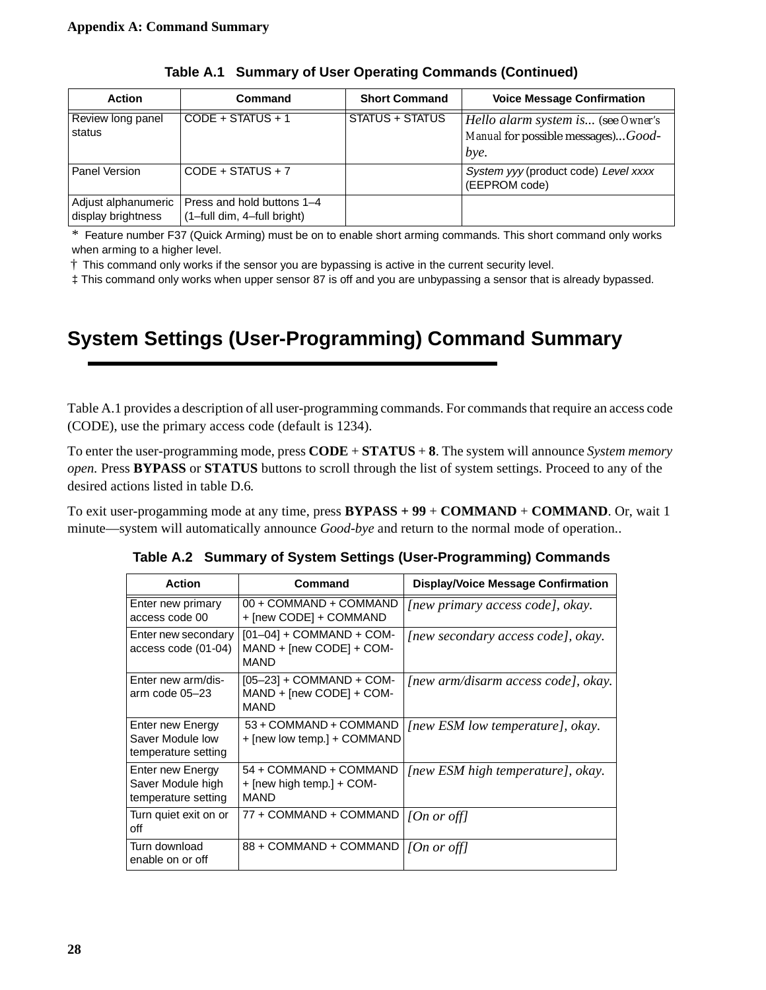<span id="page-31-0"></span>

| <b>Action</b>                             | Command                                                   | <b>Short Command</b> | <b>Voice Message Confirmation</b>                                                |
|-------------------------------------------|-----------------------------------------------------------|----------------------|----------------------------------------------------------------------------------|
| Review long panel<br>status               | $CODE + STATUS + 1$                                       | STATUS + STATUS      | Hello alarm system is (see Owner's<br>Manual for possible messages)Good-<br>bye. |
| Panel Version                             | $CODE + STATUS + 7$                                       |                      | System yyy (product code) Level xxxx<br>(EEPROM code)                            |
| Adjust alphanumeric<br>display brightness | Press and hold buttons 1-4<br>(1-full dim, 4-full bright) |                      |                                                                                  |

**Table A.1 Summary of User Operating Commands (Continued)**

\* Feature number F37 (Quick Arming) must be on to enable short arming commands. This short command only works when arming to a higher level.

† This command only works if the sensor you are bypassing is active in the current security level.

‡ This command only works when upper sensor 87 is off and you are unbypassing a sensor that is already bypassed.

# **System Settings (User-Programming) Command Summary**

Table [A.1](#page-30-0) provides a description of all user-programming commands. For commands that require an access code (CODE), use the primary access code (default is 1234).

To enter the user-programming mode, press **CODE** + **STATUS** + **8**. The system will announce *System memory open.* Press **BYPASS** or **STATUS** buttons to scroll through the list of system settings. Proceed to any of the desired actions listed in table D.6*.*

To exit user-progamming mode at any time, press **BYPASS + 99** + **COMMAND** + **COMMAND**. Or, wait 1 minute—system will automatically announce *Good-bye* and return to the normal mode of operation..

| <b>Action</b>                                                | Command                                                               | <b>Display/Voice Message Confirmation</b> |
|--------------------------------------------------------------|-----------------------------------------------------------------------|-------------------------------------------|
| Enter new primary<br>access code 00                          | 00 + COMMAND + COMMAND<br>+ [new CODE] + COMMAND                      | [new primary access code], okay.          |
| Enter new secondary<br>access code (01-04)                   | $[01-04]$ + COMMAND + COM-<br>MAND + [new CODE] + COM-<br><b>MAND</b> | [new secondary access code], okay.        |
| Enter new arm/dis-<br>arm code 05-23                         | $[05-23] + COMMAND + COM-$<br>MAND + [new CODE] + COM-<br><b>MAND</b> | [new arm/disarm access code], okay.       |
| Enter new Energy<br>Saver Module low<br>temperature setting  | 53 + COMMAND + COMMAND<br>+ [new low temp.] + COMMAND                 | [new ESM low temperature], okay.          |
| Enter new Energy<br>Saver Module high<br>temperature setting | 54 + COMMAND + COMMAND<br>+ [new high temp.] + COM-<br>MAND           | [new ESM high temperature], okay.         |
| Turn quiet exit on or<br>off                                 | 77 + COMMAND + COMMAND                                                | [On or off]                               |
| Turn download<br>enable on or off                            | 88 + COMMAND + COMMAND                                                | [On or off]                               |

**Table A.2 Summary of System Settings (User-Programming) Commands**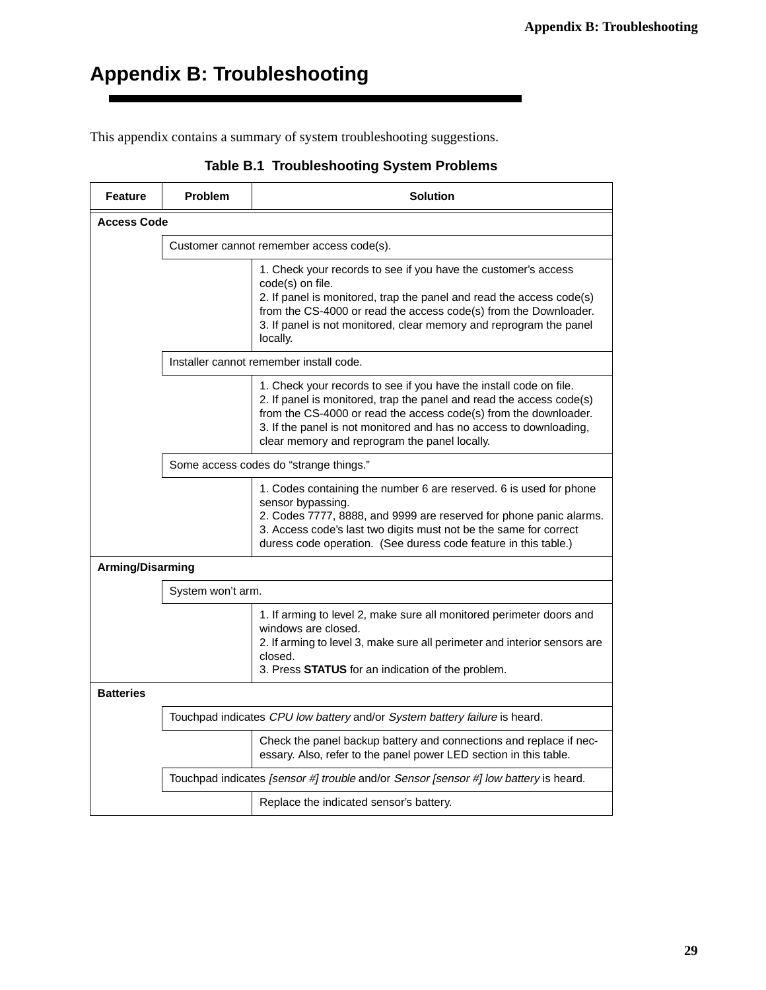# <span id="page-32-0"></span>**Appendix B: Troubleshooting**

This appendix contains a summary of system troubleshooting suggestions.

| <b>Feature</b>   | <b>Problem</b>     | <b>Solution</b>                                                                                                                                                                                                                                                                                                                       |  |  |  |
|------------------|--------------------|---------------------------------------------------------------------------------------------------------------------------------------------------------------------------------------------------------------------------------------------------------------------------------------------------------------------------------------|--|--|--|
|                  | <b>Access Code</b> |                                                                                                                                                                                                                                                                                                                                       |  |  |  |
|                  |                    | Customer cannot remember access code(s).                                                                                                                                                                                                                                                                                              |  |  |  |
|                  |                    | 1. Check your records to see if you have the customer's access<br>code(s) on file.<br>2. If panel is monitored, trap the panel and read the access code(s)<br>from the CS-4000 or read the access code(s) from the Downloader.<br>3. If panel is not monitored, clear memory and reprogram the panel<br>locally.                      |  |  |  |
|                  |                    | Installer cannot remember install code.                                                                                                                                                                                                                                                                                               |  |  |  |
|                  |                    | 1. Check your records to see if you have the install code on file.<br>2. If panel is monitored, trap the panel and read the access code(s)<br>from the CS-4000 or read the access code(s) from the downloader.<br>3. If the panel is not monitored and has no access to downloading,<br>clear memory and reprogram the panel locally. |  |  |  |
|                  |                    | Some access codes do "strange things."                                                                                                                                                                                                                                                                                                |  |  |  |
|                  |                    | 1. Codes containing the number 6 are reserved. 6 is used for phone<br>sensor bypassing.<br>2. Codes 7777, 8888, and 9999 are reserved for phone panic alarms.<br>3. Access code's last two digits must not be the same for correct<br>duress code operation. (See duress code feature in this table.)                                 |  |  |  |
| Arming/Disarming |                    |                                                                                                                                                                                                                                                                                                                                       |  |  |  |
|                  | System won't arm.  |                                                                                                                                                                                                                                                                                                                                       |  |  |  |
|                  |                    | 1. If arming to level 2, make sure all monitored perimeter doors and<br>windows are closed.<br>2. If arming to level 3, make sure all perimeter and interior sensors are<br>closed.<br>3. Press STATUS for an indication of the problem.                                                                                              |  |  |  |
| <b>Batteries</b> |                    |                                                                                                                                                                                                                                                                                                                                       |  |  |  |
|                  |                    | Touchpad indicates CPU low battery and/or System battery failure is heard.                                                                                                                                                                                                                                                            |  |  |  |
|                  |                    | Check the panel backup battery and connections and replace if nec-<br>essary. Also, refer to the panel power LED section in this table.                                                                                                                                                                                               |  |  |  |
|                  |                    | Touchpad indicates [sensor #] trouble and/or Sensor [sensor #] low battery is heard.                                                                                                                                                                                                                                                  |  |  |  |
|                  |                    | Replace the indicated sensor's battery.                                                                                                                                                                                                                                                                                               |  |  |  |

### **Table B.1 Troubleshooting System Problems**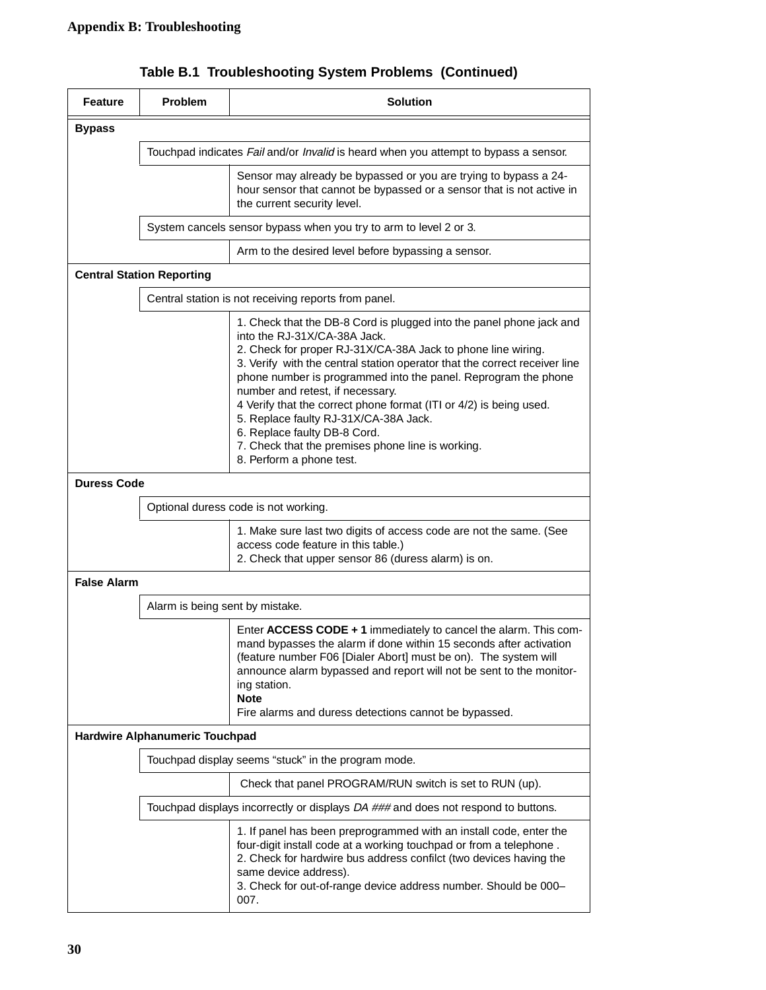| <b>Feature</b>     | Problem                          | <b>Solution</b>                                                                                                                                                                                                                                                                                                                                                                                                                                                                                                                                                                          |
|--------------------|----------------------------------|------------------------------------------------------------------------------------------------------------------------------------------------------------------------------------------------------------------------------------------------------------------------------------------------------------------------------------------------------------------------------------------------------------------------------------------------------------------------------------------------------------------------------------------------------------------------------------------|
| <b>Bypass</b>      |                                  |                                                                                                                                                                                                                                                                                                                                                                                                                                                                                                                                                                                          |
|                    |                                  | Touchpad indicates Fail and/or Invalid is heard when you attempt to bypass a sensor.                                                                                                                                                                                                                                                                                                                                                                                                                                                                                                     |
|                    |                                  | Sensor may already be bypassed or you are trying to bypass a 24-<br>hour sensor that cannot be bypassed or a sensor that is not active in<br>the current security level.                                                                                                                                                                                                                                                                                                                                                                                                                 |
|                    |                                  | System cancels sensor bypass when you try to arm to level 2 or 3.                                                                                                                                                                                                                                                                                                                                                                                                                                                                                                                        |
|                    |                                  | Arm to the desired level before bypassing a sensor.                                                                                                                                                                                                                                                                                                                                                                                                                                                                                                                                      |
|                    | <b>Central Station Reporting</b> |                                                                                                                                                                                                                                                                                                                                                                                                                                                                                                                                                                                          |
|                    |                                  | Central station is not receiving reports from panel.                                                                                                                                                                                                                                                                                                                                                                                                                                                                                                                                     |
|                    |                                  | 1. Check that the DB-8 Cord is plugged into the panel phone jack and<br>into the RJ-31X/CA-38A Jack.<br>2. Check for proper RJ-31X/CA-38A Jack to phone line wiring.<br>3. Verify with the central station operator that the correct receiver line<br>phone number is programmed into the panel. Reprogram the phone<br>number and retest, if necessary.<br>4 Verify that the correct phone format (ITI or 4/2) is being used.<br>5. Replace faulty RJ-31X/CA-38A Jack.<br>6. Replace faulty DB-8 Cord.<br>7. Check that the premises phone line is working.<br>8. Perform a phone test. |
| <b>Duress Code</b> |                                  |                                                                                                                                                                                                                                                                                                                                                                                                                                                                                                                                                                                          |
|                    |                                  | Optional duress code is not working.                                                                                                                                                                                                                                                                                                                                                                                                                                                                                                                                                     |
|                    |                                  | 1. Make sure last two digits of access code are not the same. (See<br>access code feature in this table.)<br>2. Check that upper sensor 86 (duress alarm) is on.                                                                                                                                                                                                                                                                                                                                                                                                                         |
| <b>False Alarm</b> |                                  |                                                                                                                                                                                                                                                                                                                                                                                                                                                                                                                                                                                          |
|                    | Alarm is being sent by mistake.  |                                                                                                                                                                                                                                                                                                                                                                                                                                                                                                                                                                                          |
|                    |                                  | Enter ACCESS CODE + 1 immediately to cancel the alarm. This com-<br>mand bypasses the alarm if done within 15 seconds after activation<br>(feature number F06 [Dialer Abort] must be on). The system will<br>announce alarm bypassed and report will not be sent to the monitor-<br>ing station.<br><b>Note</b><br>Fire alarms and duress detections cannot be bypassed.                                                                                                                                                                                                                 |
|                    | Hardwire Alphanumeric Touchpad   |                                                                                                                                                                                                                                                                                                                                                                                                                                                                                                                                                                                          |
|                    |                                  | Touchpad display seems "stuck" in the program mode.                                                                                                                                                                                                                                                                                                                                                                                                                                                                                                                                      |
|                    |                                  | Check that panel PROGRAM/RUN switch is set to RUN (up).                                                                                                                                                                                                                                                                                                                                                                                                                                                                                                                                  |
|                    |                                  | Touchpad displays incorrectly or displays DA ### and does not respond to buttons.                                                                                                                                                                                                                                                                                                                                                                                                                                                                                                        |
|                    |                                  | 1. If panel has been preprogrammed with an install code, enter the<br>four-digit install code at a working touchpad or from a telephone.<br>2. Check for hardwire bus address confilct (two devices having the<br>same device address).<br>3. Check for out-of-range device address number. Should be 000-<br>007.                                                                                                                                                                                                                                                                       |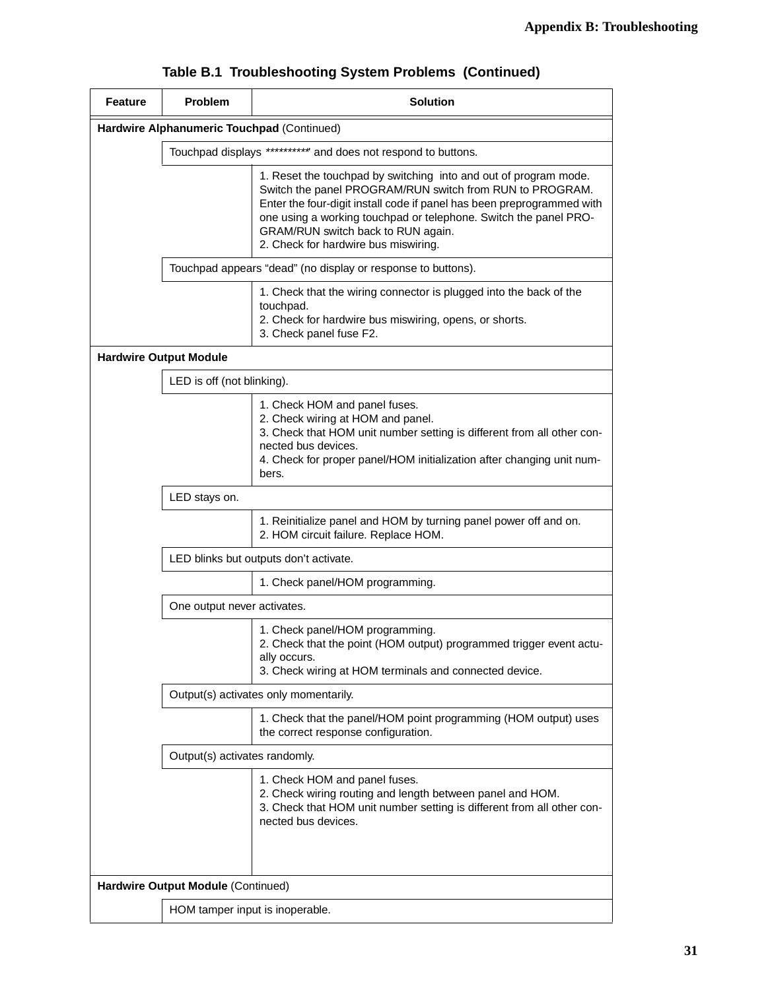| <b>Feature</b>                     | Problem                                                       | <b>Solution</b>                                                                                                                                                                                                                                                                                                                                          |  |
|------------------------------------|---------------------------------------------------------------|----------------------------------------------------------------------------------------------------------------------------------------------------------------------------------------------------------------------------------------------------------------------------------------------------------------------------------------------------------|--|
|                                    | Hardwire Alphanumeric Touchpad (Continued)                    |                                                                                                                                                                                                                                                                                                                                                          |  |
|                                    | Touchpad displays ********** and does not respond to buttons. |                                                                                                                                                                                                                                                                                                                                                          |  |
|                                    |                                                               | 1. Reset the touchpad by switching into and out of program mode.<br>Switch the panel PROGRAM/RUN switch from RUN to PROGRAM.<br>Enter the four-digit install code if panel has been preprogrammed with<br>one using a working touchpad or telephone. Switch the panel PRO-<br>GRAM/RUN switch back to RUN again.<br>2. Check for hardwire bus miswiring. |  |
|                                    | Touchpad appears "dead" (no display or response to buttons).  |                                                                                                                                                                                                                                                                                                                                                          |  |
|                                    |                                                               | 1. Check that the wiring connector is plugged into the back of the<br>touchpad.<br>2. Check for hardwire bus miswiring, opens, or shorts.<br>3. Check panel fuse F2.                                                                                                                                                                                     |  |
|                                    | <b>Hardwire Output Module</b>                                 |                                                                                                                                                                                                                                                                                                                                                          |  |
|                                    | LED is off (not blinking).                                    |                                                                                                                                                                                                                                                                                                                                                          |  |
|                                    |                                                               | 1. Check HOM and panel fuses.<br>2. Check wiring at HOM and panel.<br>3. Check that HOM unit number setting is different from all other con-<br>nected bus devices.<br>4. Check for proper panel/HOM initialization after changing unit num-<br>bers.                                                                                                    |  |
|                                    | LED stays on.                                                 |                                                                                                                                                                                                                                                                                                                                                          |  |
|                                    |                                                               | 1. Reinitialize panel and HOM by turning panel power off and on.<br>2. HOM circuit failure. Replace HOM.                                                                                                                                                                                                                                                 |  |
|                                    |                                                               | LED blinks but outputs don't activate.                                                                                                                                                                                                                                                                                                                   |  |
|                                    | 1. Check panel/HOM programming.                               |                                                                                                                                                                                                                                                                                                                                                          |  |
|                                    | One output never activates.                                   |                                                                                                                                                                                                                                                                                                                                                          |  |
|                                    |                                                               | 1. Check panel/HOM programming.<br>2. Check that the point (HOM output) programmed trigger event actu-<br>ally occurs.<br>3. Check wiring at HOM terminals and connected device.                                                                                                                                                                         |  |
|                                    |                                                               | Output(s) activates only momentarily.                                                                                                                                                                                                                                                                                                                    |  |
|                                    |                                                               | 1. Check that the panel/HOM point programming (HOM output) uses<br>the correct response configuration.                                                                                                                                                                                                                                                   |  |
|                                    | Output(s) activates randomly.                                 |                                                                                                                                                                                                                                                                                                                                                          |  |
|                                    |                                                               | 1. Check HOM and panel fuses.<br>2. Check wiring routing and length between panel and HOM.<br>3. Check that HOM unit number setting is different from all other con-<br>nected bus devices.                                                                                                                                                              |  |
| Hardwire Output Module (Continued) |                                                               |                                                                                                                                                                                                                                                                                                                                                          |  |
|                                    | HOM tamper input is inoperable.                               |                                                                                                                                                                                                                                                                                                                                                          |  |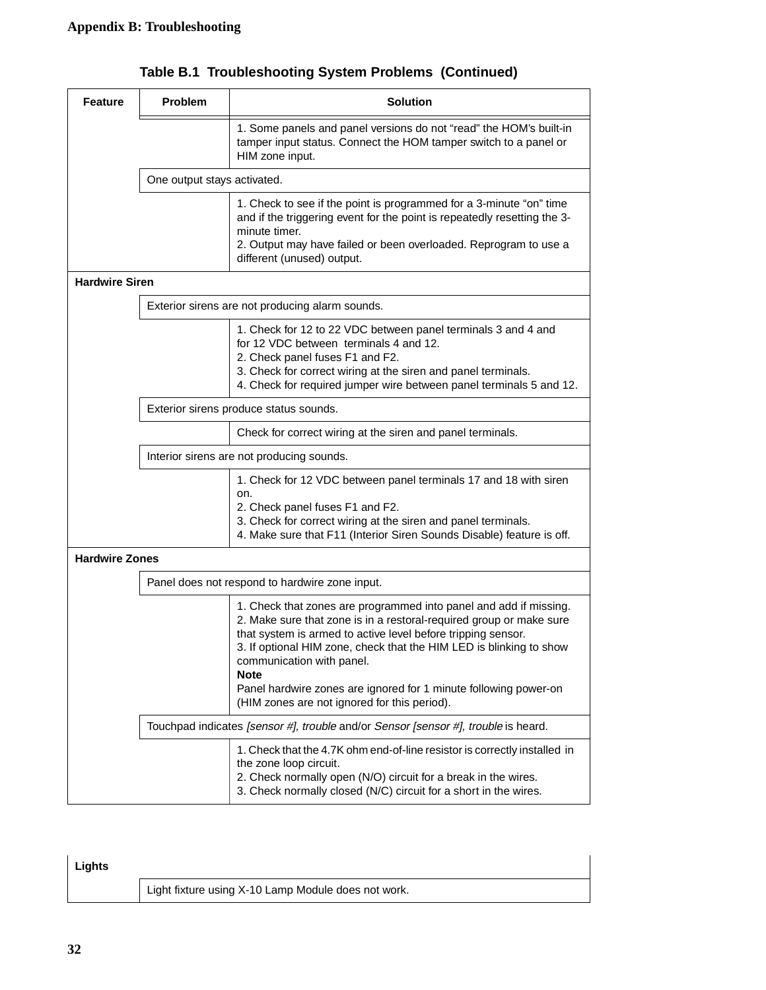| <b>Feature</b>        | <b>Problem</b>                            | <b>Solution</b>                                                                                                                                                                                                                                                                                                                                                                                                                                 |
|-----------------------|-------------------------------------------|-------------------------------------------------------------------------------------------------------------------------------------------------------------------------------------------------------------------------------------------------------------------------------------------------------------------------------------------------------------------------------------------------------------------------------------------------|
|                       |                                           | 1. Some panels and panel versions do not "read" the HOM's built-in<br>tamper input status. Connect the HOM tamper switch to a panel or<br>HIM zone input.                                                                                                                                                                                                                                                                                       |
|                       | One output stays activated.               |                                                                                                                                                                                                                                                                                                                                                                                                                                                 |
|                       |                                           | 1. Check to see if the point is programmed for a 3-minute "on" time<br>and if the triggering event for the point is repeatedly resetting the 3-<br>minute timer.<br>2. Output may have failed or been overloaded. Reprogram to use a<br>different (unused) output.                                                                                                                                                                              |
| <b>Hardwire Siren</b> |                                           |                                                                                                                                                                                                                                                                                                                                                                                                                                                 |
|                       |                                           | Exterior sirens are not producing alarm sounds.                                                                                                                                                                                                                                                                                                                                                                                                 |
|                       |                                           | 1. Check for 12 to 22 VDC between panel terminals 3 and 4 and<br>for 12 VDC between terminals 4 and 12.<br>2. Check panel fuses F1 and F2.<br>3. Check for correct wiring at the siren and panel terminals.<br>4. Check for required jumper wire between panel terminals 5 and 12.                                                                                                                                                              |
|                       |                                           | Exterior sirens produce status sounds.                                                                                                                                                                                                                                                                                                                                                                                                          |
|                       |                                           | Check for correct wiring at the siren and panel terminals.                                                                                                                                                                                                                                                                                                                                                                                      |
|                       | Interior sirens are not producing sounds. |                                                                                                                                                                                                                                                                                                                                                                                                                                                 |
|                       |                                           | 1. Check for 12 VDC between panel terminals 17 and 18 with siren<br>on.<br>2. Check panel fuses F1 and F2.<br>3. Check for correct wiring at the siren and panel terminals.<br>4. Make sure that F11 (Interior Siren Sounds Disable) feature is off.                                                                                                                                                                                            |
| <b>Hardwire Zones</b> |                                           |                                                                                                                                                                                                                                                                                                                                                                                                                                                 |
|                       |                                           | Panel does not respond to hardwire zone input.                                                                                                                                                                                                                                                                                                                                                                                                  |
|                       |                                           | 1. Check that zones are programmed into panel and add if missing.<br>2. Make sure that zone is in a restoral-required group or make sure<br>that system is armed to active level before tripping sensor.<br>3. If optional HIM zone, check that the HIM LED is blinking to show<br>communication with panel.<br><b>Note</b><br>Panel hardwire zones are ignored for 1 minute following power-on<br>(HIM zones are not ignored for this period). |
|                       |                                           | Touchpad indicates [sensor #], trouble and/or Sensor [sensor #], trouble is heard.                                                                                                                                                                                                                                                                                                                                                              |
|                       |                                           | 1. Check that the 4.7K ohm end-of-line resistor is correctly installed in<br>the zone loop circuit.<br>2. Check normally open (N/O) circuit for a break in the wires.<br>3. Check normally closed (N/C) circuit for a short in the wires.                                                                                                                                                                                                       |

**Table B.1 Troubleshooting System Problems (Continued)**

| Lights |                                                     |
|--------|-----------------------------------------------------|
|        | Light fixture using X-10 Lamp Module does not work. |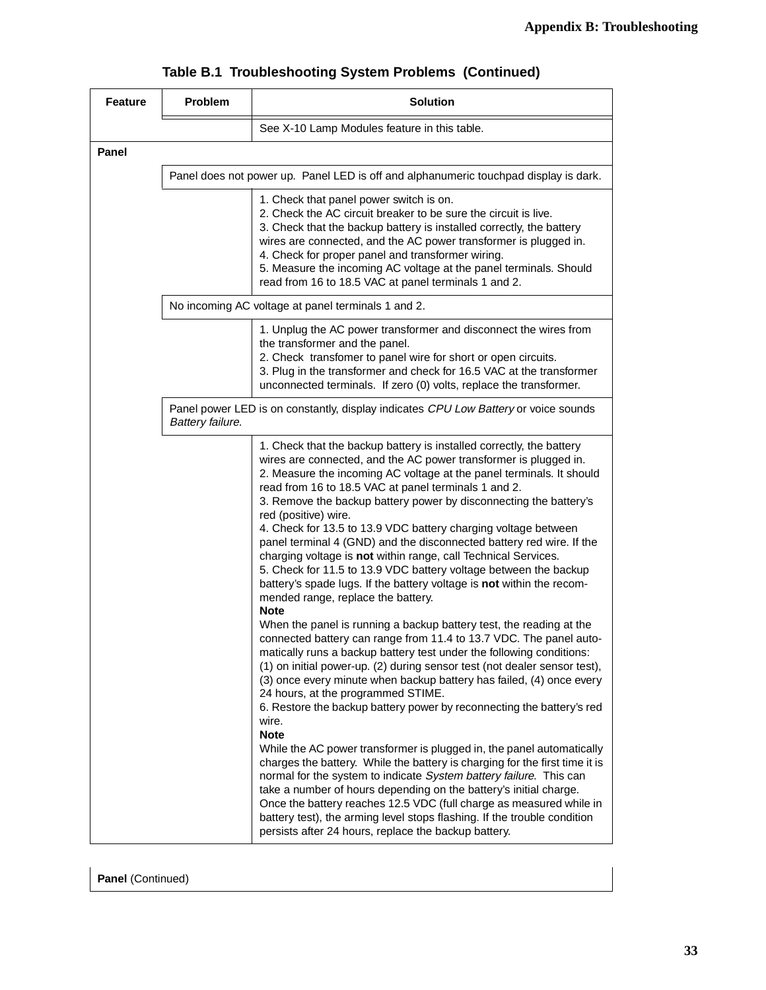| <b>Feature</b> | <b>Problem</b>   | <b>Solution</b>                                                                                                                                                                                                                                                                                                                                                                                                                                                                                                                                                                                                                                                                                                                                                                                                                                                                                                                                                                                                                                                                                                                                                                                                                                                              |  |  |  |  |  |  |  |
|----------------|------------------|------------------------------------------------------------------------------------------------------------------------------------------------------------------------------------------------------------------------------------------------------------------------------------------------------------------------------------------------------------------------------------------------------------------------------------------------------------------------------------------------------------------------------------------------------------------------------------------------------------------------------------------------------------------------------------------------------------------------------------------------------------------------------------------------------------------------------------------------------------------------------------------------------------------------------------------------------------------------------------------------------------------------------------------------------------------------------------------------------------------------------------------------------------------------------------------------------------------------------------------------------------------------------|--|--|--|--|--|--|--|
|                |                  | See X-10 Lamp Modules feature in this table.                                                                                                                                                                                                                                                                                                                                                                                                                                                                                                                                                                                                                                                                                                                                                                                                                                                                                                                                                                                                                                                                                                                                                                                                                                 |  |  |  |  |  |  |  |
| <b>Panel</b>   |                  |                                                                                                                                                                                                                                                                                                                                                                                                                                                                                                                                                                                                                                                                                                                                                                                                                                                                                                                                                                                                                                                                                                                                                                                                                                                                              |  |  |  |  |  |  |  |
|                |                  | Panel does not power up. Panel LED is off and alphanumeric touchpad display is dark.                                                                                                                                                                                                                                                                                                                                                                                                                                                                                                                                                                                                                                                                                                                                                                                                                                                                                                                                                                                                                                                                                                                                                                                         |  |  |  |  |  |  |  |
|                |                  | 1. Check that panel power switch is on.<br>2. Check the AC circuit breaker to be sure the circuit is live.<br>3. Check that the backup battery is installed correctly, the battery<br>wires are connected, and the AC power transformer is plugged in.<br>4. Check for proper panel and transformer wiring.<br>5. Measure the incoming AC voltage at the panel terminals. Should<br>read from 16 to 18.5 VAC at panel terminals 1 and 2.                                                                                                                                                                                                                                                                                                                                                                                                                                                                                                                                                                                                                                                                                                                                                                                                                                     |  |  |  |  |  |  |  |
|                |                  | No incoming AC voltage at panel terminals 1 and 2.                                                                                                                                                                                                                                                                                                                                                                                                                                                                                                                                                                                                                                                                                                                                                                                                                                                                                                                                                                                                                                                                                                                                                                                                                           |  |  |  |  |  |  |  |
|                |                  | 1. Unplug the AC power transformer and disconnect the wires from<br>the transformer and the panel.<br>2. Check transfomer to panel wire for short or open circuits.<br>3. Plug in the transformer and check for 16.5 VAC at the transformer<br>unconnected terminals. If zero (0) volts, replace the transformer.                                                                                                                                                                                                                                                                                                                                                                                                                                                                                                                                                                                                                                                                                                                                                                                                                                                                                                                                                            |  |  |  |  |  |  |  |
|                | Battery failure. | Panel power LED is on constantly, display indicates CPU Low Battery or voice sounds                                                                                                                                                                                                                                                                                                                                                                                                                                                                                                                                                                                                                                                                                                                                                                                                                                                                                                                                                                                                                                                                                                                                                                                          |  |  |  |  |  |  |  |
|                |                  | 1. Check that the backup battery is installed correctly, the battery<br>wires are connected, and the AC power transformer is plugged in.<br>2. Measure the incoming AC voltage at the panel terminals. It should<br>read from 16 to 18.5 VAC at panel terminals 1 and 2.<br>3. Remove the backup battery power by disconnecting the battery's<br>red (positive) wire.<br>4. Check for 13.5 to 13.9 VDC battery charging voltage between<br>panel terminal 4 (GND) and the disconnected battery red wire. If the<br>charging voltage is not within range, call Technical Services.<br>5. Check for 11.5 to 13.9 VDC battery voltage between the backup<br>battery's spade lugs. If the battery voltage is not within the recom-<br>mended range, replace the battery.<br><b>Note</b><br>When the panel is running a backup battery test, the reading at the<br>connected battery can range from 11.4 to 13.7 VDC. The panel auto-<br>matically runs a backup battery test under the following conditions:<br>(1) on initial power-up. (2) during sensor test (not dealer sensor test),<br>(3) once every minute when backup battery has failed, (4) once every<br>24 hours, at the programmed STIME.<br>6. Restore the backup battery power by reconnecting the battery's red |  |  |  |  |  |  |  |
|                |                  | wire.<br><b>Note</b><br>While the AC power transformer is plugged in, the panel automatically<br>charges the battery. While the battery is charging for the first time it is<br>normal for the system to indicate System battery failure. This can<br>take a number of hours depending on the battery's initial charge.<br>Once the battery reaches 12.5 VDC (full charge as measured while in<br>battery test), the arming level stops flashing. If the trouble condition<br>persists after 24 hours, replace the backup battery.                                                                                                                                                                                                                                                                                                                                                                                                                                                                                                                                                                                                                                                                                                                                           |  |  |  |  |  |  |  |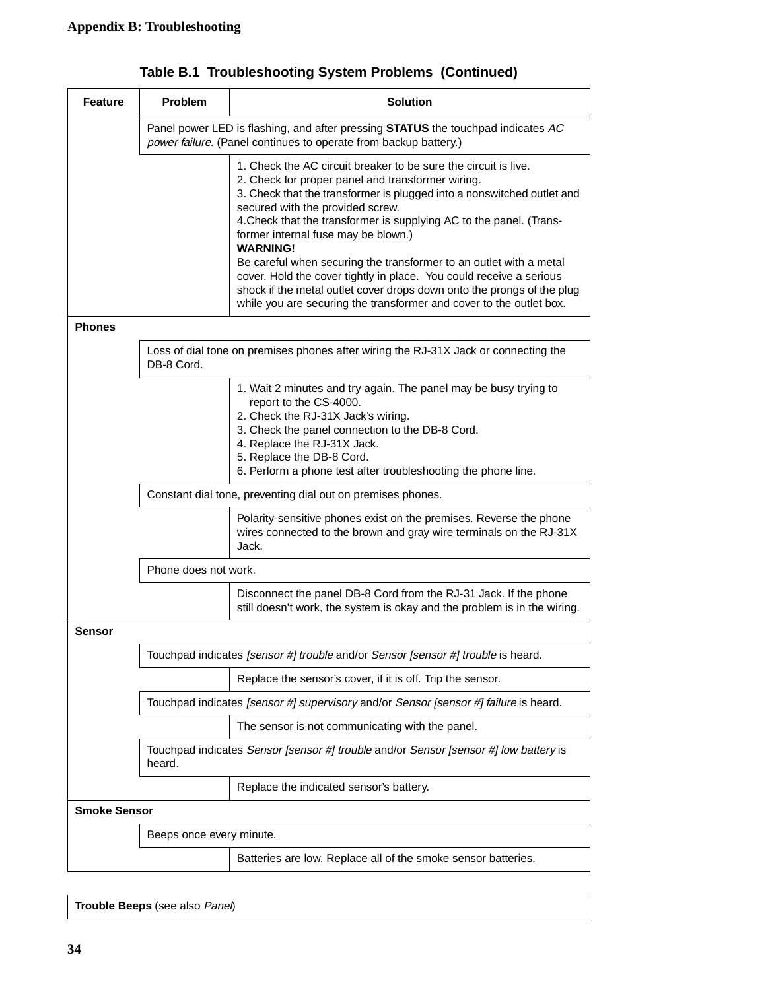| <b>Feature</b>      | Problem                                                                                           | <b>Solution</b>                                                                                                                                                                                                                                                                                                                                                                                                                                                                                                  |  |  |  |  |  |  |  |  |
|---------------------|---------------------------------------------------------------------------------------------------|------------------------------------------------------------------------------------------------------------------------------------------------------------------------------------------------------------------------------------------------------------------------------------------------------------------------------------------------------------------------------------------------------------------------------------------------------------------------------------------------------------------|--|--|--|--|--|--|--|--|
|                     |                                                                                                   | Panel power LED is flashing, and after pressing <b>STATUS</b> the touchpad indicates AC<br>power failure. (Panel continues to operate from backup battery.)                                                                                                                                                                                                                                                                                                                                                      |  |  |  |  |  |  |  |  |
|                     |                                                                                                   | 1. Check the AC circuit breaker to be sure the circuit is live.<br>2. Check for proper panel and transformer wiring.<br>3. Check that the transformer is plugged into a nonswitched outlet and<br>secured with the provided screw.<br>4. Check that the transformer is supplying AC to the panel. (Trans-<br>former internal fuse may be blown.)<br><b>WARNING!</b><br>Be careful when securing the transformer to an outlet with a metal<br>cover. Hold the cover tightly in place. You could receive a serious |  |  |  |  |  |  |  |  |
|                     |                                                                                                   | shock if the metal outlet cover drops down onto the prongs of the plug<br>while you are securing the transformer and cover to the outlet box.                                                                                                                                                                                                                                                                                                                                                                    |  |  |  |  |  |  |  |  |
| <b>Phones</b>       |                                                                                                   |                                                                                                                                                                                                                                                                                                                                                                                                                                                                                                                  |  |  |  |  |  |  |  |  |
|                     | Loss of dial tone on premises phones after wiring the RJ-31X Jack or connecting the<br>DB-8 Cord. |                                                                                                                                                                                                                                                                                                                                                                                                                                                                                                                  |  |  |  |  |  |  |  |  |
|                     |                                                                                                   | 1. Wait 2 minutes and try again. The panel may be busy trying to<br>report to the CS-4000.<br>2. Check the RJ-31X Jack's wiring.<br>3. Check the panel connection to the DB-8 Cord.<br>4. Replace the RJ-31X Jack.<br>5. Replace the DB-8 Cord.<br>6. Perform a phone test after troubleshooting the phone line.                                                                                                                                                                                                 |  |  |  |  |  |  |  |  |
|                     |                                                                                                   | Constant dial tone, preventing dial out on premises phones.                                                                                                                                                                                                                                                                                                                                                                                                                                                      |  |  |  |  |  |  |  |  |
|                     |                                                                                                   | Polarity-sensitive phones exist on the premises. Reverse the phone<br>wires connected to the brown and gray wire terminals on the RJ-31X<br>Jack.                                                                                                                                                                                                                                                                                                                                                                |  |  |  |  |  |  |  |  |
|                     | Phone does not work.                                                                              |                                                                                                                                                                                                                                                                                                                                                                                                                                                                                                                  |  |  |  |  |  |  |  |  |
|                     |                                                                                                   | Disconnect the panel DB-8 Cord from the RJ-31 Jack. If the phone<br>still doesn't work, the system is okay and the problem is in the wiring.                                                                                                                                                                                                                                                                                                                                                                     |  |  |  |  |  |  |  |  |
| Sensor              |                                                                                                   |                                                                                                                                                                                                                                                                                                                                                                                                                                                                                                                  |  |  |  |  |  |  |  |  |
|                     |                                                                                                   | Touchpad indicates [sensor #] trouble and/or Sensor [sensor #] trouble is heard.                                                                                                                                                                                                                                                                                                                                                                                                                                 |  |  |  |  |  |  |  |  |
|                     |                                                                                                   | Replace the sensor's cover, if it is off. Trip the sensor.                                                                                                                                                                                                                                                                                                                                                                                                                                                       |  |  |  |  |  |  |  |  |
|                     |                                                                                                   | Touchpad indicates [sensor #] supervisory and/or Sensor [sensor #] failure is heard.                                                                                                                                                                                                                                                                                                                                                                                                                             |  |  |  |  |  |  |  |  |
|                     |                                                                                                   | The sensor is not communicating with the panel.                                                                                                                                                                                                                                                                                                                                                                                                                                                                  |  |  |  |  |  |  |  |  |
|                     | heard.                                                                                            | Touchpad indicates Sensor [sensor #] trouble and/or Sensor [sensor #] low battery is                                                                                                                                                                                                                                                                                                                                                                                                                             |  |  |  |  |  |  |  |  |
|                     |                                                                                                   | Replace the indicated sensor's battery.                                                                                                                                                                                                                                                                                                                                                                                                                                                                          |  |  |  |  |  |  |  |  |
| <b>Smoke Sensor</b> |                                                                                                   |                                                                                                                                                                                                                                                                                                                                                                                                                                                                                                                  |  |  |  |  |  |  |  |  |
|                     | Beeps once every minute.                                                                          |                                                                                                                                                                                                                                                                                                                                                                                                                                                                                                                  |  |  |  |  |  |  |  |  |
|                     |                                                                                                   | Batteries are low. Replace all of the smoke sensor batteries.                                                                                                                                                                                                                                                                                                                                                                                                                                                    |  |  |  |  |  |  |  |  |
|                     |                                                                                                   |                                                                                                                                                                                                                                                                                                                                                                                                                                                                                                                  |  |  |  |  |  |  |  |  |

**Trouble Beeps** (see also Panel)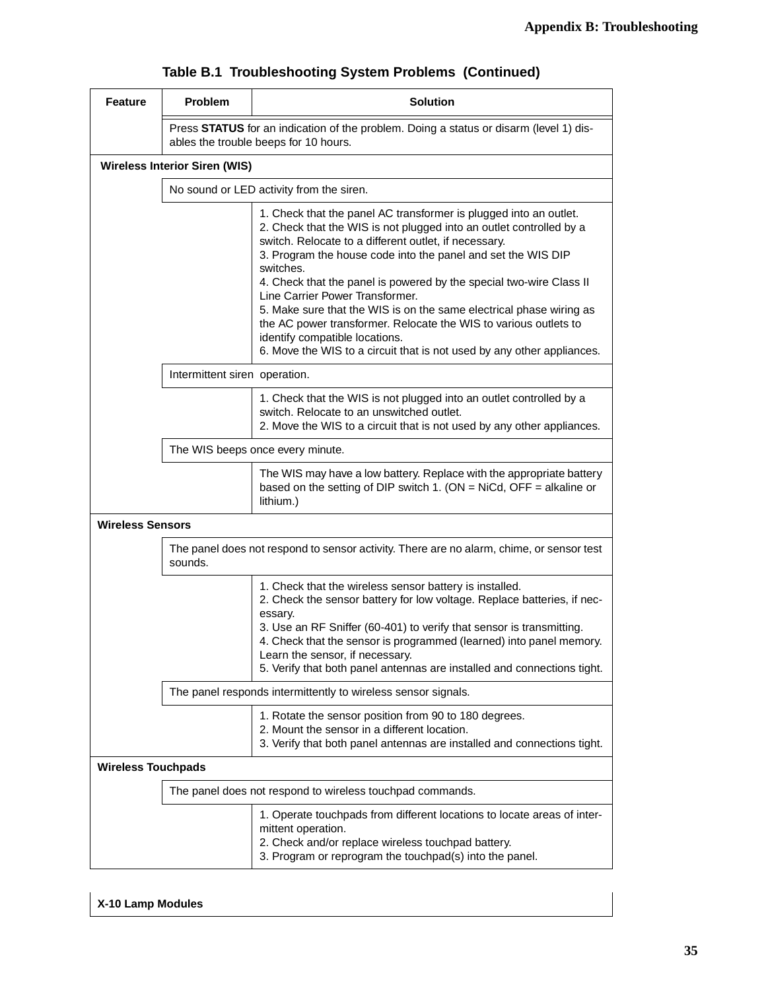| <b>Feature</b>            | <b>Problem</b>                                                                                                                                                                             | <b>Solution</b>                                                                                                                                                                                                                                                                                                                                                                                                                                                                                                                                                                                                                                 |  |  |  |  |  |  |  |
|---------------------------|--------------------------------------------------------------------------------------------------------------------------------------------------------------------------------------------|-------------------------------------------------------------------------------------------------------------------------------------------------------------------------------------------------------------------------------------------------------------------------------------------------------------------------------------------------------------------------------------------------------------------------------------------------------------------------------------------------------------------------------------------------------------------------------------------------------------------------------------------------|--|--|--|--|--|--|--|
|                           |                                                                                                                                                                                            | Press STATUS for an indication of the problem. Doing a status or disarm (level 1) dis-<br>ables the trouble beeps for 10 hours.                                                                                                                                                                                                                                                                                                                                                                                                                                                                                                                 |  |  |  |  |  |  |  |
|                           | <b>Wireless Interior Siren (WIS)</b>                                                                                                                                                       |                                                                                                                                                                                                                                                                                                                                                                                                                                                                                                                                                                                                                                                 |  |  |  |  |  |  |  |
|                           | No sound or LED activity from the siren.                                                                                                                                                   |                                                                                                                                                                                                                                                                                                                                                                                                                                                                                                                                                                                                                                                 |  |  |  |  |  |  |  |
|                           |                                                                                                                                                                                            | 1. Check that the panel AC transformer is plugged into an outlet.<br>2. Check that the WIS is not plugged into an outlet controlled by a<br>switch. Relocate to a different outlet, if necessary.<br>3. Program the house code into the panel and set the WIS DIP<br>switches.<br>4. Check that the panel is powered by the special two-wire Class II<br>Line Carrier Power Transformer.<br>5. Make sure that the WIS is on the same electrical phase wiring as<br>the AC power transformer. Relocate the WIS to various outlets to<br>identify compatible locations.<br>6. Move the WIS to a circuit that is not used by any other appliances. |  |  |  |  |  |  |  |
|                           | Intermittent siren operation.                                                                                                                                                              |                                                                                                                                                                                                                                                                                                                                                                                                                                                                                                                                                                                                                                                 |  |  |  |  |  |  |  |
|                           | 1. Check that the WIS is not plugged into an outlet controlled by a<br>switch. Relocate to an unswitched outlet.<br>2. Move the WIS to a circuit that is not used by any other appliances. |                                                                                                                                                                                                                                                                                                                                                                                                                                                                                                                                                                                                                                                 |  |  |  |  |  |  |  |
|                           | The WIS beeps once every minute.                                                                                                                                                           |                                                                                                                                                                                                                                                                                                                                                                                                                                                                                                                                                                                                                                                 |  |  |  |  |  |  |  |
|                           |                                                                                                                                                                                            | The WIS may have a low battery. Replace with the appropriate battery<br>based on the setting of DIP switch 1. (ON = NiCd, OFF = alkaline or<br>lithium.)                                                                                                                                                                                                                                                                                                                                                                                                                                                                                        |  |  |  |  |  |  |  |
| <b>Wireless Sensors</b>   |                                                                                                                                                                                            |                                                                                                                                                                                                                                                                                                                                                                                                                                                                                                                                                                                                                                                 |  |  |  |  |  |  |  |
|                           | sounds.                                                                                                                                                                                    | The panel does not respond to sensor activity. There are no alarm, chime, or sensor test                                                                                                                                                                                                                                                                                                                                                                                                                                                                                                                                                        |  |  |  |  |  |  |  |
|                           |                                                                                                                                                                                            | 1. Check that the wireless sensor battery is installed.<br>2. Check the sensor battery for low voltage. Replace batteries, if nec-<br>essary.<br>3. Use an RF Sniffer (60-401) to verify that sensor is transmitting.<br>4. Check that the sensor is programmed (learned) into panel memory.<br>Learn the sensor, if necessary.<br>5. Verify that both panel antennas are installed and connections tight.                                                                                                                                                                                                                                      |  |  |  |  |  |  |  |
|                           |                                                                                                                                                                                            | The panel responds intermittently to wireless sensor signals.                                                                                                                                                                                                                                                                                                                                                                                                                                                                                                                                                                                   |  |  |  |  |  |  |  |
|                           |                                                                                                                                                                                            | 1. Rotate the sensor position from 90 to 180 degrees.<br>2. Mount the sensor in a different location.<br>3. Verify that both panel antennas are installed and connections tight.                                                                                                                                                                                                                                                                                                                                                                                                                                                                |  |  |  |  |  |  |  |
| <b>Wireless Touchpads</b> |                                                                                                                                                                                            |                                                                                                                                                                                                                                                                                                                                                                                                                                                                                                                                                                                                                                                 |  |  |  |  |  |  |  |
|                           |                                                                                                                                                                                            | The panel does not respond to wireless touchpad commands.                                                                                                                                                                                                                                                                                                                                                                                                                                                                                                                                                                                       |  |  |  |  |  |  |  |
|                           |                                                                                                                                                                                            | 1. Operate touchpads from different locations to locate areas of inter-<br>mittent operation.<br>2. Check and/or replace wireless touchpad battery.<br>3. Program or reprogram the touchpad(s) into the panel.                                                                                                                                                                                                                                                                                                                                                                                                                                  |  |  |  |  |  |  |  |

### **X-10 Lamp Modules**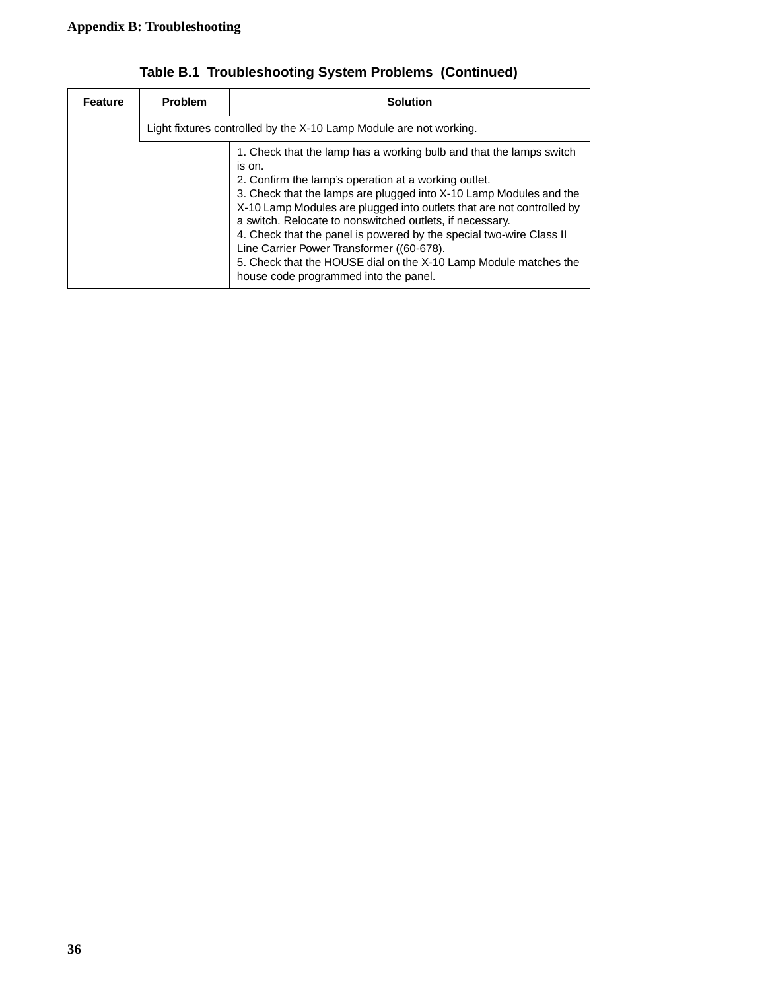| <b>Feature</b> | <b>Problem</b> | Solution                                                                                                                                                                                                                                                                                                                                                                                                                                                                                                                                                                          |
|----------------|----------------|-----------------------------------------------------------------------------------------------------------------------------------------------------------------------------------------------------------------------------------------------------------------------------------------------------------------------------------------------------------------------------------------------------------------------------------------------------------------------------------------------------------------------------------------------------------------------------------|
|                |                | Light fixtures controlled by the X-10 Lamp Module are not working.                                                                                                                                                                                                                                                                                                                                                                                                                                                                                                                |
|                |                | 1. Check that the lamp has a working bulb and that the lamps switch<br>is on.<br>2. Confirm the lamp's operation at a working outlet.<br>3. Check that the lamps are plugged into X-10 Lamp Modules and the<br>X-10 Lamp Modules are plugged into outlets that are not controlled by<br>a switch. Relocate to nonswitched outlets, if necessary.<br>4. Check that the panel is powered by the special two-wire Class II<br>Line Carrier Power Transformer ((60-678).<br>5. Check that the HOUSE dial on the X-10 Lamp Module matches the<br>house code programmed into the panel. |

**Table B.1 Troubleshooting System Problems (Continued)**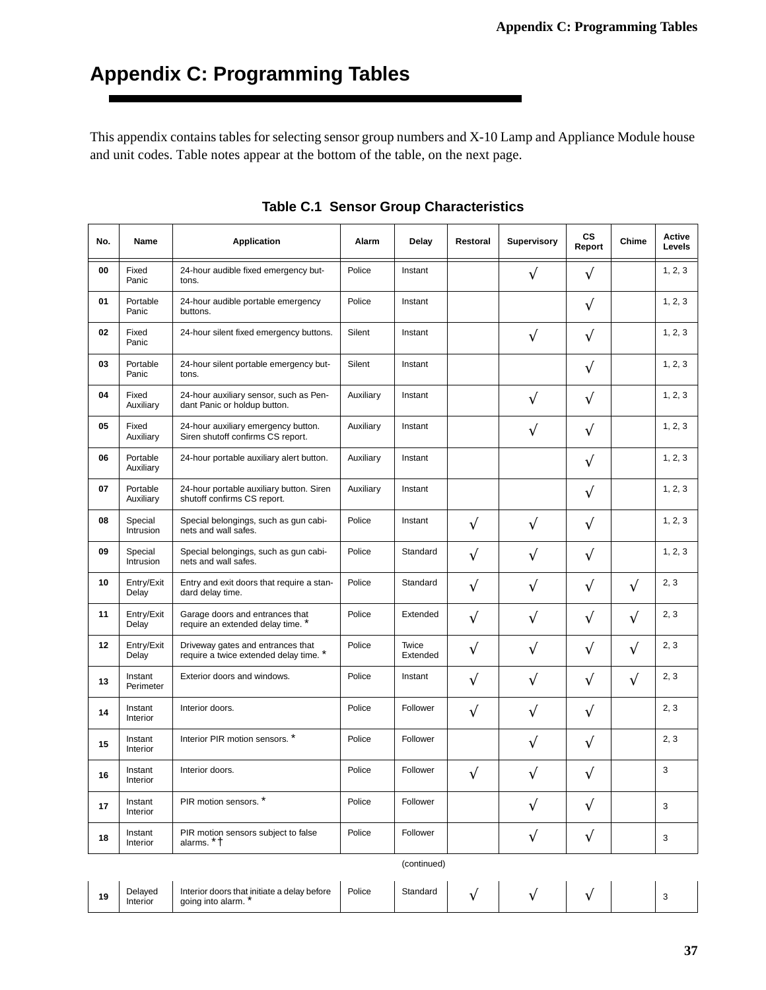# <span id="page-40-0"></span>**Appendix C: Programming Tables**

This appendix contains tables for selecting sensor group numbers and X-10 Lamp and Appliance Module house and unit codes. Table notes appear at the bottom of the table, on the next page.

| No. | <b>Name</b>           | <b>Application</b>                                                          | Alarm     | Delay             | Restoral  | <b>Supervisory</b> | <b>CS</b><br>Report | Chime     | Active<br>Levels |
|-----|-----------------------|-----------------------------------------------------------------------------|-----------|-------------------|-----------|--------------------|---------------------|-----------|------------------|
| 00  | Fixed<br>Panic        | 24-hour audible fixed emergency but-<br>tons.                               | Police    | Instant           |           | V                  | $\sqrt{ }$          |           | 1, 2, 3          |
| 01  | Portable<br>Panic     | 24-hour audible portable emergency<br>buttons.                              | Police    | Instant           |           |                    | $\sqrt{}$           |           | 1, 2, 3          |
| 02  | Fixed<br>Panic        | 24-hour silent fixed emergency buttons.                                     | Silent    | Instant           |           | $\sqrt{}$          | V                   |           | 1, 2, 3          |
| 03  | Portable<br>Panic     | 24-hour silent portable emergency but-<br>tons.                             | Silent    | Instant           |           |                    | $\sqrt{}$           |           | 1, 2, 3          |
| 04  | Fixed<br>Auxiliary    | 24-hour auxiliary sensor, such as Pen-<br>dant Panic or holdup button.      | Auxiliary | Instant           |           | V                  | $\sqrt{}$           |           | 1, 2, 3          |
| 05  | Fixed<br>Auxiliary    | 24-hour auxiliary emergency button.<br>Siren shutoff confirms CS report.    | Auxiliary | Instant           |           | $\sqrt{}$          | V                   |           | 1, 2, 3          |
| 06  | Portable<br>Auxiliary | 24-hour portable auxiliary alert button.                                    | Auxiliary | Instant           |           |                    | $\sqrt{}$           |           | 1, 2, 3          |
| 07  | Portable<br>Auxiliary | 24-hour portable auxiliary button. Siren<br>shutoff confirms CS report.     | Auxiliary | Instant           |           |                    | $\sqrt{}$           |           | 1, 2, 3          |
| 08  | Special<br>Intrusion  | Special belongings, such as gun cabi-<br>nets and wall safes.               | Police    | Instant           | V         | $\sqrt{}$          | V                   |           | 1, 2, 3          |
| 09  | Special<br>Intrusion  | Special belongings, such as gun cabi-<br>nets and wall safes.               | Police    | Standard          | $\sqrt{}$ | $\sqrt{}$          | $\sqrt{ }$          |           | 1, 2, 3          |
| 10  | Entry/Exit<br>Delay   | Entry and exit doors that require a stan-<br>dard delay time.               | Police    | Standard          | V         | $\sqrt{}$          | $\sqrt{}$           | V         | 2, 3             |
| 11  | Entry/Exit<br>Delay   | Garage doors and entrances that<br>require an extended delay time. *        | Police    | Extended          | V         | $\sqrt{}$          | $\sqrt{}$           | V         | 2, 3             |
| 12  | Entry/Exit<br>Delay   | Driveway gates and entrances that<br>require a twice extended delay time. * | Police    | Twice<br>Extended | V         | V                  | $\sqrt{}$           | V         | 2, 3             |
| 13  | Instant<br>Perimeter  | Exterior doors and windows.                                                 | Police    | Instant           | $\sqrt{}$ | $\sqrt{}$          | $\sqrt{ }$          | $\sqrt{}$ | 2, 3             |
| 14  | Instant<br>Interior   | Interior doors.                                                             | Police    | Follower          | V         | V                  | $\sqrt{}$           |           | 2, 3             |
| 15  | Instant<br>Interior   | Interior PIR motion sensors. *                                              | Police    | Follower          |           | V                  | $\sqrt{}$           |           | 2, 3             |
| 16  | Instant<br>Interior   | Interior doors.                                                             | Police    | Follower          | V         |                    | V                   |           | 3                |
| 17  | Instant<br>Interior   | PIR motion sensors. *                                                       | Police    | Follower          |           | $\sqrt{}$          | $\sqrt{}$           |           | 3                |
| 18  | Instant<br>Interior   | PIR motion sensors subject to false<br>alarms. * +                          | Police    | Follower          |           | $\sqrt{}$          | $\sqrt{}$           |           | 3                |
|     |                       |                                                                             |           | (continued)       |           |                    |                     |           |                  |

|  |  |  |  | <b>Table C.1 Sensor Group Characteristics</b> |
|--|--|--|--|-----------------------------------------------|
|--|--|--|--|-----------------------------------------------|

| 19 | <b>Delaved</b><br>Interior | Interior doors that initiate a delay before<br>· into alarm.<br>aoina<br>. | Police | ີ <sup>+</sup> andard |  |  |  |  |  |
|----|----------------------------|----------------------------------------------------------------------------|--------|-----------------------|--|--|--|--|--|
|----|----------------------------|----------------------------------------------------------------------------|--------|-----------------------|--|--|--|--|--|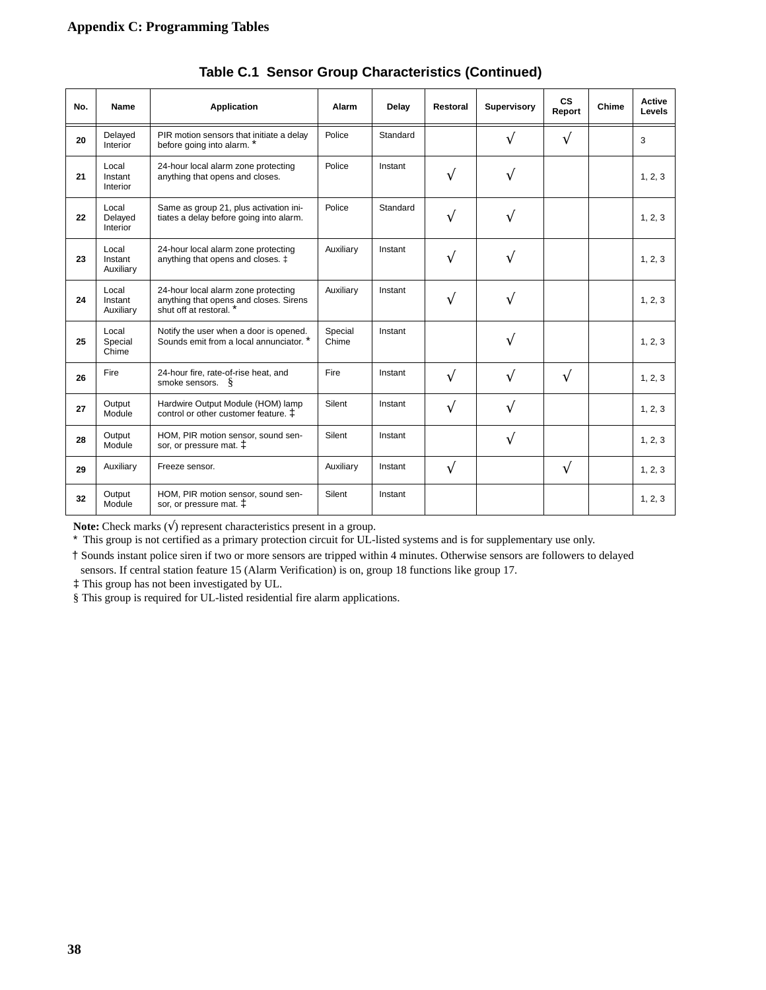| No. | <b>Name</b>                   | <b>Application</b>                                                                                       | Alarm            | Delay    | Restoral | <b>Supervisory</b> | <b>CS</b><br>Report | Chime | Active<br>Levels |
|-----|-------------------------------|----------------------------------------------------------------------------------------------------------|------------------|----------|----------|--------------------|---------------------|-------|------------------|
| 20  | Delayed<br>Interior           | PIR motion sensors that initiate a delay<br>before going into alarm. *                                   | Police           | Standard |          | V                  | $\sqrt{}$           |       | 3                |
| 21  | Local<br>Instant<br>Interior  | 24-hour local alarm zone protecting<br>anything that opens and closes.                                   | Police           | Instant  | V        | V                  |                     |       | 1, 2, 3          |
| 22  | Local<br>Delayed<br>Interior  | Same as group 21, plus activation ini-<br>tiates a delay before going into alarm.                        | Police           | Standard | V        | V                  |                     |       | 1, 2, 3          |
| 23  | Local<br>Instant<br>Auxiliary | 24-hour local alarm zone protecting<br>anything that opens and closes. ‡                                 | Auxiliary        | Instant  | V        | V                  |                     |       | 1, 2, 3          |
| 24  | Local<br>Instant<br>Auxiliary | 24-hour local alarm zone protecting<br>anything that opens and closes. Sirens<br>shut off at restoral. * | Auxiliary        | Instant  | V        | V                  |                     |       | 1, 2, 3          |
| 25  | Local<br>Special<br>Chime     | Notify the user when a door is opened.<br>Sounds emit from a local annunciator. *                        | Special<br>Chime | Instant  |          | V                  |                     |       | 1, 2, 3          |
| 26  | Fire                          | 24-hour fire, rate-of-rise heat, and<br>smoke sensors. $\S$                                              | Fire             | Instant  | V        | V                  | $\sqrt{}$           |       | 1, 2, 3          |
| 27  | Output<br>Module              | Hardwire Output Module (HOM) lamp<br>control or other customer feature. $\ddagger$                       | Silent           | Instant  | V        | V                  |                     |       | 1, 2, 3          |
| 28  | Output<br>Module              | HOM, PIR motion sensor, sound sen-<br>sor, or pressure mat. $\ddagger$                                   | Silent           | Instant  |          | V                  |                     |       | 1, 2, 3          |
| 29  | Auxiliary                     | Freeze sensor.                                                                                           | Auxiliary        | Instant  | V        |                    | V                   |       | 1, 2, 3          |
| 32  | Output<br>Module              | HOM, PIR motion sensor, sound sen-<br>sor, or pressure mat. $\ddagger$                                   | Silent           | Instant  |          |                    |                     |       | 1, 2, 3          |

**Table C.1 Sensor Group Characteristics (Continued)**

**Note:** Check marks  $(\sqrt{})$  represent characteristics present in a group.

\* This group is not certified as a primary protection circuit for UL-listed systems and is for supplementary use only.

† Sounds instant police siren if two or more sensors are tripped within 4 minutes. Otherwise sensors are followers to delayed sensors. If central station feature 15 (Alarm Verification) is on, group 18 functions like group 17.

‡ This group has not been investigated by UL.

§ This group is required for UL-listed residential fire alarm applications.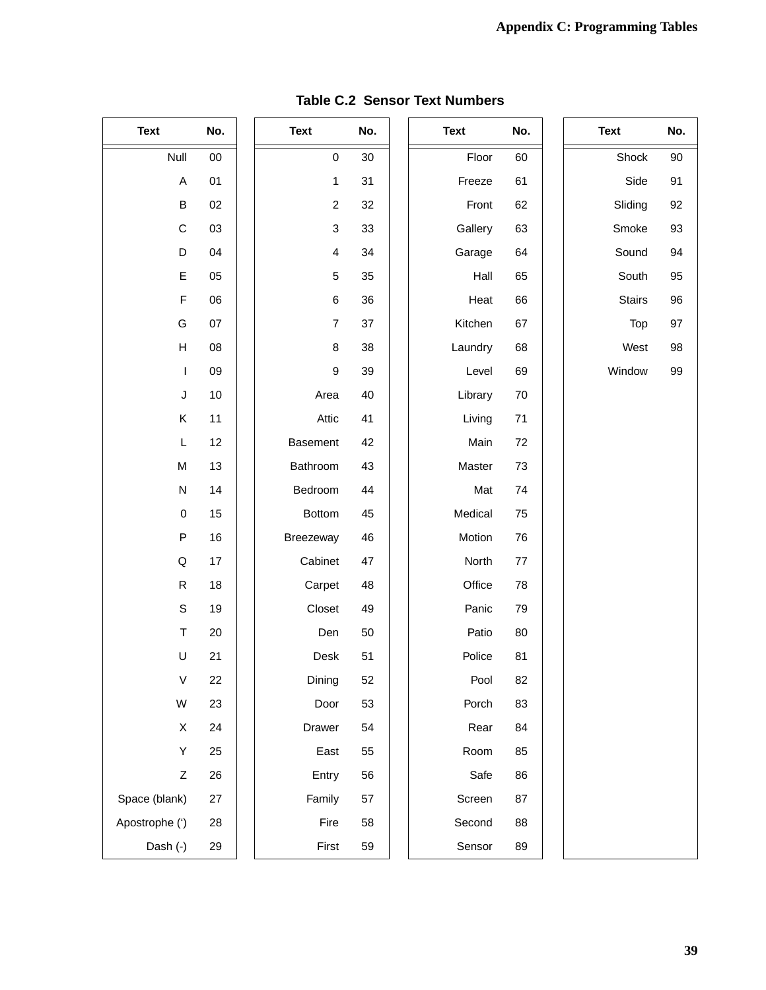| <b>Text</b>               | No.  | <b>Text</b>             | No. | <b>Text</b> | No. | <b>Text</b>   | No. |
|---------------------------|------|-------------------------|-----|-------------|-----|---------------|-----|
| Null                      | 00   | $\mathsf 0$             | 30  | Floor       | 60  | Shock         | 90  |
| $\mathsf A$               | 01   | $\mathbf{1}$            | 31  | Freeze      | 61  | Side          | 91  |
| B                         | 02   | $\overline{c}$          | 32  | Front       | 62  | Sliding       | 92  |
| $\mathsf C$               | 03   | $\mathbf{3}$            | 33  | Gallery     | 63  | Smoke         | 93  |
| D                         | 04   | $\overline{\mathbf{4}}$ | 34  | Garage      | 64  | Sound         | 94  |
| E                         | 05   | $\mathbf 5$             | 35  | Hall        | 65  | South         | 95  |
| $\mathsf F$               | 06   | $\,6$                   | 36  | Heat        | 66  | <b>Stairs</b> | 96  |
| G                         | 07   | $\overline{7}$          | 37  | Kitchen     | 67  | Top           | 97  |
| $\boldsymbol{\mathsf{H}}$ | 08   | 8                       | 38  | Laundry     | 68  | West          | 98  |
| $\mathbf{I}$              | 09   | $\boldsymbol{9}$        | 39  | Level       | 69  | Window        | 99  |
| J                         | $10$ | Area                    | 40  | Library     | 70  |               |     |
| Κ                         | 11   | Attic                   | 41  | Living      | 71  |               |     |
| L                         | 12   | Basement                | 42  | Main        | 72  |               |     |
| M                         | 13   | Bathroom                | 43  | Master      | 73  |               |     |
| ${\sf N}$                 | 14   | Bedroom                 | 44  | Mat         | 74  |               |     |
| $\pmb{0}$                 | 15   | Bottom                  | 45  | Medical     | 75  |               |     |
| P                         | 16   | Breezeway               | 46  | Motion      | 76  |               |     |
| Q                         | 17   | Cabinet                 | 47  | North       | 77  |               |     |
| $\mathsf{R}$              | 18   | Carpet                  | 48  | Office      | 78  |               |     |
| $\mathbb S$               | 19   | Closet                  | 49  | Panic       | 79  |               |     |
| $\top$                    | 20   | Den                     | 50  | Patio       | 80  |               |     |
| $\sf U$                   | 21   | Desk                    | 51  | Police      | 81  |               |     |
| V                         | 22   | Dining                  | 52  | Pool        | 82  |               |     |
| W                         | 23   | Door                    | 53  | Porch       | 83  |               |     |
| $\mathsf X$               | 24   | Drawer                  | 54  | Rear        | 84  |               |     |
| Υ                         | 25   | East                    | 55  | Room        | 85  |               |     |
| Z                         | 26   | Entry                   | 56  | Safe        | 86  |               |     |
| Space (blank)             | 27   | Family                  | 57  | Screen      | 87  |               |     |
| Apostrophe (')            | 28   | Fire                    | 58  | Second      | 88  |               |     |
| Dash (-)                  | 29   | First                   | 59  | Sensor      | 89  |               |     |

### **Table C.2 Sensor Text Numbers**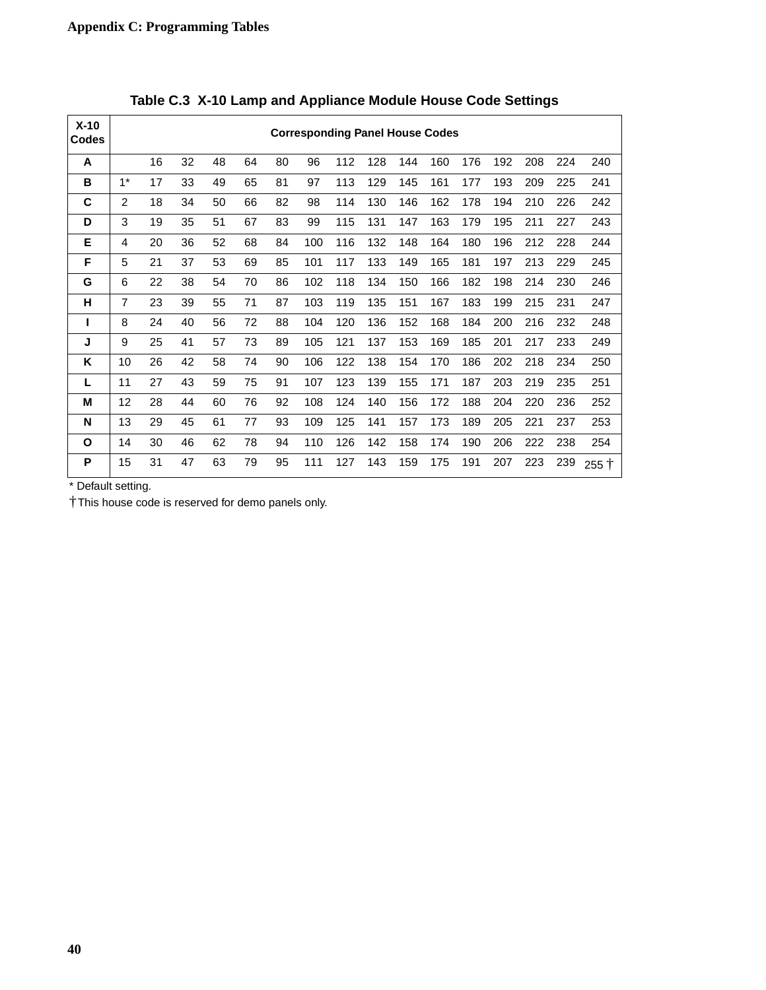| $X-10$<br><b>Codes</b> |                |    |    |    |    |    | <b>Corresponding Panel House Codes</b> |     |     |     |     |     |     |     |     |               |
|------------------------|----------------|----|----|----|----|----|----------------------------------------|-----|-----|-----|-----|-----|-----|-----|-----|---------------|
| A                      |                | 16 | 32 | 48 | 64 | 80 | 96                                     | 112 | 128 | 144 | 160 | 176 | 192 | 208 | 224 | 240           |
| B                      | $1*$           | 17 | 33 | 49 | 65 | 81 | 97                                     | 113 | 129 | 145 | 161 | 177 | 193 | 209 | 225 | 241           |
| C                      | 2              | 18 | 34 | 50 | 66 | 82 | 98                                     | 114 | 130 | 146 | 162 | 178 | 194 | 210 | 226 | 242           |
| D                      | 3              | 19 | 35 | 51 | 67 | 83 | 99                                     | 115 | 131 | 147 | 163 | 179 | 195 | 211 | 227 | 243           |
| Е                      | 4              | 20 | 36 | 52 | 68 | 84 | 100                                    | 116 | 132 | 148 | 164 | 180 | 196 | 212 | 228 | 244           |
| F                      | 5              | 21 | 37 | 53 | 69 | 85 | 101                                    | 117 | 133 | 149 | 165 | 181 | 197 | 213 | 229 | 245           |
| G                      | 6              | 22 | 38 | 54 | 70 | 86 | 102                                    | 118 | 134 | 150 | 166 | 182 | 198 | 214 | 230 | 246           |
| н                      | $\overline{7}$ | 23 | 39 | 55 | 71 | 87 | 103                                    | 119 | 135 | 151 | 167 | 183 | 199 | 215 | 231 | 247           |
| L                      | 8              | 24 | 40 | 56 | 72 | 88 | 104                                    | 120 | 136 | 152 | 168 | 184 | 200 | 216 | 232 | 248           |
| J                      | 9              | 25 | 41 | 57 | 73 | 89 | 105                                    | 121 | 137 | 153 | 169 | 185 | 201 | 217 | 233 | 249           |
| K                      | 10             | 26 | 42 | 58 | 74 | 90 | 106                                    | 122 | 138 | 154 | 170 | 186 | 202 | 218 | 234 | 250           |
| L                      | 11             | 27 | 43 | 59 | 75 | 91 | 107                                    | 123 | 139 | 155 | 171 | 187 | 203 | 219 | 235 | 251           |
| м                      | 12             | 28 | 44 | 60 | 76 | 92 | 108                                    | 124 | 140 | 156 | 172 | 188 | 204 | 220 | 236 | 252           |
| N                      | 13             | 29 | 45 | 61 | 77 | 93 | 109                                    | 125 | 141 | 157 | 173 | 189 | 205 | 221 | 237 | 253           |
| O                      | 14             | 30 | 46 | 62 | 78 | 94 | 110                                    | 126 | 142 | 158 | 174 | 190 | 206 | 222 | 238 | 254           |
| P                      | 15             | 31 | 47 | 63 | 79 | 95 | 111                                    | 127 | 143 | 159 | 175 | 191 | 207 | 223 | 239 | $255 \dagger$ |

**Table C.3 X-10 Lamp and Appliance Module House Code Settings**

\* Default setting.

† This house code is reserved for demo panels only.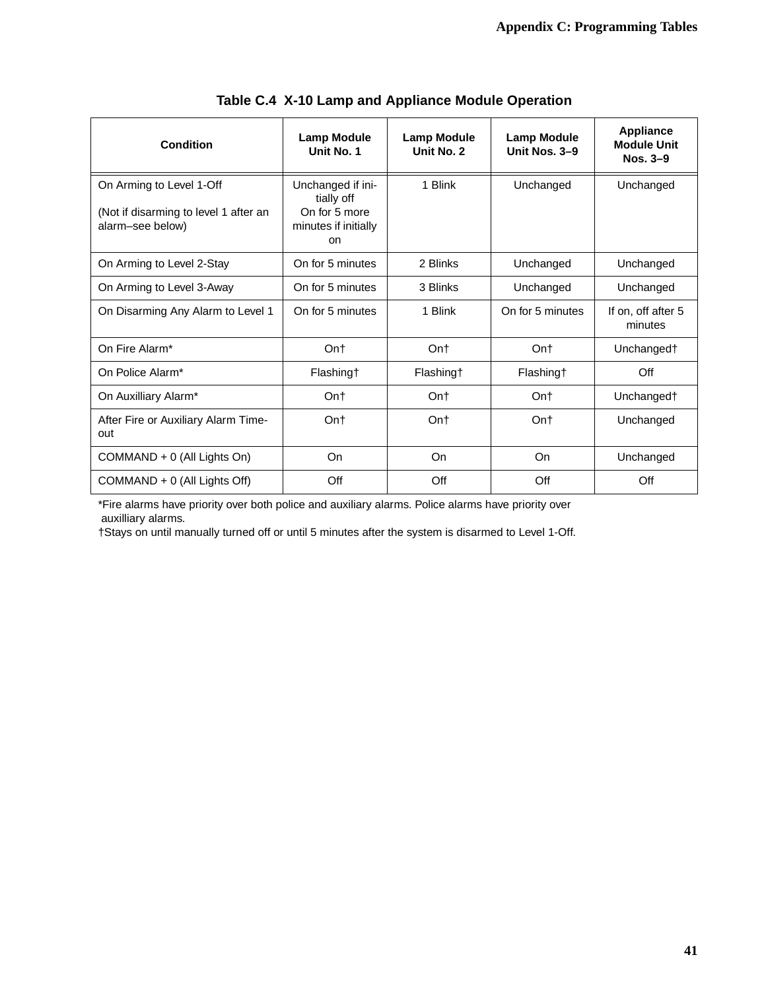| Condition                                                                             | Lamp Module<br>Unit No. 1                                                             | <b>Lamp Module</b><br>Unit No. 2 | <b>Lamp Module</b><br>Unit Nos. 3-9 | <b>Appliance</b><br><b>Module Unit</b><br>Nos. $3-9$ |
|---------------------------------------------------------------------------------------|---------------------------------------------------------------------------------------|----------------------------------|-------------------------------------|------------------------------------------------------|
| On Arming to Level 1-Off<br>(Not if disarming to level 1 after an<br>alarm-see below) | Unchanged if ini-<br>tially off<br>On for 5 more<br>minutes if initially<br><b>on</b> | 1 Blink                          | Unchanged                           | Unchanged                                            |
| On Arming to Level 2-Stay                                                             | On for 5 minutes                                                                      | 2 Blinks                         | Unchanged                           | Unchanged                                            |
| On Arming to Level 3-Away                                                             | On for 5 minutes                                                                      | 3 Blinks                         | Unchanged                           | Unchanged                                            |
| On Disarming Any Alarm to Level 1                                                     | On for 5 minutes                                                                      | 1 Blink                          | On for 5 minutes                    | If on, off after 5<br>minutes                        |
| On Fire Alarm*                                                                        | Ont                                                                                   | Ont                              | Ont                                 | Unchanged†                                           |
| On Police Alarm*                                                                      | Flashing†                                                                             | Flashing†                        | Flashing†                           | Off                                                  |
| On Auxilliary Alarm*                                                                  | Ont                                                                                   | Ont                              | Ont                                 | Unchanged†                                           |
| After Fire or Auxiliary Alarm Time-<br>out                                            | Ont                                                                                   | Ont                              | Ont                                 | Unchanged                                            |
| COMMAND + 0 (All Lights On)                                                           | On                                                                                    | On                               | On                                  | Unchanged                                            |
| COMMAND + 0 (All Lights Off)                                                          | Off                                                                                   | Off                              | Off                                 | Off                                                  |

**Table C.4 X-10 Lamp and Appliance Module Operation**

\*Fire alarms have priority over both police and auxiliary alarms. Police alarms have priority over auxilliary alarms.

†Stays on until manually turned off or until 5 minutes after the system is disarmed to Level 1-Off.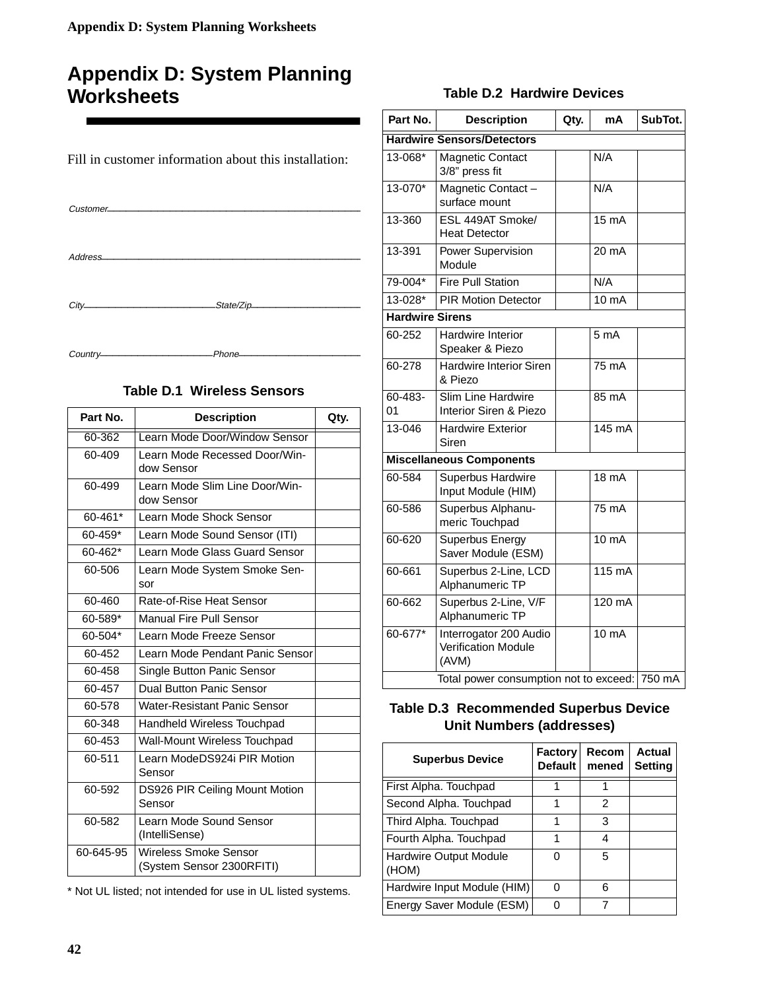## <span id="page-45-0"></span>**Appendix D: System Planning Worksheets**

| Customer- |                                                                                                                                                                                                                                |
|-----------|--------------------------------------------------------------------------------------------------------------------------------------------------------------------------------------------------------------------------------|
|           |                                                                                                                                                                                                                                |
|           | $City$ $City$                                                                                                                                                                                                                  |
|           | Country-communication-communication-communication-communication-communication-communication-communication-communication-communication-communication-communication-communication-communication-communication-communication-comm |

Fill in customer information about this installation:

### **Table D.1 Wireless Sensors**

| Part No.  | <b>Description</b>                                        | Qty. |
|-----------|-----------------------------------------------------------|------|
| 60-362    | Learn Mode Door/Window Sensor                             |      |
| 60-409    | Learn Mode Recessed Door/Win-<br>dow Sensor               |      |
| 60-499    | Learn Mode Slim Line Door/Win-<br>dow Sensor              |      |
| 60-461*   | Learn Mode Shock Sensor                                   |      |
| 60-459*   | Learn Mode Sound Sensor (ITI)                             |      |
| 60-462*   | Learn Mode Glass Guard Sensor                             |      |
| 60-506    | Learn Mode System Smoke Sen-<br>sor                       |      |
| 60-460    | Rate-of-Rise Heat Sensor                                  |      |
| 60-589*   | Manual Fire Pull Sensor                                   |      |
| 60-504*   | Learn Mode Freeze Sensor                                  |      |
| 60-452    | Learn Mode Pendant Panic Sensor                           |      |
| 60-458    | Single Button Panic Sensor                                |      |
| 60-457    | <b>Dual Button Panic Sensor</b>                           |      |
| 60-578    | Water-Resistant Panic Sensor                              |      |
| 60-348    | Handheld Wireless Touchpad                                |      |
| 60-453    | Wall-Mount Wireless Touchpad                              |      |
| 60-511    | Learn ModeDS924i PIR Motion<br>Sensor                     |      |
| 60-592    | DS926 PIR Ceiling Mount Motion<br>Sensor                  |      |
| 60-582    | Learn Mode Sound Sensor<br>(IntelliSense)                 |      |
| 60-645-95 | <b>Wireless Smoke Sensor</b><br>(System Sensor 2300RFITI) |      |

\* Not UL listed; not intended for use in UL listed systems.

### **Table D.2 Hardwire Devices**

| Part No.               | <b>Description</b>                                            | Qty. | mA                  | SubTot. |
|------------------------|---------------------------------------------------------------|------|---------------------|---------|
|                        | <b>Hardwire Sensors/Detectors</b>                             |      |                     |         |
| 13-068*                | <b>Magnetic Contact</b><br>3/8" press fit                     |      | N/A                 |         |
| 13-070*                | Magnetic Contact-<br>surface mount                            |      | N/A                 |         |
| 13-360                 | ESL 449AT Smoke/<br><b>Heat Detector</b>                      |      | 15 mA               |         |
| 13-391                 | Power Supervision<br>Module                                   |      | 20 mA               |         |
| 79-004*                | <b>Fire Pull Station</b>                                      |      | N/A                 |         |
| 13-028*                | <b>PIR Motion Detector</b>                                    |      | 10 mA               |         |
| <b>Hardwire Sirens</b> |                                                               |      |                     |         |
| 60-252                 | <b>Hardwire Interior</b><br>Speaker & Piezo                   |      | 5 <sub>mA</sub>     |         |
| 60-278                 | Hardwire Interior Siren<br>& Piezo                            |      | 75 mA               |         |
| 60-483-<br>01          | Slim Line Hardwire<br>Interior Siren & Piezo                  |      | 85 mA               |         |
| 13-046                 | <b>Hardwire Exterior</b><br>Siren                             |      | $\overline{145}$ mA |         |
|                        | <b>Miscellaneous Components</b>                               |      |                     |         |
| 60-584                 | Superbus Hardwire<br>Input Module (HIM)                       |      | 18 mA               |         |
| 60-586                 | Superbus Alphanu-<br>meric Touchpad                           |      | 75 mA               |         |
| 60-620                 | Superbus Energy<br>Saver Module (ESM)                         |      | 10 <sub>m</sub> A   |         |
| 60-661                 | Superbus 2-Line, LCD<br>Alphanumeric TP                       |      | 115 mA              |         |
| 60-662                 | Superbus 2-Line, V/F<br>Alphanumeric TP                       |      | 120 mA              |         |
| 60-677*                | Interrogator 200 Audio<br><b>Verification Module</b><br>(AVM) |      | 10 mA               |         |
|                        | Total power consumption not to exceed: 750 mA                 |      |                     |         |

### **Table D.3 Recommended Superbus Device Unit Numbers (addresses)**

| <b>Superbus Device</b>                 | <b>Factory</b><br><b>Default</b> | Recom<br>mened | Actual<br>Setting |
|----------------------------------------|----------------------------------|----------------|-------------------|
| First Alpha. Touchpad                  |                                  | 1              |                   |
| Second Alpha. Touchpad                 |                                  | 2              |                   |
| Third Alpha. Touchpad                  |                                  | 3              |                   |
| Fourth Alpha. Touchpad                 | 1                                | 4              |                   |
| <b>Hardwire Output Module</b><br>(HOM) | 0                                | 5              |                   |
| Hardwire Input Module (HIM)            | O                                | 6              |                   |
| Energy Saver Module (ESM)              |                                  | 7              |                   |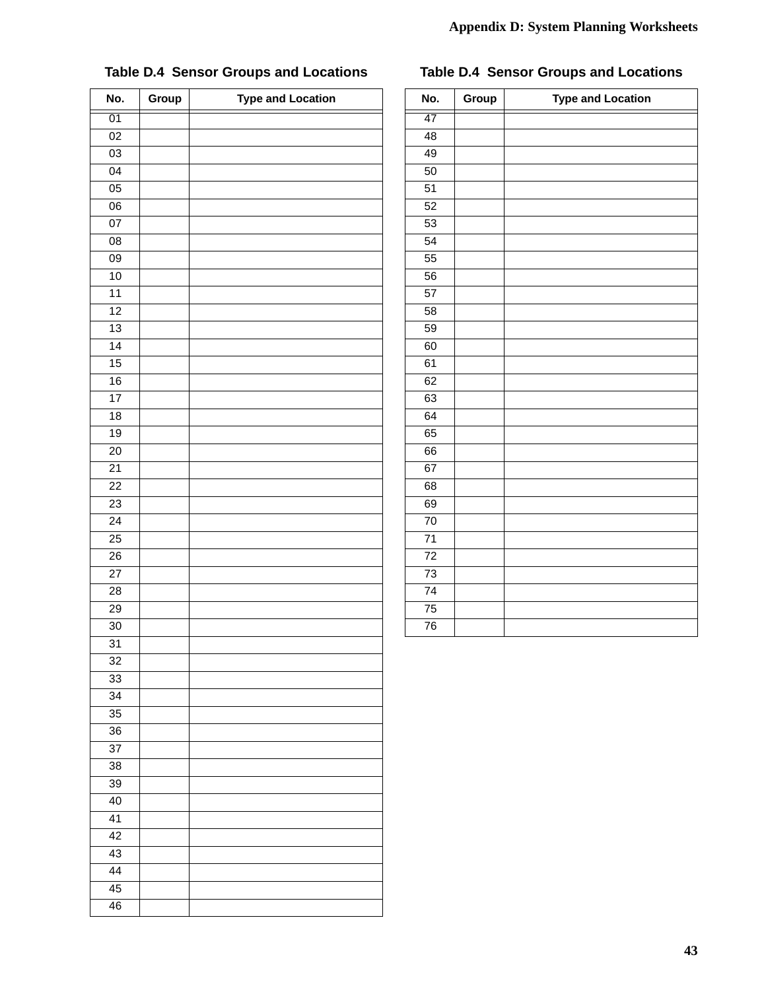| No.             | Group | <b>Type and Location</b> |
|-----------------|-------|--------------------------|
| 01              |       |                          |
| $\overline{02}$ |       |                          |
| $\overline{03}$ |       |                          |
| 04              |       |                          |
| $\overline{05}$ |       |                          |
| $\overline{06}$ |       |                          |
| 07              |       |                          |
| $\overline{08}$ |       |                          |
| $\overline{09}$ |       |                          |
| 10              |       |                          |
| $\overline{11}$ |       |                          |
| 12              |       |                          |
| 13              |       |                          |
| 14              |       |                          |
| 15              |       |                          |
| 16              |       |                          |
| 17              |       |                          |
| $\overline{18}$ |       |                          |
| 19              |       |                          |
| 20              |       |                          |
| $\overline{21}$ |       |                          |
| 22              |       |                          |
| 23              |       |                          |
| $\overline{24}$ |       |                          |
| $\overline{25}$ |       |                          |
| $\overline{26}$ |       |                          |
| $\overline{27}$ |       |                          |
| 28              |       |                          |
| 29              |       |                          |
| 30              |       |                          |
| $\overline{31}$ |       |                          |
| 32              |       |                          |
| 33              |       |                          |
| $\overline{34}$ |       |                          |
| 35              |       |                          |
| 36              |       |                          |
| 37              |       |                          |
| 38              |       |                          |
| 39              |       |                          |
| 40              |       |                          |
| $\overline{41}$ |       |                          |
| 42              |       |                          |
| 43              |       |                          |
| $\overline{44}$ |       |                          |
| 45              |       |                          |
| 46              |       |                          |

## **Table D.4 Sensor Groups and Locations**

## **Table D.4 Sensor Groups and Locations**

| No.             | Group | <b>Type and Location</b> |  |
|-----------------|-------|--------------------------|--|
| 47              |       |                          |  |
| 48              |       |                          |  |
| 49              |       |                          |  |
| 50              |       |                          |  |
| 51              |       |                          |  |
| 52              |       |                          |  |
| 53              |       |                          |  |
| $\overline{54}$ |       |                          |  |
| 55              |       |                          |  |
| 56              |       |                          |  |
| 57              |       |                          |  |
| 58              |       |                          |  |
| 59              |       |                          |  |
| 60              |       |                          |  |
| 61              |       |                          |  |
| 62              |       |                          |  |
| 63              |       |                          |  |
| 64              |       |                          |  |
| 65              |       |                          |  |
| 66              |       |                          |  |
| 67              |       |                          |  |
| 68              |       |                          |  |
| 69              |       |                          |  |
| $\overline{70}$ |       |                          |  |
| $\overline{71}$ |       |                          |  |
| $\overline{72}$ |       |                          |  |
| 73              |       |                          |  |
| $7\overline{4}$ |       |                          |  |
| $\overline{75}$ |       |                          |  |
| 76              |       |                          |  |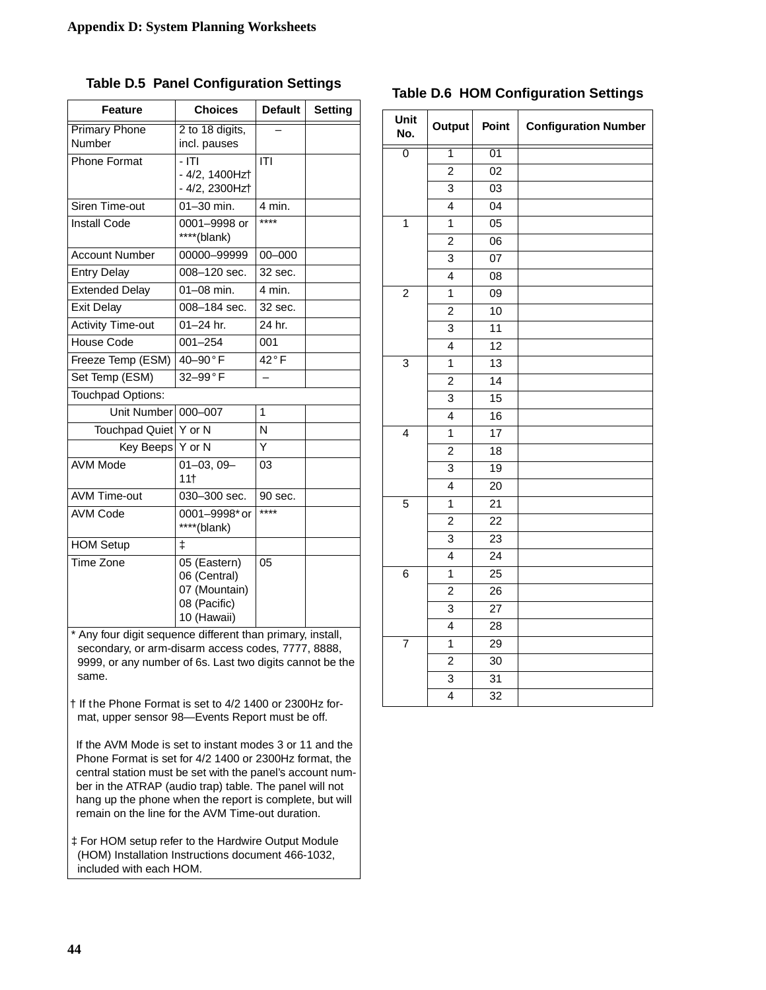| <b>Choices</b><br><b>Feature</b> |                                                                              | <b>Default</b>  | Setting |
|----------------------------------|------------------------------------------------------------------------------|-----------------|---------|
| <b>Primary Phone</b>             | 2 to 18 digits,                                                              |                 |         |
| Number                           | incl. pauses                                                                 |                 |         |
| <b>Phone Format</b>              | $-1T1$                                                                       | ITI             |         |
|                                  | - 4/2, 1400Hzt                                                               |                 |         |
|                                  | - 4/2, 2300Hzt                                                               |                 |         |
| Siren Time-out                   | $01 - 30$ min.                                                               | 4 min.<br>$***$ |         |
| <b>Install Code</b>              | 0001-9998 or<br>****(blank)                                                  |                 |         |
| <b>Account Number</b>            | 00000-99999                                                                  | $00 - 000$      |         |
| <b>Entry Delay</b>               | 008-120 sec.                                                                 | 32 sec.         |         |
| <b>Extended Delay</b>            | 01-08 min.                                                                   | 4 min.          |         |
| <b>Exit Delay</b>                | 008-184 sec.                                                                 | 32 sec.         |         |
| <b>Activity Time-out</b>         | $01 - 24$ hr.                                                                | 24 hr.          |         |
| House Code                       | $001 - 254$                                                                  | 001             |         |
| Freeze Temp (ESM)                | 40-90°F                                                                      | $42°$ F         |         |
| Set Temp (ESM)                   | 32-99°F                                                                      |                 |         |
| Touchpad Options:                |                                                                              |                 |         |
| Unit Number                      | 000-007                                                                      | 1               |         |
| Touchpad Quiet Y or N            |                                                                              | N               |         |
| Key Beeps Y or N                 |                                                                              | Y               |         |
| <b>AVM Mode</b>                  | $\overline{0}$ 1-03, 09-<br>11†                                              | 03              |         |
| <b>AVM Time-out</b>              | 030-300 sec.                                                                 | 90 sec.         |         |
| <b>AVM Code</b>                  | 0001-9998* or<br>****(blank)                                                 | ****            |         |
| <b>HOM Setup</b>                 | ŧ                                                                            |                 |         |
| Time Zone                        | 05 (Eastern)<br>06 (Central)<br>07 (Mountain)<br>08 (Pacific)<br>10 (Hawaii) | 05              |         |

**Table D.5 Panel Configuration Settings**

Any four digit sequence different than primary, install, secondary, or arm-disarm access codes, 7777, 8888, 9999, or any number of 6s. Last two digits cannot be the same.

† If the Phone Format is set to 4/2 1400 or 2300Hz format, upper sensor 98—Events Report must be off.

 If the AVM Mode is set to instant modes 3 or 11 and the Phone Format is set for 4/2 1400 or 2300Hz format, the central station must be set with the panel's account number in the ATRAP (audio trap) table. The panel will not hang up the phone when the report is complete, but will remain on the line for the AVM Time-out duration.

‡ For HOM setup refer to the Hardwire Output Module (HOM) Installation Instructions document 466-1032, included with each HOM.

### **Table D.6 HOM Configuration Settings**

| Unit<br>No.             | Output                  | Point           | <b>Configuration Number</b> |
|-------------------------|-------------------------|-----------------|-----------------------------|
| $\overline{0}$          | $\overline{1}$          | 01              |                             |
|                         | $\overline{2}$          | 02              |                             |
|                         | 3                       | 03              |                             |
|                         | $\overline{\mathbf{4}}$ | $\overline{04}$ |                             |
| $\overline{1}$          | $\overline{1}$          | $\overline{05}$ |                             |
|                         | $\overline{2}$          | 06              |                             |
|                         | 3                       | 07              |                             |
|                         | $\overline{\mathbf{4}}$ | 08              |                             |
| $\overline{\mathbf{c}}$ | 1                       | 09              |                             |
|                         | $\overline{2}$          | 10              |                             |
|                         | 3                       | $\overline{11}$ |                             |
|                         | $\overline{\mathbf{4}}$ | $\overline{12}$ |                             |
| 3                       | $\mathbf{1}$            | 13              |                             |
|                         | $\overline{2}$          | 14              |                             |
|                         | 3                       | $\overline{15}$ |                             |
|                         | $\overline{\mathbf{4}}$ | 16              |                             |
| $\overline{\mathbf{4}}$ | 1                       | $\overline{17}$ |                             |
|                         | $\overline{c}$          | $\overline{18}$ |                             |
|                         | 3                       | $\overline{19}$ |                             |
|                         | $\overline{\mathbf{4}}$ | 20              |                             |
| $\overline{5}$          | $\overline{1}$          | $\overline{21}$ |                             |
|                         | $\overline{2}$          | $\overline{22}$ |                             |
|                         | $\overline{3}$          | $\overline{23}$ |                             |
|                         | $\overline{\mathbf{4}}$ | $\overline{24}$ |                             |
| 6                       | 1                       | $\overline{25}$ |                             |
|                         | $\overline{2}$          | 26              |                             |
|                         | $\overline{3}$          | $\overline{27}$ |                             |
|                         | $\overline{4}$          | $\overline{28}$ |                             |
| $\overline{7}$          | $\mathbf{1}$            | 29              |                             |
|                         | $\overline{c}$          | 30              |                             |
|                         | $\overline{3}$          | $\overline{31}$ |                             |
|                         | $\overline{4}$          | $\overline{32}$ |                             |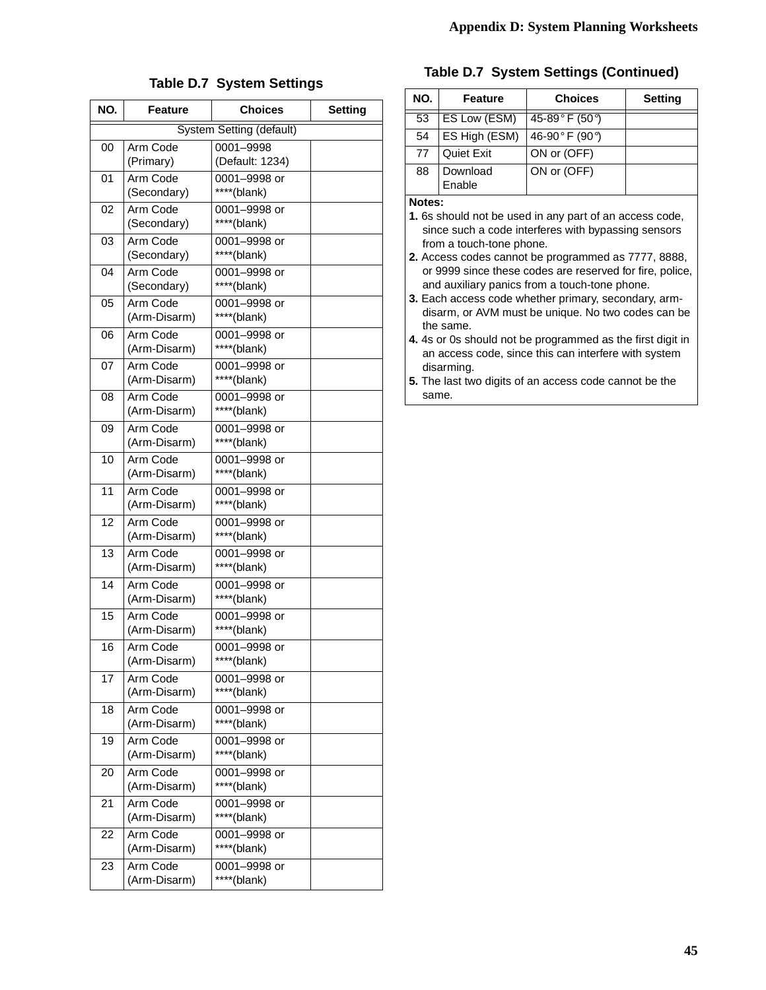#### **Table D.7 System Settings**

| NO. | <b>Feature</b>           | <b>Choices</b>              | <b>Setting</b> |
|-----|--------------------------|-----------------------------|----------------|
|     |                          | System Setting (default)    |                |
| 00  | Arm Code                 | 0001-9998                   |                |
|     | (Primary)                | (Default: 1234)             |                |
| 01  | Arm Code                 | 0001-9998 or                |                |
|     | (Secondary)              | ****(blank)                 |                |
| 02  | Arm Code                 | 0001-9998 or                |                |
|     | (Secondary)              | ****(blank)                 |                |
| 03  | Arm Code                 | 0001-9998 or                |                |
|     | (Secondary)              | ****(blank)                 |                |
| 04  | Arm Code                 | 0001-9998 or                |                |
|     | (Secondary)              | ****(blank)                 |                |
| 05  | Arm Code                 | 0001-9998 or                |                |
|     | (Arm-Disarm)             | ****(blank)                 |                |
| 06  | Arm Code                 | 0001-9998 or                |                |
|     | (Arm-Disarm)             | ****(blank)                 |                |
| 07  | Arm Code                 | 0001-9998 or                |                |
|     | (Arm-Disarm)             | ****(blank)                 |                |
| 08  | Arm Code                 | 0001-9998 or                |                |
|     | (Arm-Disarm)             | ****(blank)                 |                |
| 09  | Arm Code                 | 0001-9998 or                |                |
|     | (Arm-Disarm)             | ****(blank)                 |                |
| 10  | Arm Code                 | 0001-9998 or                |                |
|     | (Arm-Disarm)             | ****(blank)                 |                |
| 11  | Arm Code                 | 0001-9998 or                |                |
|     | (Arm-Disarm)             | ****(blank)                 |                |
| 12  | Arm Code                 | 0001-9998 or                |                |
|     | (Arm-Disarm)             | ****(blank)                 |                |
| 13  | Arm Code                 | 0001-9998 or                |                |
|     | (Arm-Disarm)             | ****(blank)                 |                |
| 14  | Arm Code                 | 0001-9998 or                |                |
|     | (Arm-Disarm)             | ****(blank)                 |                |
| 15  | Arm Code                 | 0001-9998 or                |                |
|     | (Arm-Disarm)             | ****(blank)                 |                |
| 16  | Arm Code<br>(Arm-Disarm) | 0001-9998 or                |                |
|     |                          | ****(blank)                 |                |
| 17  | Arm Code<br>(Arm-Disarm) | 0001-9998 or<br>****(blank) |                |
|     | Arm Code                 |                             |                |
| 18  | (Arm-Disarm)             | 0001-9998 or<br>****(blank) |                |
| 19  | Arm Code                 | 0001-9998 or                |                |
|     | (Arm-Disarm)             | ****(blank)                 |                |
| 20  | Arm Code                 | 0001-9998 or                |                |
|     | (Arm-Disarm)             | ****(blank)                 |                |
| 21  | Arm Code                 | 0001-9998 or                |                |
|     | (Arm-Disarm)             | ****(blank)                 |                |
| 22  | Arm Code                 | 0001-9998 or                |                |
|     | (Arm-Disarm)             | ****(blank)                 |                |
| 23  | Arm Code                 | 0001-9998 or                |                |
|     | (Arm-Disarm)             | ****(blank)                 |                |
|     |                          |                             |                |

#### **Table D.7 System Settings (Continued)**

| NO. | Feature            | <b>Choices</b> | <b>Setting</b> |
|-----|--------------------|----------------|----------------|
| 53  | ES Low (ESM)       | 45-89°F (50°)  |                |
| 54  | ES High (ESM)      | 46-90°F (90°)  |                |
| 77  | <b>Quiet Exit</b>  | ON or (OFF)    |                |
| 88  | Download<br>Enable | ON or (OFF)    |                |

#### **Notes:**

**1.** 6s should not be used in any part of an access code, since such a code interferes with bypassing sensors from a touch-tone phone.

**2.** Access codes cannot be programmed as 7777, 8888, or 9999 since these codes are reserved for fire, police, and auxiliary panics from a touch-tone phone.

**3.** Each access code whether primary, secondary, armdisarm, or AVM must be unique. No two codes can be the same.

**4.** 4s or 0s should not be programmed as the first digit in an access code, since this can interfere with system disarming.

**5.** The last two digits of an access code cannot be the same.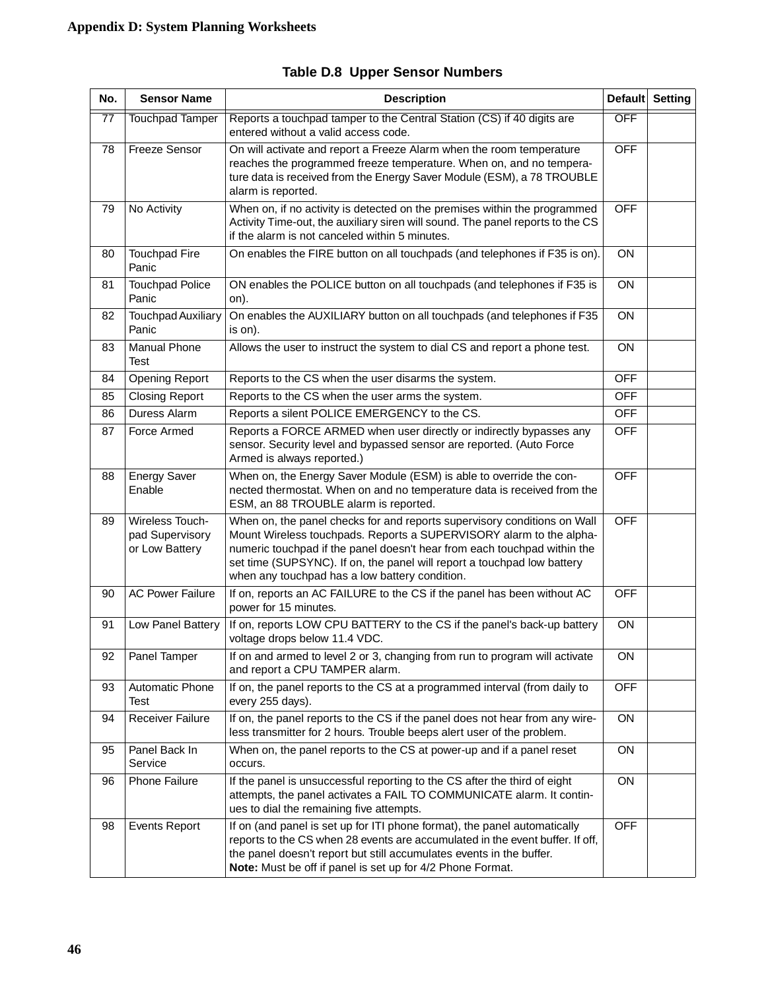| No. | <b>Sensor Name</b>                                   | <b>Description</b>                                                                                                                                                                                                                                                                                                                                       | <b>Default</b> | <b>Setting</b> |
|-----|------------------------------------------------------|----------------------------------------------------------------------------------------------------------------------------------------------------------------------------------------------------------------------------------------------------------------------------------------------------------------------------------------------------------|----------------|----------------|
| 77  | <b>Touchpad Tamper</b>                               | Reports a touchpad tamper to the Central Station (CS) if 40 digits are<br>entered without a valid access code.                                                                                                                                                                                                                                           |                |                |
| 78  | <b>Freeze Sensor</b>                                 | On will activate and report a Freeze Alarm when the room temperature<br>reaches the programmed freeze temperature. When on, and no tempera-<br>ture data is received from the Energy Saver Module (ESM), a 78 TROUBLE<br>alarm is reported.                                                                                                              |                |                |
| 79  | No Activity                                          | When on, if no activity is detected on the premises within the programmed<br>Activity Time-out, the auxiliary siren will sound. The panel reports to the CS<br>if the alarm is not canceled within 5 minutes.                                                                                                                                            | <b>OFF</b>     |                |
| 80  | <b>Touchpad Fire</b><br>Panic                        | On enables the FIRE button on all touchpads (and telephones if F35 is on).                                                                                                                                                                                                                                                                               | <b>ON</b>      |                |
| 81  | <b>Touchpad Police</b><br>Panic                      | ON enables the POLICE button on all touchpads (and telephones if F35 is<br>on).                                                                                                                                                                                                                                                                          | ON             |                |
| 82  | <b>Touchpad Auxiliary</b><br>Panic                   | On enables the AUXILIARY button on all touchpads (and telephones if F35<br>is on).                                                                                                                                                                                                                                                                       | ON             |                |
| 83  | Manual Phone<br><b>Test</b>                          | Allows the user to instruct the system to dial CS and report a phone test.                                                                                                                                                                                                                                                                               | ON             |                |
| 84  | <b>Opening Report</b>                                | Reports to the CS when the user disarms the system.                                                                                                                                                                                                                                                                                                      | <b>OFF</b>     |                |
| 85  | <b>Closing Report</b>                                | Reports to the CS when the user arms the system.                                                                                                                                                                                                                                                                                                         | <b>OFF</b>     |                |
| 86  | Duress Alarm                                         | Reports a silent POLICE EMERGENCY to the CS.                                                                                                                                                                                                                                                                                                             | <b>OFF</b>     |                |
| 87  | Force Armed                                          | Reports a FORCE ARMED when user directly or indirectly bypasses any<br>sensor. Security level and bypassed sensor are reported. (Auto Force<br>Armed is always reported.)                                                                                                                                                                                | <b>OFF</b>     |                |
| 88  | <b>Energy Saver</b><br>Enable                        | When on, the Energy Saver Module (ESM) is able to override the con-<br>nected thermostat. When on and no temperature data is received from the<br>ESM, an 88 TROUBLE alarm is reported.                                                                                                                                                                  | <b>OFF</b>     |                |
| 89  | Wireless Touch-<br>pad Supervisory<br>or Low Battery | When on, the panel checks for and reports supervisory conditions on Wall<br>Mount Wireless touchpads. Reports a SUPERVISORY alarm to the alpha-<br>numeric touchpad if the panel doesn't hear from each touchpad within the<br>set time (SUPSYNC). If on, the panel will report a touchpad low battery<br>when any touchpad has a low battery condition. | <b>OFF</b>     |                |
| 90  | <b>AC Power Failure</b>                              | If on, reports an AC FAILURE to the CS if the panel has been without AC<br>power for 15 minutes.                                                                                                                                                                                                                                                         | <b>OFF</b>     |                |
| 91  | Low Panel Battery                                    | If on, reports LOW CPU BATTERY to the CS if the panel's back-up battery<br>voltage drops below 11.4 VDC.                                                                                                                                                                                                                                                 | ON             |                |
| 92  | Panel Tamper                                         | If on and armed to level 2 or 3, changing from run to program will activate<br>and report a CPU TAMPER alarm.                                                                                                                                                                                                                                            | ON             |                |
| 93  | Automatic Phone<br>Test                              | If on, the panel reports to the CS at a programmed interval (from daily to<br>every 255 days).                                                                                                                                                                                                                                                           | <b>OFF</b>     |                |
| 94  | Receiver Failure                                     | If on, the panel reports to the CS if the panel does not hear from any wire-<br>less transmitter for 2 hours. Trouble beeps alert user of the problem.                                                                                                                                                                                                   | ON             |                |
| 95  | Panel Back In<br>Service                             | When on, the panel reports to the CS at power-up and if a panel reset<br>occurs.                                                                                                                                                                                                                                                                         | <b>ON</b>      |                |
| 96  | Phone Failure                                        | If the panel is unsuccessful reporting to the CS after the third of eight<br>attempts, the panel activates a FAIL TO COMMUNICATE alarm. It contin-<br>ues to dial the remaining five attempts.                                                                                                                                                           | ON             |                |
| 98  | <b>Events Report</b>                                 | If on (and panel is set up for ITI phone format), the panel automatically<br>reports to the CS when 28 events are accumulated in the event buffer. If off,<br>the panel doesn't report but still accumulates events in the buffer.<br>Note: Must be off if panel is set up for 4/2 Phone Format.                                                         | <b>OFF</b>     |                |

| <b>Table D.8 Upper Sensor Numbers</b> |  |  |  |
|---------------------------------------|--|--|--|
|---------------------------------------|--|--|--|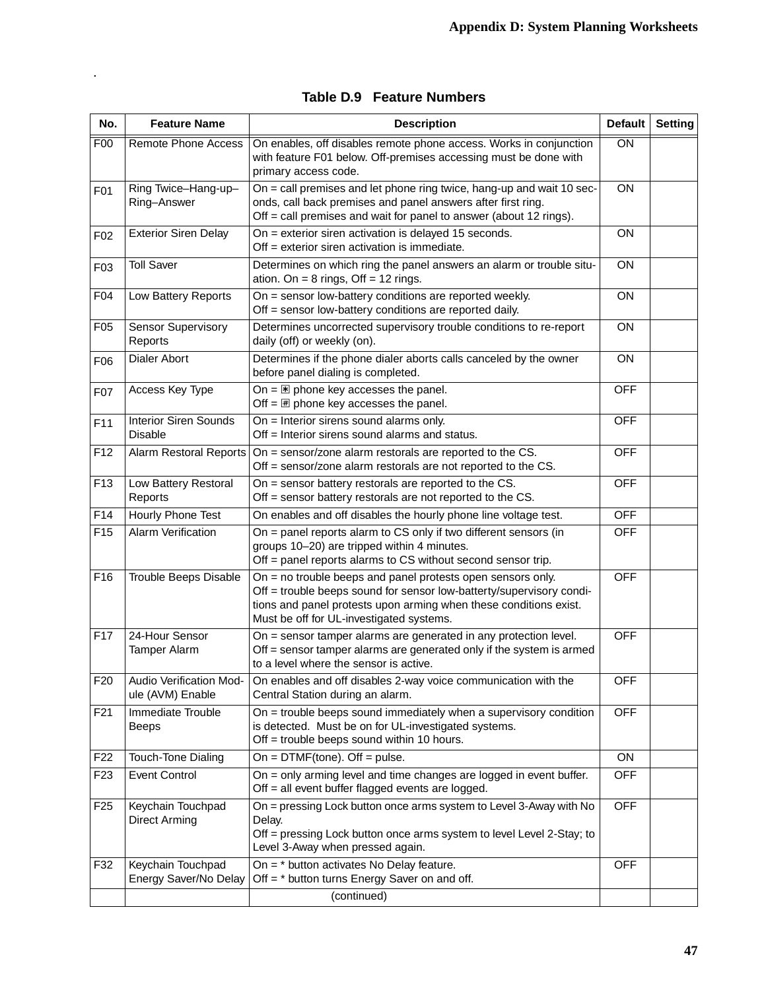| No.              | <b>Feature Name</b>                            | <b>Description</b>                                                                                                                                                                                                                                   | Default         | <b>Setting</b> |
|------------------|------------------------------------------------|------------------------------------------------------------------------------------------------------------------------------------------------------------------------------------------------------------------------------------------------------|-----------------|----------------|
| F00              | <b>Remote Phone Access</b>                     | On enables, off disables remote phone access. Works in conjunction<br>with feature F01 below. Off-premises accessing must be done with<br>primary access code.                                                                                       | $\overline{ON}$ |                |
| F01              | Ring Twice-Hang-up-<br>Ring-Answer             | On = call premises and let phone ring twice, hang-up and wait 10 sec-<br>onds, call back premises and panel answers after first ring.<br>Off = call premises and wait for panel to answer (about 12 rings).                                          | ON              |                |
| F <sub>02</sub>  | <b>Exterior Siren Delay</b>                    | On = exterior siren activation is delayed 15 seconds.<br>Off = exterior siren activation is immediate.                                                                                                                                               | ON              |                |
| F <sub>0</sub> 3 | <b>Toll Saver</b>                              | Determines on which ring the panel answers an alarm or trouble situ-<br>ation. On = $8$ rings, Off = $12$ rings.                                                                                                                                     | ON              |                |
| F04              | Low Battery Reports                            | On = sensor low-battery conditions are reported weekly.<br>Off = sensor low-battery conditions are reported daily.                                                                                                                                   | ON              |                |
| F <sub>05</sub>  | <b>Sensor Supervisory</b><br>Reports           | Determines uncorrected supervisory trouble conditions to re-report<br>daily (off) or weekly (on).                                                                                                                                                    | ON              |                |
| F06              | Dialer Abort                                   | Determines if the phone dialer aborts calls canceled by the owner<br>before panel dialing is completed.                                                                                                                                              | ON              |                |
| F07              | Access Key Type                                | On = $\mathbb{E}$ phone key accesses the panel.<br>Off = $\overline{H}$ phone key accesses the panel.                                                                                                                                                | <b>OFF</b>      |                |
| F11              | <b>Interior Siren Sounds</b><br><b>Disable</b> | On = Interior sirens sound alarms only.<br>Off = Interior sirens sound alarms and status.                                                                                                                                                            | <b>OFF</b>      |                |
| F <sub>12</sub>  | Alarm Restoral Reports                         | On = sensor/zone alarm restorals are reported to the CS.<br>Off = sensor/zone alarm restorals are not reported to the CS.                                                                                                                            |                 |                |
| F <sub>13</sub>  | Low Battery Restoral<br>Reports                | On = sensor battery restorals are reported to the CS.<br>Off = sensor battery restorals are not reported to the CS.                                                                                                                                  |                 |                |
| F14              | Hourly Phone Test                              | On enables and off disables the hourly phone line voltage test.                                                                                                                                                                                      |                 |                |
| F <sub>15</sub>  | Alarm Verification                             | On = panel reports alarm to CS only if two different sensors (in<br>groups 10-20) are tripped within 4 minutes.<br>Off = panel reports alarms to CS without second sensor trip.                                                                      |                 |                |
| F16              | Trouble Beeps Disable                          | On = no trouble beeps and panel protests open sensors only.<br>Off = trouble beeps sound for sensor low-batterty/supervisory condi-<br>tions and panel protests upon arming when these conditions exist.<br>Must be off for UL-investigated systems. |                 |                |
| F17              | 24-Hour Sensor<br><b>Tamper Alarm</b>          | On = sensor tamper alarms are generated in any protection level.<br>Off = sensor tamper alarms are generated only if the system is armed<br>to a level where the sensor is active.                                                                   |                 |                |
| F20              | Audio Verification Mod-<br>ule (AVM) Enable    | On enables and off disables 2-way voice communication with the<br>Central Station during an alarm.                                                                                                                                                   | <b>OFF</b>      |                |
| F <sub>21</sub>  | Immediate Trouble<br><b>Beeps</b>              | On = trouble beeps sound immediately when a supervisory condition<br>is detected. Must be on for UL-investigated systems.<br>Off = trouble beeps sound within 10 hours.                                                                              | <b>OFF</b>      |                |
| F <sub>22</sub>  | Touch-Tone Dialing                             | On = $DTMF$ (tone). Off = pulse.                                                                                                                                                                                                                     | ON              |                |
| F <sub>23</sub>  | <b>Event Control</b>                           | On = only arming level and time changes are logged in event buffer.<br>Off = all event buffer flagged events are logged.                                                                                                                             | <b>OFF</b>      |                |
| F <sub>25</sub>  | Keychain Touchpad<br><b>Direct Arming</b>      | On = pressing Lock button once arms system to Level 3-Away with No<br>Delay.<br>Off = pressing Lock button once arms system to level Level 2-Stay; to<br>Level 3-Away when pressed again.                                                            | <b>OFF</b>      |                |
| F32              | Keychain Touchpad<br>Energy Saver/No Delay     | On = * button activates No Delay feature.<br>Off = * button turns Energy Saver on and off.                                                                                                                                                           |                 |                |
|                  |                                                | (continued)                                                                                                                                                                                                                                          |                 |                |

| <b>Table D.9 Feature Numbers</b> |  |
|----------------------------------|--|
|                                  |  |

.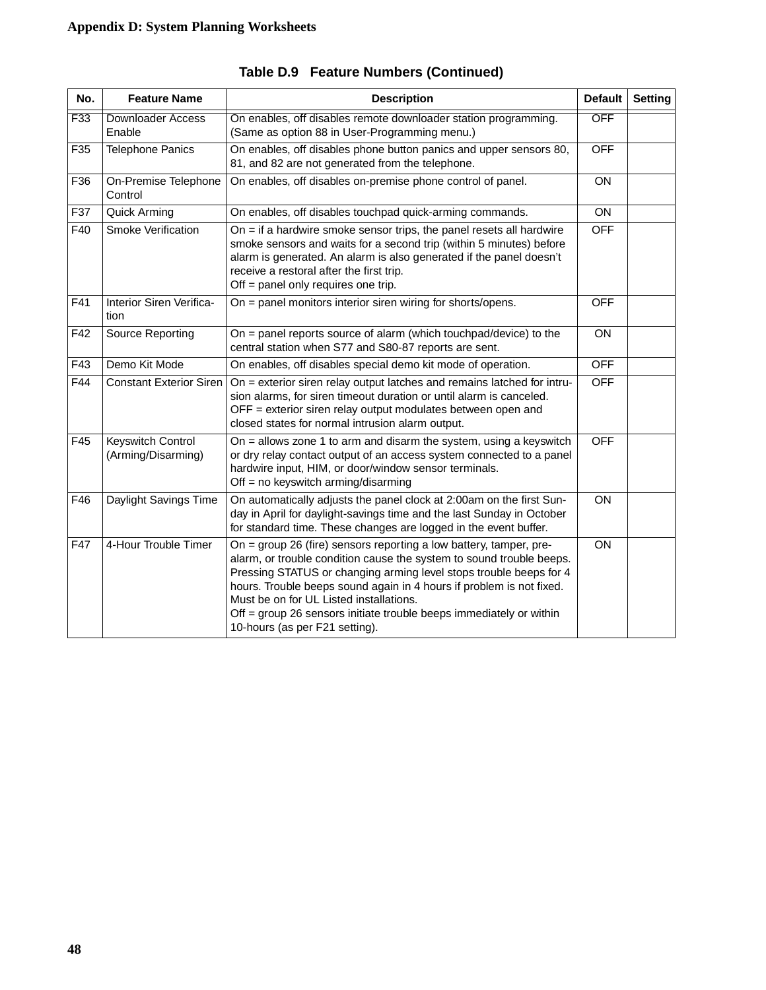| No. | <b>Feature Name</b>                     | <b>Description</b>                                                                                                                                                                                                                                                                                                                                                                                                                           | <b>Default</b> | <b>Setting</b> |
|-----|-----------------------------------------|----------------------------------------------------------------------------------------------------------------------------------------------------------------------------------------------------------------------------------------------------------------------------------------------------------------------------------------------------------------------------------------------------------------------------------------------|----------------|----------------|
| F33 | <b>Downloader Access</b><br>Enable      | On enables, off disables remote downloader station programming.<br>(Same as option 88 in User-Programming menu.)                                                                                                                                                                                                                                                                                                                             |                |                |
| F35 | <b>Telephone Panics</b>                 | On enables, off disables phone button panics and upper sensors 80,<br>81, and 82 are not generated from the telephone.                                                                                                                                                                                                                                                                                                                       |                |                |
| F36 | On-Premise Telephone<br>Control         | On enables, off disables on-premise phone control of panel.                                                                                                                                                                                                                                                                                                                                                                                  | <b>ON</b>      |                |
| F37 | Quick Arming                            | On enables, off disables touchpad quick-arming commands.                                                                                                                                                                                                                                                                                                                                                                                     | ON             |                |
| F40 | Smoke Verification                      | On $=$ if a hardwire smoke sensor trips, the panel resets all hardwire<br>smoke sensors and waits for a second trip (within 5 minutes) before<br>alarm is generated. An alarm is also generated if the panel doesn't<br>receive a restoral after the first trip.<br>Off = panel only requires one trip.                                                                                                                                      |                |                |
| F41 | Interior Siren Verifica-<br>tion        | On = panel monitors interior siren wiring for shorts/opens.                                                                                                                                                                                                                                                                                                                                                                                  | <b>OFF</b>     |                |
| F42 | Source Reporting                        | On = panel reports source of alarm (which touchpad/device) to the<br>central station when S77 and S80-87 reports are sent.                                                                                                                                                                                                                                                                                                                   | <b>ON</b>      |                |
| F43 | Demo Kit Mode                           | On enables, off disables special demo kit mode of operation.                                                                                                                                                                                                                                                                                                                                                                                 | <b>OFF</b>     |                |
| F44 | <b>Constant Exterior Siren</b>          | On = exterior siren relay output latches and remains latched for intru-<br>sion alarms, for siren timeout duration or until alarm is canceled.<br>OFF = exterior siren relay output modulates between open and<br>closed states for normal intrusion alarm output.                                                                                                                                                                           | <b>OFF</b>     |                |
| F45 | Keyswitch Control<br>(Arming/Disarming) | On $=$ allows zone 1 to arm and disarm the system, using a keyswitch<br>or dry relay contact output of an access system connected to a panel<br>hardwire input, HIM, or door/window sensor terminals.<br>Off = no keyswitch arming/disarming                                                                                                                                                                                                 | <b>OFF</b>     |                |
| F46 | Daylight Savings Time                   | On automatically adjusts the panel clock at 2:00am on the first Sun-<br>day in April for daylight-savings time and the last Sunday in October<br>for standard time. These changes are logged in the event buffer.                                                                                                                                                                                                                            | ON             |                |
| F47 | 4-Hour Trouble Timer                    | On = group 26 (fire) sensors reporting a low battery, tamper, pre-<br>alarm, or trouble condition cause the system to sound trouble beeps.<br>Pressing STATUS or changing arming level stops trouble beeps for 4<br>hours. Trouble beeps sound again in 4 hours if problem is not fixed.<br>Must be on for UL Listed installations.<br>Off = group 26 sensors initiate trouble beeps immediately or within<br>10-hours (as per F21 setting). | ON             |                |

**Table D.9 Feature Numbers (Continued)**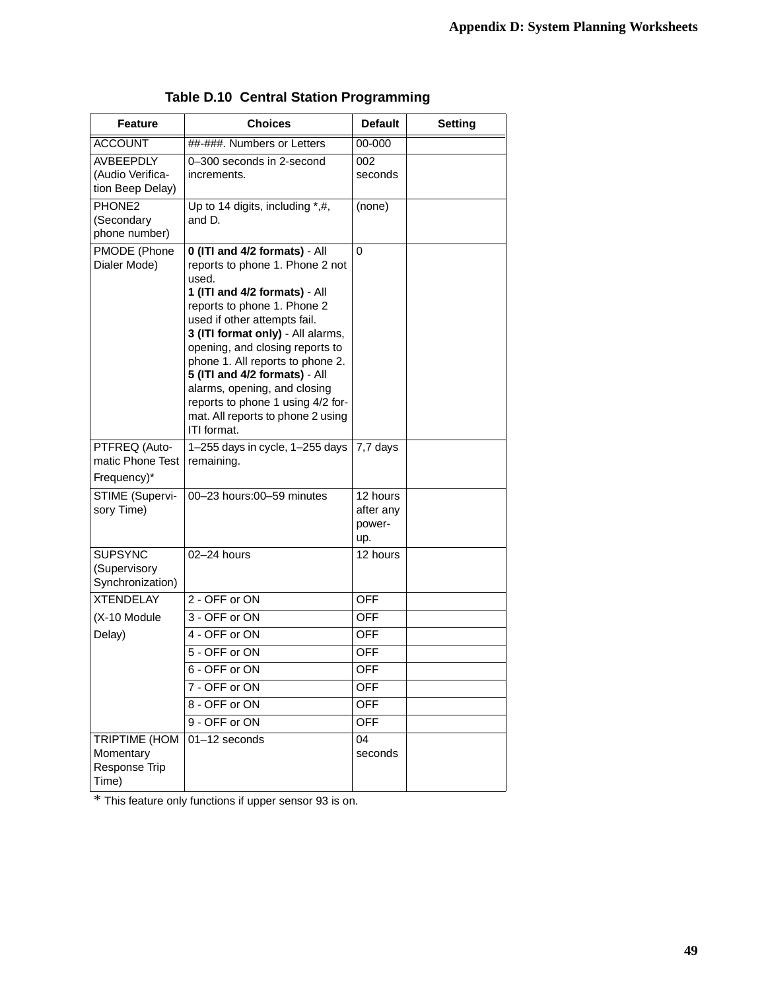| <b>Feature</b>                                           | <b>Choices</b>                                                                                                                                                                                                                                                                                                                                                                                                                                  | <b>Default</b>                         | <b>Setting</b> |
|----------------------------------------------------------|-------------------------------------------------------------------------------------------------------------------------------------------------------------------------------------------------------------------------------------------------------------------------------------------------------------------------------------------------------------------------------------------------------------------------------------------------|----------------------------------------|----------------|
| <b>ACCOUNT</b>                                           | ##-###. Numbers or Letters                                                                                                                                                                                                                                                                                                                                                                                                                      | $00 - 000$                             |                |
| <b>AVBEEPDLY</b><br>(Audio Verifica-<br>tion Beep Delay) | 0-300 seconds in 2-second<br>increments.                                                                                                                                                                                                                                                                                                                                                                                                        | 002<br>seconds                         |                |
| PHONE2<br>(Secondary<br>phone number)                    | Up to 14 digits, including *,#,<br>and D.                                                                                                                                                                                                                                                                                                                                                                                                       | (none)                                 |                |
| PMODE (Phone<br>Dialer Mode)                             | 0 (ITI and 4/2 formats) - All<br>reports to phone 1. Phone 2 not<br>used.<br>1 (ITI and 4/2 formats) - All<br>reports to phone 1. Phone 2<br>used if other attempts fail.<br>3 (ITI format only) - All alarms,<br>opening, and closing reports to<br>phone 1. All reports to phone 2.<br>5 (ITI and 4/2 formats) - All<br>alarms, opening, and closing<br>reports to phone 1 using 4/2 for-<br>mat. All reports to phone 2 using<br>ITI format. | 0                                      |                |
| PTFREQ (Auto-<br>matic Phone Test<br>Frequency)*         | 1-255 days in cycle, 1-255 days<br>remaining.                                                                                                                                                                                                                                                                                                                                                                                                   | 7,7 days                               |                |
| STIME (Supervi-<br>sory Time)                            | 00-23 hours:00-59 minutes                                                                                                                                                                                                                                                                                                                                                                                                                       | 12 hours<br>after any<br>power-<br>up. |                |
| <b>SUPSYNC</b><br>(Supervisory<br>Synchronization)       | 02-24 hours                                                                                                                                                                                                                                                                                                                                                                                                                                     | 12 hours                               |                |
| <b>XTENDELAY</b>                                         | 2 - OFF or ON                                                                                                                                                                                                                                                                                                                                                                                                                                   | <b>OFF</b>                             |                |
| (X-10 Module                                             | 3 - OFF or ON                                                                                                                                                                                                                                                                                                                                                                                                                                   | <b>OFF</b>                             |                |
| Delay)                                                   | 4 - OFF or ON                                                                                                                                                                                                                                                                                                                                                                                                                                   | OFF                                    |                |
|                                                          | 5 - OFF or ON                                                                                                                                                                                                                                                                                                                                                                                                                                   | <b>OFF</b>                             |                |
|                                                          | 6 - OFF or ON                                                                                                                                                                                                                                                                                                                                                                                                                                   | <b>OFF</b>                             |                |
|                                                          | 7 - OFF or ON                                                                                                                                                                                                                                                                                                                                                                                                                                   | OFF                                    |                |
|                                                          | 8 - OFF or ON                                                                                                                                                                                                                                                                                                                                                                                                                                   | <b>OFF</b>                             |                |
|                                                          | 9 - OFF or ON                                                                                                                                                                                                                                                                                                                                                                                                                                   | <b>OFF</b>                             |                |
| TRIPTIME (HOM<br>Momentary<br>Response Trip<br>Time)     | 01-12 seconds                                                                                                                                                                                                                                                                                                                                                                                                                                   | 04<br>seconds                          |                |

### **Table D.10 Central Station Programming**

\* This feature only functions if upper sensor 93 is on.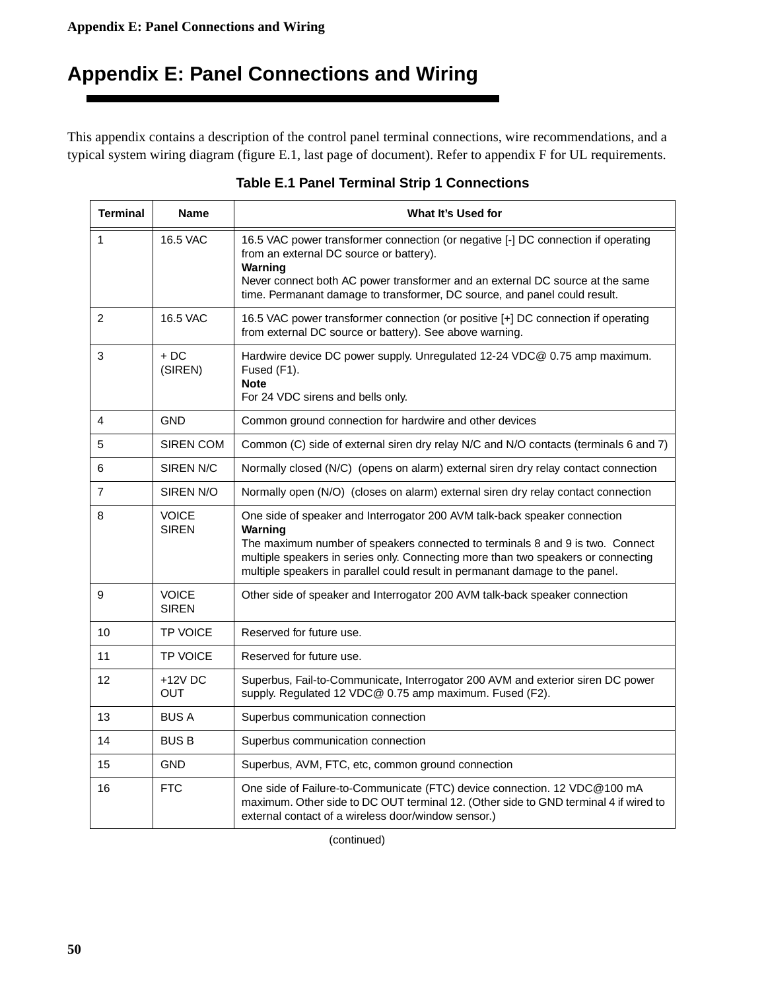# <span id="page-53-0"></span>**Appendix E: Panel Connections and Wiring**

This appendix contains a description of the control panel terminal connections, wire recommendations, and a typical system wiring diagram (figure E.1, last page of document). Refer to appendix F for UL requirements.

| <b>Terminal</b> | <b>Name</b>                  | What It's Used for                                                                                                                                                                                                                                                                                                                         |  |  |
|-----------------|------------------------------|--------------------------------------------------------------------------------------------------------------------------------------------------------------------------------------------------------------------------------------------------------------------------------------------------------------------------------------------|--|--|
| $\mathbf 1$     | <b>16.5 VAC</b>              | 16.5 VAC power transformer connection (or negative [-] DC connection if operating<br>from an external DC source or battery).<br>Warning                                                                                                                                                                                                    |  |  |
|                 |                              | Never connect both AC power transformer and an external DC source at the same<br>time. Permanant damage to transformer, DC source, and panel could result.                                                                                                                                                                                 |  |  |
| $\overline{2}$  | 16.5 VAC                     | 16.5 VAC power transformer connection (or positive [+] DC connection if operating<br>from external DC source or battery). See above warning.                                                                                                                                                                                               |  |  |
| 3               | $+DC$<br>(SIREN)             | Hardwire device DC power supply. Unregulated 12-24 VDC@ 0.75 amp maximum.<br>Fused (F1).<br><b>Note</b><br>For 24 VDC sirens and bells only.                                                                                                                                                                                               |  |  |
| 4               | <b>GND</b>                   | Common ground connection for hardwire and other devices                                                                                                                                                                                                                                                                                    |  |  |
| 5               | SIREN COM                    | Common (C) side of external siren dry relay N/C and N/O contacts (terminals 6 and 7)                                                                                                                                                                                                                                                       |  |  |
| 6               | SIREN N/C                    | Normally closed (N/C) (opens on alarm) external siren dry relay contact connection                                                                                                                                                                                                                                                         |  |  |
| $\overline{7}$  | SIREN N/O                    | Normally open (N/O) (closes on alarm) external siren dry relay contact connection                                                                                                                                                                                                                                                          |  |  |
| 8               | <b>VOICE</b><br><b>SIREN</b> | One side of speaker and Interrogator 200 AVM talk-back speaker connection<br>Warning<br>The maximum number of speakers connected to terminals 8 and 9 is two. Connect<br>multiple speakers in series only. Connecting more than two speakers or connecting<br>multiple speakers in parallel could result in permanant damage to the panel. |  |  |
| 9               | <b>VOICE</b><br><b>SIREN</b> | Other side of speaker and Interrogator 200 AVM talk-back speaker connection                                                                                                                                                                                                                                                                |  |  |
| 10              | <b>TP VOICE</b>              | Reserved for future use.                                                                                                                                                                                                                                                                                                                   |  |  |
| 11              | <b>TP VOICE</b>              | Reserved for future use.                                                                                                                                                                                                                                                                                                                   |  |  |
| 12              | $+12V$ DC<br><b>OUT</b>      | Superbus, Fail-to-Communicate, Interrogator 200 AVM and exterior siren DC power<br>supply. Regulated 12 VDC@ 0.75 amp maximum. Fused (F2).                                                                                                                                                                                                 |  |  |
| 13              | <b>BUS A</b>                 | Superbus communication connection                                                                                                                                                                                                                                                                                                          |  |  |
| 14              | <b>BUS B</b>                 | Superbus communication connection                                                                                                                                                                                                                                                                                                          |  |  |
| 15              | <b>GND</b>                   | Superbus, AVM, FTC, etc, common ground connection                                                                                                                                                                                                                                                                                          |  |  |
| 16              | <b>FTC</b>                   | One side of Failure-to-Communicate (FTC) device connection. 12 VDC@100 mA<br>maximum. Other side to DC OUT terminal 12. (Other side to GND terminal 4 if wired to<br>external contact of a wireless door/window sensor.)                                                                                                                   |  |  |

### **Table E.1 Panel Terminal Strip 1 Connections**

(continued)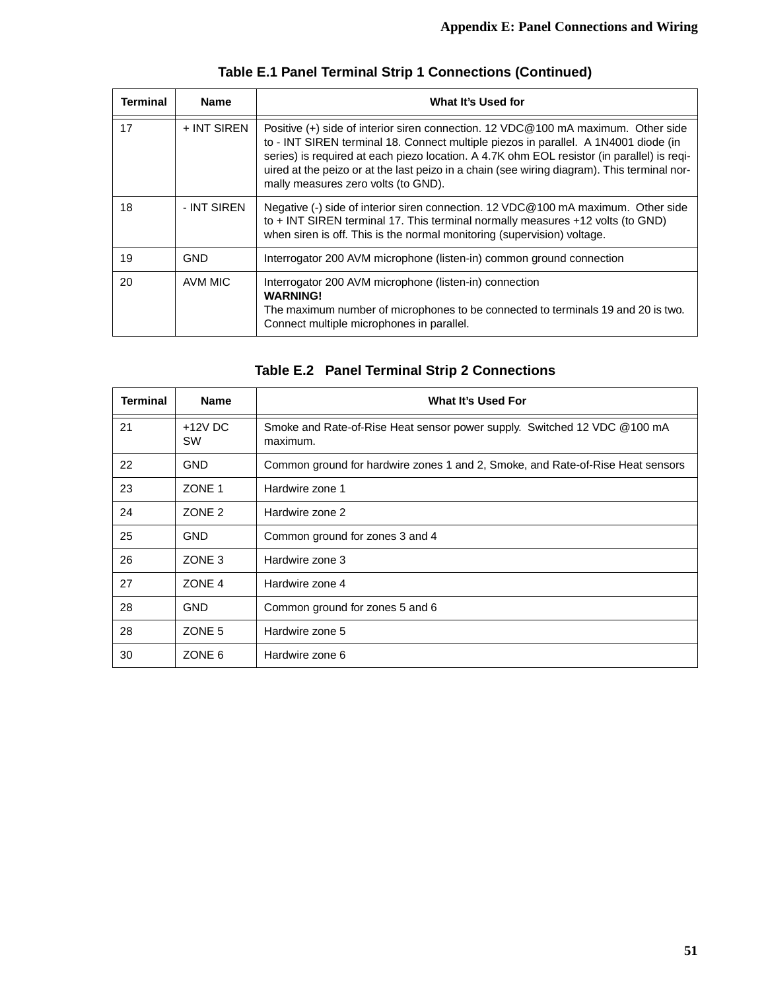| Terminal | <b>Name</b> | What It's Used for                                                                                                                                                                                                                                                                                                                                                                                           |
|----------|-------------|--------------------------------------------------------------------------------------------------------------------------------------------------------------------------------------------------------------------------------------------------------------------------------------------------------------------------------------------------------------------------------------------------------------|
| 17       | + INT SIREN | Positive (+) side of interior siren connection. 12 VDC@100 mA maximum. Other side<br>to - INT SIREN terminal 18. Connect multiple piezos in parallel. A 1N4001 diode (in<br>series) is required at each piezo location. A 4.7K ohm EOL resistor (in parallel) is reqi-<br>uired at the peizo or at the last peizo in a chain (see wiring diagram). This terminal nor-<br>mally measures zero volts (to GND). |
| 18       | - INT SIREN | Negative (-) side of interior siren connection. 12 VDC@100 mA maximum. Other side<br>to + INT SIREN terminal 17. This terminal normally measures +12 volts (to GND)<br>when siren is off. This is the normal monitoring (supervision) voltage.                                                                                                                                                               |
| 19       | GND         | Interrogator 200 AVM microphone (listen-in) common ground connection                                                                                                                                                                                                                                                                                                                                         |
| 20       | AVM MIC     | Interrogator 200 AVM microphone (listen-in) connection<br><b>WARNING!</b><br>The maximum number of microphones to be connected to terminals 19 and 20 is two.<br>Connect multiple microphones in parallel.                                                                                                                                                                                                   |

## **Table E.1 Panel Terminal Strip 1 Connections (Continued)**

|  |  |  |  | Table E.2 Panel Terminal Strip 2 Connections |
|--|--|--|--|----------------------------------------------|
|--|--|--|--|----------------------------------------------|

| <b>Terminal</b> | <b>Name</b>       | What It's Used For                                                                   |
|-----------------|-------------------|--------------------------------------------------------------------------------------|
| 21              | $+12V$ DC<br>SW   | Smoke and Rate-of-Rise Heat sensor power supply. Switched 12 VDC @100 mA<br>maximum. |
| 22              | <b>GND</b>        | Common ground for hardwire zones 1 and 2, Smoke, and Rate-of-Rise Heat sensors       |
| 23              | ZONE 1            | Hardwire zone 1                                                                      |
| 24              | ZONE <sub>2</sub> | Hardwire zone 2                                                                      |
| 25              | <b>GND</b>        | Common ground for zones 3 and 4                                                      |
| 26              | ZONE <sub>3</sub> | Hardwire zone 3                                                                      |
| 27              | ZONE 4            | Hardwire zone 4                                                                      |
| 28              | <b>GND</b>        | Common ground for zones 5 and 6                                                      |
| 28              | ZONE 5            | Hardwire zone 5                                                                      |
| 30              | ZONE 6            | Hardwire zone 6                                                                      |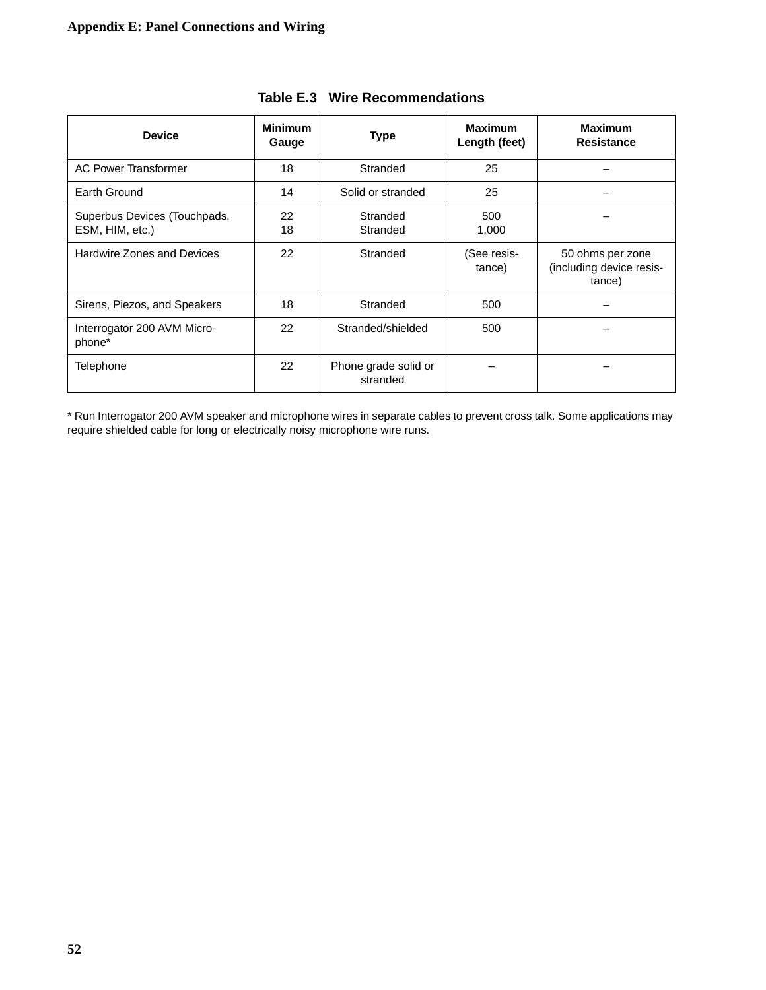| <b>Device</b>                                   | <b>Minimum</b><br>Gauge | <b>Type</b>                      | <b>Maximum</b><br>Length (feet) | <b>Maximum</b><br><b>Resistance</b>                    |
|-------------------------------------------------|-------------------------|----------------------------------|---------------------------------|--------------------------------------------------------|
| <b>AC Power Transformer</b>                     | 18                      | Stranded                         | 25                              |                                                        |
| Earth Ground                                    | 14                      | Solid or stranded                | 25                              |                                                        |
| Superbus Devices (Touchpads,<br>ESM, HIM, etc.) | 22<br>18                | Stranded<br>Stranded             | 500<br>1,000                    |                                                        |
| <b>Hardwire Zones and Devices</b>               | 22                      | Stranded                         | (See resis-<br>tance)           | 50 ohms per zone<br>(including device resis-<br>tance) |
| Sirens, Piezos, and Speakers                    | 18                      | Stranded                         | 500                             |                                                        |
| Interrogator 200 AVM Micro-<br>phone*           | 22                      | Stranded/shielded                | 500                             |                                                        |
| Telephone                                       | 22                      | Phone grade solid or<br>stranded |                                 |                                                        |

### **Table E.3 Wire Recommendations**

\* Run Interrogator 200 AVM speaker and microphone wires in separate cables to prevent cross talk. Some applications may require shielded cable for long or electrically noisy microphone wire runs.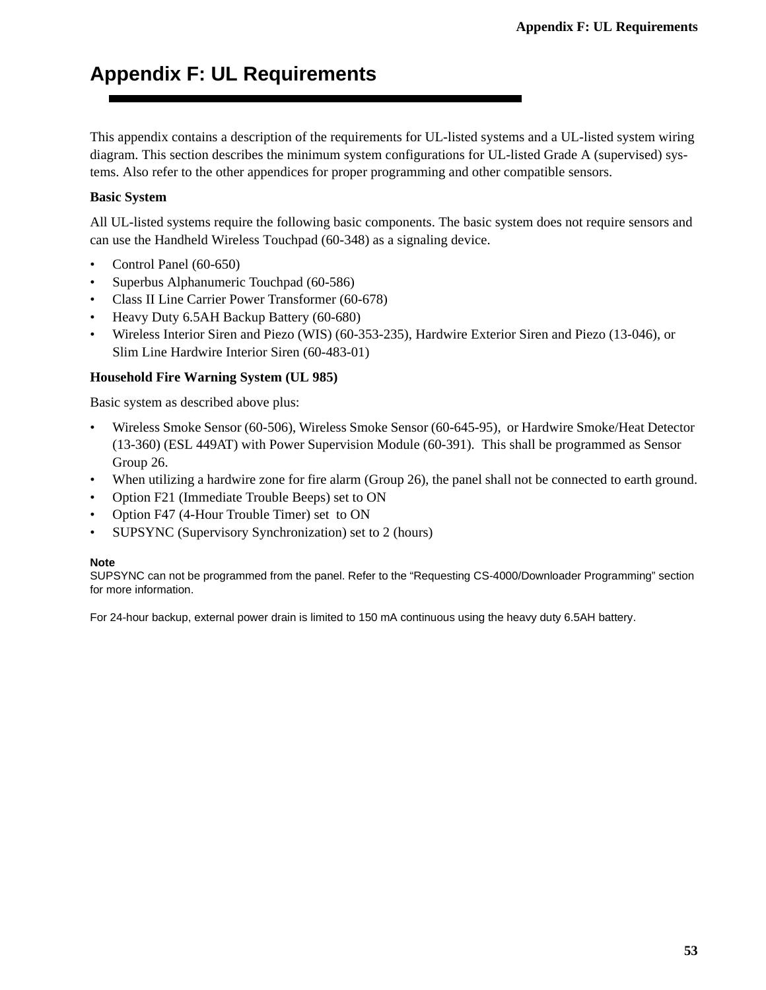## <span id="page-56-0"></span>**Appendix F: UL Requirements**

This appendix contains a description of the requirements for UL-listed systems and a UL-listed system wiring diagram. This section describes the minimum system configurations for UL-listed Grade A (supervised) systems. Also refer to the other appendices for proper programming and other compatible sensors.

### **Basic System**

All UL-listed systems require the following basic components. The basic system does not require sensors and can use the Handheld Wireless Touchpad (60-348) as a signaling device.

- Control Panel (60-650)
- Superbus Alphanumeric Touchpad (60-586)
- Class II Line Carrier Power Transformer (60-678)
- Heavy Duty 6.5AH Backup Battery (60-680)
- Wireless Interior Siren and Piezo (WIS) (60-353-235), Hardwire Exterior Siren and Piezo (13-046), or Slim Line Hardwire Interior Siren (60-483-01)

### **Household Fire Warning System (UL 985)**

Basic system as described above plus:

- Wireless Smoke Sensor (60-506), Wireless Smoke Sensor (60-645-95), or Hardwire Smoke/Heat Detector (13-360) (ESL 449AT) with Power Supervision Module (60-391). This shall be programmed as Sensor Group 26.
- When utilizing a hardwire zone for fire alarm (Group 26), the panel shall not be connected to earth ground.
- Option F21 (Immediate Trouble Beeps) set to ON
- Option F47 (4-Hour Trouble Timer) set to ON
- SUPSYNC (Supervisory Synchronization) set to 2 (hours)

#### **Note**

SUPSYNC can not be programmed from the panel. Refer to the "Requesting CS-4000/Downloader Programming" section for more information.

For 24-hour backup, external power drain is limited to 150 mA continuous using the heavy duty 6.5AH battery.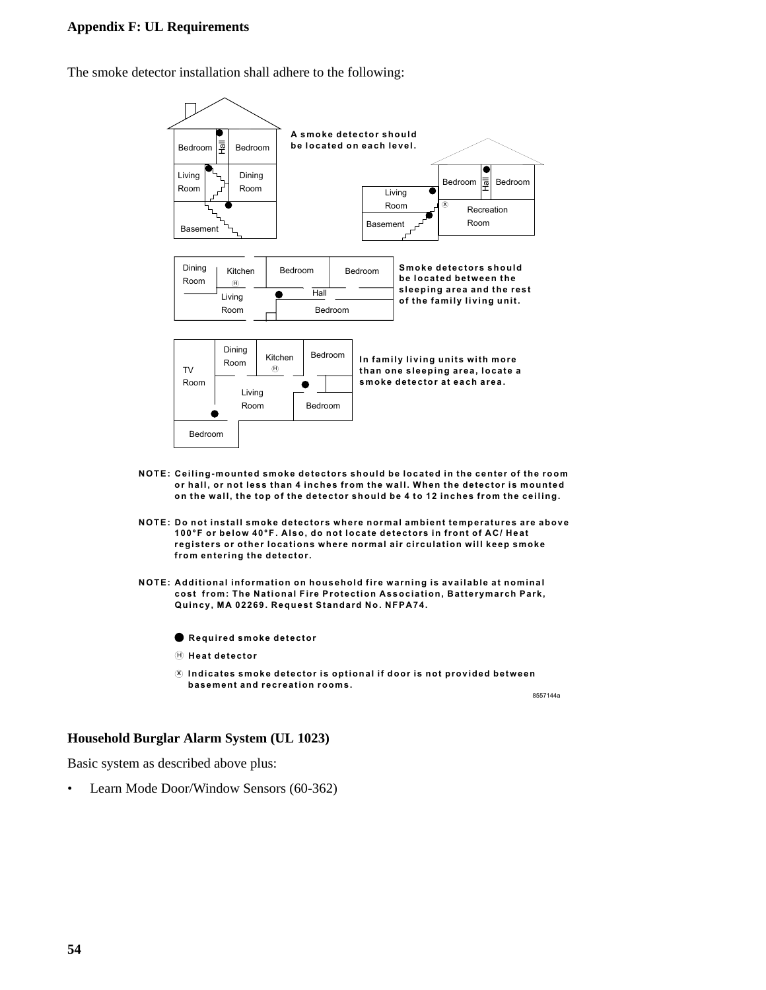#### **Appendix F: UL Requirements**

The smoke detector installation shall adhere to the following:



- **NOTE: Ceiling-mounted smoke detectors should be located in the center of the room or hall, or not less than 4 inches from the wall. When the detector is mounted on the wall, the top of the detector should be 4 to 12 inches from the ceiling.**
- **NOTE: Do not install smoke detectors where normal ambient temperatures are above 100°F or below 40°F. Also, do not locate detectors in front of AC/ Heat registers or other locations where normal air circulation will keep smoke from entering the detector.**
- **NOTE: Additional information on household fire warning is available at nominal cost from: The National Fire Protection Association, Batterymarch Park, Quincy, MA 02269. Request Standard No. NFPA74.**
	- **Required smoke detector**
	- H **Heat detector**
	- x **Indicates smoke detector is optional if door is not provided between basement and recreation rooms.**

8557144a

#### **Household Burglar Alarm System (UL 1023)**

Basic system as described above plus:

• Learn Mode Door/Window Sensors (60-362)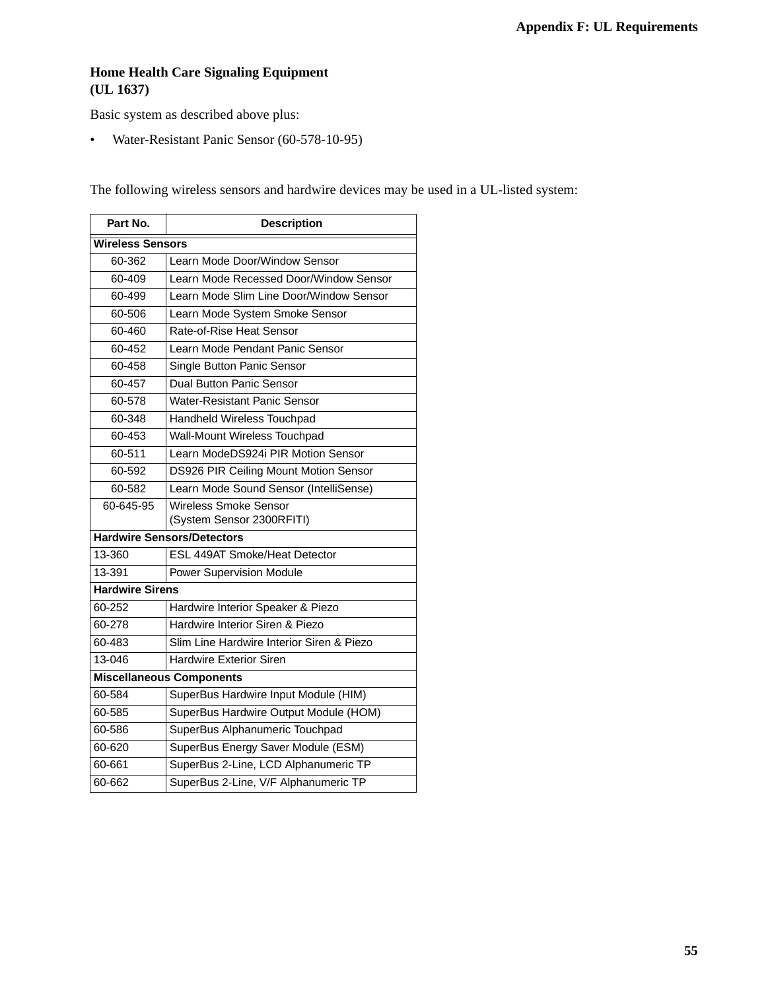### **Home Health Care Signaling Equipment (UL 1637)**

Basic system as described above plus:

• Water-Resistant Panic Sensor (60-578-10-95)

The following wireless sensors and hardwire devices may be used in a UL-listed system:

| Part No.                                         | <b>Description</b>                                        |  |  |  |  |  |
|--------------------------------------------------|-----------------------------------------------------------|--|--|--|--|--|
|                                                  | <b>Wireless Sensors</b>                                   |  |  |  |  |  |
| 60-362                                           | Learn Mode Door/Window Sensor                             |  |  |  |  |  |
| 60-409                                           | Learn Mode Recessed Door/Window Sensor                    |  |  |  |  |  |
| 60-499                                           | Learn Mode Slim Line Door/Window Sensor                   |  |  |  |  |  |
| 60-506                                           | Learn Mode System Smoke Sensor                            |  |  |  |  |  |
| 60-460                                           | Rate-of-Rise Heat Sensor                                  |  |  |  |  |  |
| 60-452                                           | Learn Mode Pendant Panic Sensor                           |  |  |  |  |  |
| 60-458                                           | Single Button Panic Sensor                                |  |  |  |  |  |
| 60-457                                           | <b>Dual Button Panic Sensor</b>                           |  |  |  |  |  |
| 60-578                                           | <b>Water-Resistant Panic Sensor</b>                       |  |  |  |  |  |
| 60-348                                           | Handheld Wireless Touchpad                                |  |  |  |  |  |
| 60-453                                           | Wall-Mount Wireless Touchpad                              |  |  |  |  |  |
| 60-511                                           | Learn ModeDS924i PIR Motion Sensor                        |  |  |  |  |  |
| DS926 PIR Ceiling Mount Motion Sensor<br>60-592  |                                                           |  |  |  |  |  |
| Learn Mode Sound Sensor (IntelliSense)<br>60-582 |                                                           |  |  |  |  |  |
| 60-645-95                                        | <b>Wireless Smoke Sensor</b><br>(System Sensor 2300RFITI) |  |  |  |  |  |
|                                                  | <b>Hardwire Sensors/Detectors</b>                         |  |  |  |  |  |
| 13-360                                           | <b>ESL 449AT Smoke/Heat Detector</b>                      |  |  |  |  |  |
| 13-391                                           | <b>Power Supervision Module</b>                           |  |  |  |  |  |
| <b>Hardwire Sirens</b>                           |                                                           |  |  |  |  |  |
| 60-252                                           | Hardwire Interior Speaker & Piezo                         |  |  |  |  |  |
| 60-278                                           | Hardwire Interior Siren & Piezo                           |  |  |  |  |  |
| 60-483                                           | Slim Line Hardwire Interior Siren & Piezo                 |  |  |  |  |  |
| 13-046                                           | <b>Hardwire Exterior Siren</b>                            |  |  |  |  |  |
| <b>Miscellaneous Components</b>                  |                                                           |  |  |  |  |  |
| 60-584                                           | SuperBus Hardwire Input Module (HIM)                      |  |  |  |  |  |
| 60-585                                           | SuperBus Hardwire Output Module (HOM)                     |  |  |  |  |  |
| 60-586                                           | SuperBus Alphanumeric Touchpad                            |  |  |  |  |  |
| 60-620                                           | SuperBus Energy Saver Module (ESM)                        |  |  |  |  |  |
| 60-661                                           | SuperBus 2-Line, LCD Alphanumeric TP                      |  |  |  |  |  |
| 60-662                                           | SuperBus 2-Line, V/F Alphanumeric TP                      |  |  |  |  |  |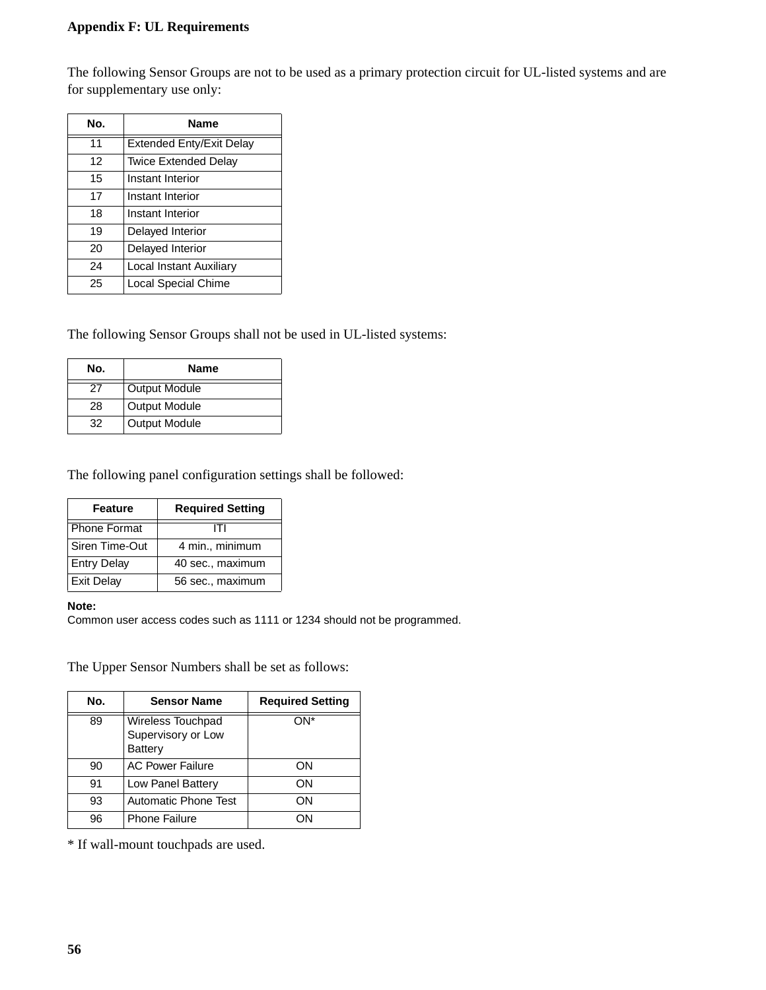### **Appendix F: UL Requirements**

The following Sensor Groups are not to be used as a primary protection circuit for UL-listed systems and are for supplementary use only:

| No. | Name                            |  |  |
|-----|---------------------------------|--|--|
| 11  | <b>Extended Enty/Exit Delay</b> |  |  |
| 12  | <b>Twice Extended Delay</b>     |  |  |
| 15  | Instant Interior                |  |  |
| 17  | Instant Interior                |  |  |
| 18  | Instant Interior                |  |  |
| 19  | Delayed Interior                |  |  |
| 20  | Delayed Interior                |  |  |
| 24  | Local Instant Auxiliary         |  |  |
| 25  | <b>Local Special Chime</b>      |  |  |

The following Sensor Groups shall not be used in UL-listed systems:

| No. | Name                 |  |  |
|-----|----------------------|--|--|
|     | <b>Output Module</b> |  |  |
| 28  | <b>Output Module</b> |  |  |
| 32  | <b>Output Module</b> |  |  |

The following panel configuration settings shall be followed:

| <b>Feature</b>      | <b>Required Setting</b> |
|---------------------|-------------------------|
| <b>Phone Format</b> |                         |
| Siren Time-Out      | 4 min., minimum         |
| <b>Entry Delay</b>  | 40 sec., maximum        |
| <b>Exit Delay</b>   | 56 sec., maximum        |

#### **Note:**

Common user access codes such as 1111 or 1234 should not be programmed.

The Upper Sensor Numbers shall be set as follows:

| No. | <b>Sensor Name</b>                                 | <b>Required Setting</b> |
|-----|----------------------------------------------------|-------------------------|
| 89  | Wireless Touchpad<br>Supervisory or Low<br>Battery | ∩N*                     |
| 90  | <b>AC Power Failure</b>                            | ON                      |
| 91  | Low Panel Battery                                  | ΟN                      |
| 93  | <b>Automatic Phone Test</b>                        | ΟN                      |
| 96  | <b>Phone Failure</b>                               | OΝ                      |

\* If wall-mount touchpads are used.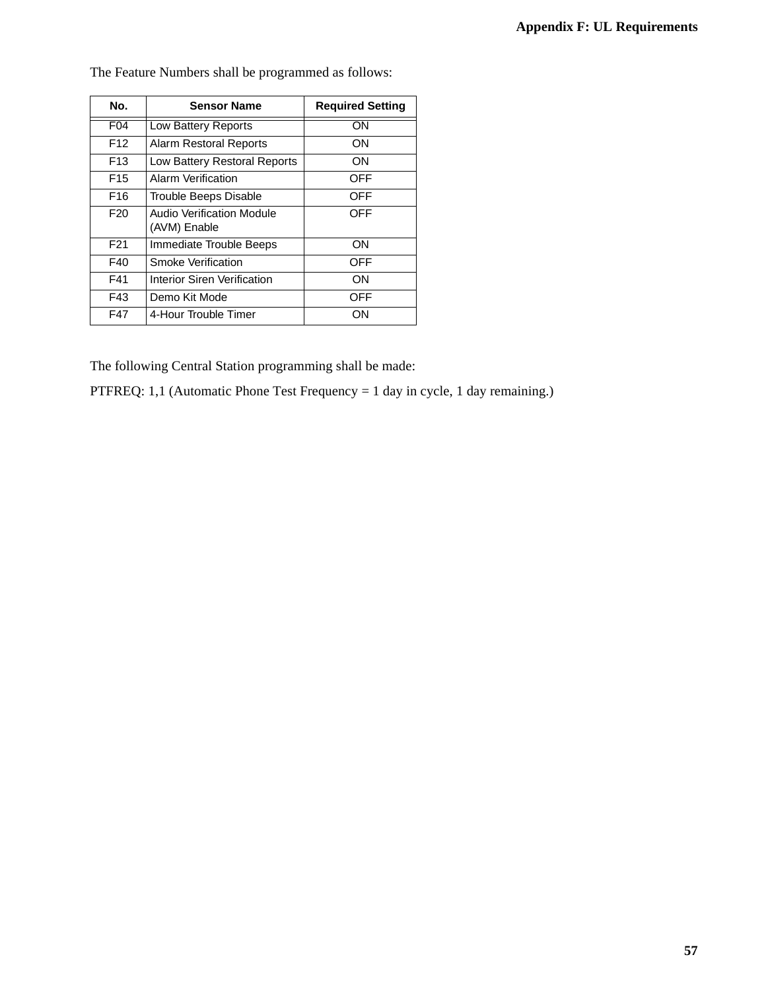| No.             | <b>Sensor Name</b>                        | <b>Required Setting</b> |
|-----------------|-------------------------------------------|-------------------------|
| F <sub>04</sub> | Low Battery Reports                       | OΝ                      |
| F <sub>12</sub> | <b>Alarm Restoral Reports</b>             | ON                      |
| F <sub>13</sub> | Low Battery Restoral Reports              | ON                      |
| F <sub>15</sub> | Alarm Verification                        | OFF                     |
| F <sub>16</sub> | Trouble Beeps Disable                     | OFF                     |
| F <sub>20</sub> | Audio Verification Module<br>(AVM) Enable | OFF                     |
| F <sub>21</sub> | Immediate Trouble Beeps                   | ON                      |
| F40             | Smoke Verification                        | OFF                     |
| F41             | Interior Siren Verification               | ON                      |
| F43             | Demo Kit Mode                             | <b>OFF</b>              |
| F47             | 4-Hour Trouble Timer                      | OΝ                      |

The Feature Numbers shall be programmed as follows:

The following Central Station programming shall be made:

PTFREQ: 1,1 (Automatic Phone Test Frequency = 1 day in cycle, 1 day remaining.)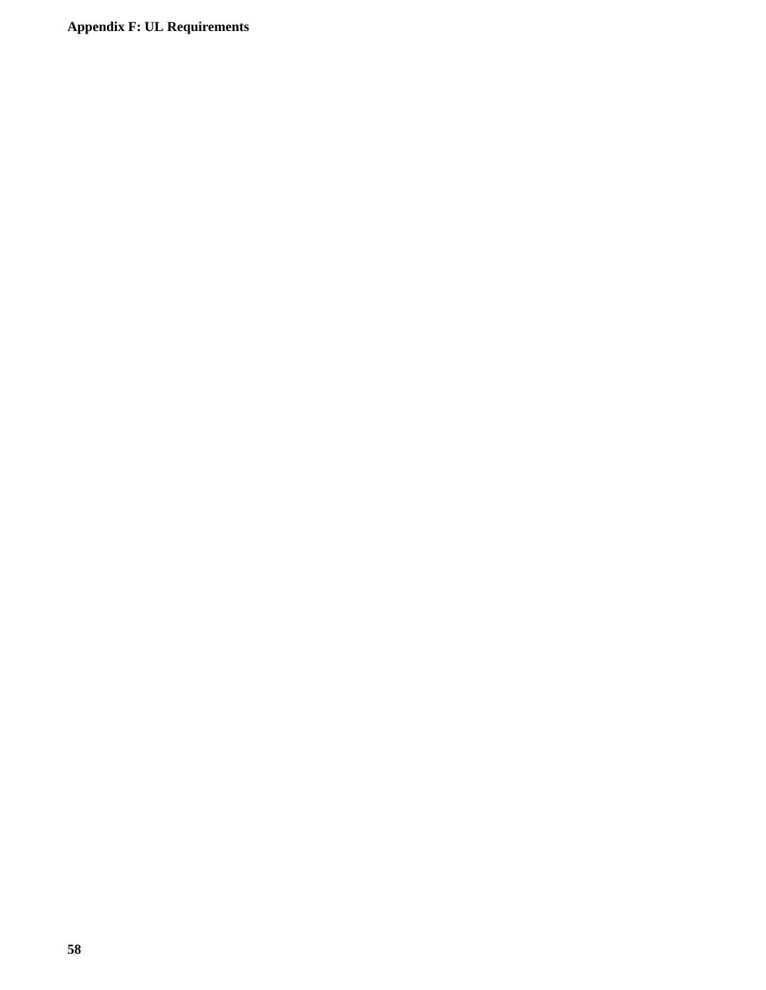**Appendix F: UL Requirements**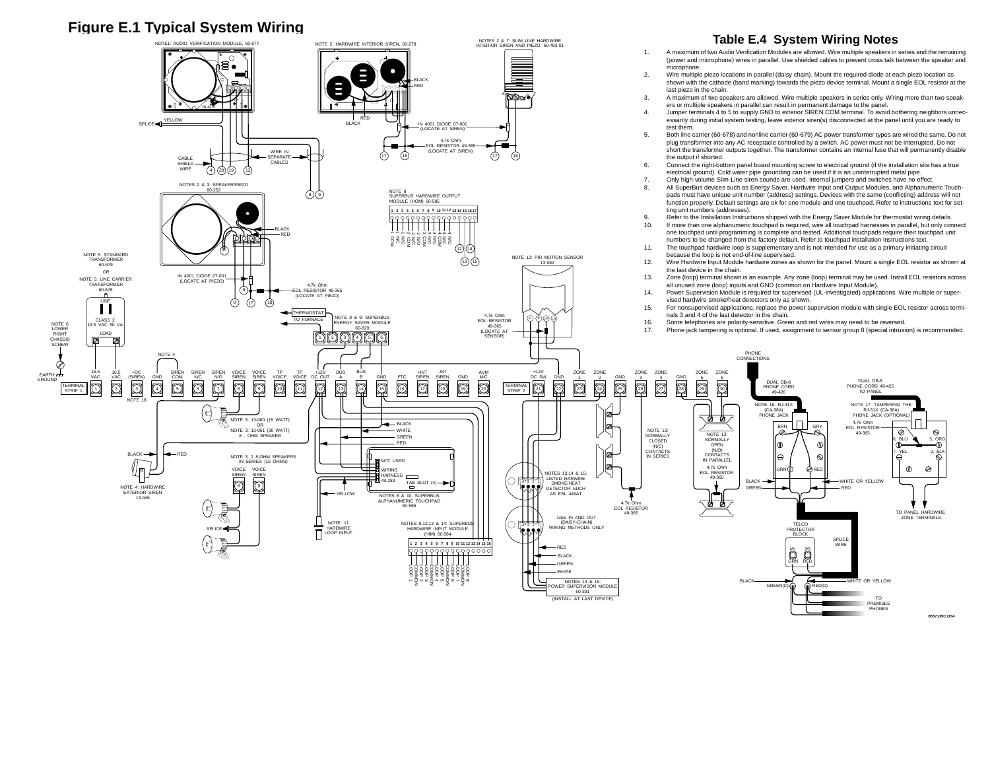### **Figure E.1 Typical System Wiring**



PHONES